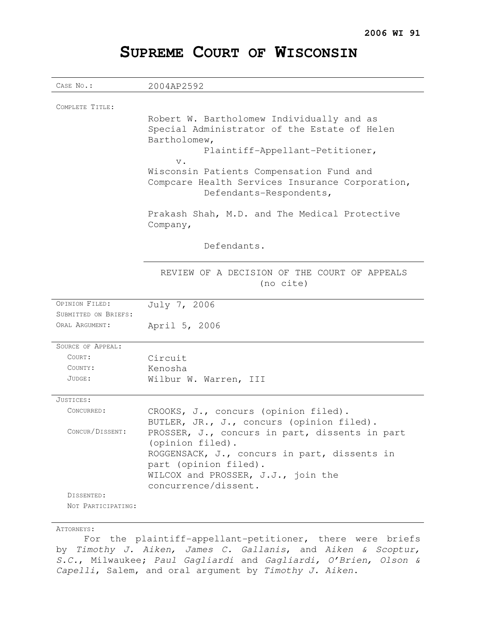# **SUPREME COURT OF WISCONSIN**

| CASE No.:                | 2004AP2592                                                                                |
|--------------------------|-------------------------------------------------------------------------------------------|
|                          |                                                                                           |
| COMPLETE TITLE:          |                                                                                           |
|                          | Robert W. Bartholomew Individually and as<br>Special Administrator of the Estate of Helen |
|                          | Bartholomew,                                                                              |
|                          | Plaintiff-Appellant-Petitioner,                                                           |
|                          | $V$ .                                                                                     |
|                          | Wisconsin Patients Compensation Fund and                                                  |
|                          | Compcare Health Services Insurance Corporation,                                           |
|                          | Defendants-Respondents,                                                                   |
|                          | Prakash Shah, M.D. and The Medical Protective                                             |
|                          | Company,                                                                                  |
|                          | Defendants.                                                                               |
|                          |                                                                                           |
|                          | REVIEW OF A DECISION OF THE COURT OF APPEALS                                              |
|                          | (no cite)                                                                                 |
|                          |                                                                                           |
| OPINION FILED:           | July 7, 2006                                                                              |
| SUBMITTED ON BRIEFS:     |                                                                                           |
| ORAL ARGUMENT:           | April 5, 2006                                                                             |
| <b>SOURCE OF APPEAL:</b> |                                                                                           |
| COURT:                   | Circuit                                                                                   |
| COUNTY:                  | Kenosha                                                                                   |
| JUDGE:                   | Wilbur W. Warren, III                                                                     |
| JUSTICES:                |                                                                                           |
| CONCURRED:               | CROOKS, J., concurs (opinion filed).                                                      |
|                          | BUTLER, JR., J., concurs (opinion filed).                                                 |
| CONCUR/DISSENT:          | PROSSER, J., concurs in part, dissents in part                                            |
|                          | (opinion filed).                                                                          |
|                          | ROGGENSACK, J., concurs in part, dissents in<br>part (opinion filed).                     |
|                          | WILCOX and PROSSER, J.J., join the                                                        |
|                          | concurrence/dissent.                                                                      |
| DISSENTED:               |                                                                                           |
| NOT PARTICIPATING:       |                                                                                           |

## ATTORNEYS:

For the plaintiff-appellant-petitioner, there were briefs by Timothy J. Aiken, James C. Gallanis, and Aiken & Scoptur, S.C., Milwaukee; Paul Gagliardi and Gagliardi, O'Brien, Olson & Capelli, Salem, and oral argument by Timothy J. Aiken.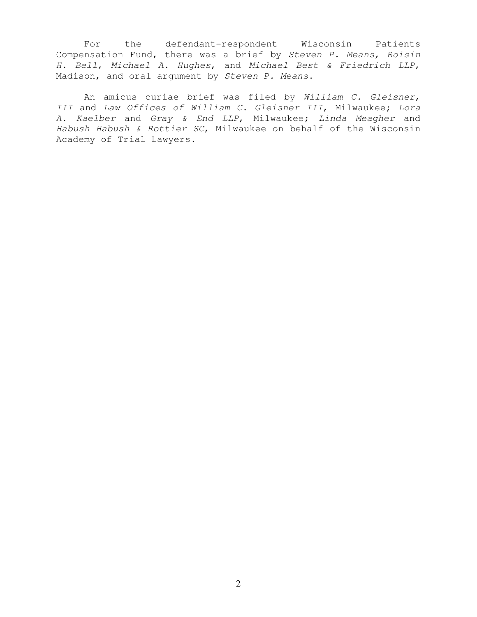For the defendant-respondent Wisconsin Patients Compensation Fund, there was a brief by Steven P. Means, Roisin H. Bell, Michael A. Hughes, and Michael Best & Friedrich LLP, Madison, and oral argument by Steven P. Means.

An amicus curiae brief was filed by William C. Gleisner, III and Law Offices of William C. Gleisner III, Milwaukee; Lora A. Kaelber and Gray & End LLP, Milwaukee; Linda Meagher and Habush Habush & Rottier SC, Milwaukee on behalf of the Wisconsin Academy of Trial Lawyers.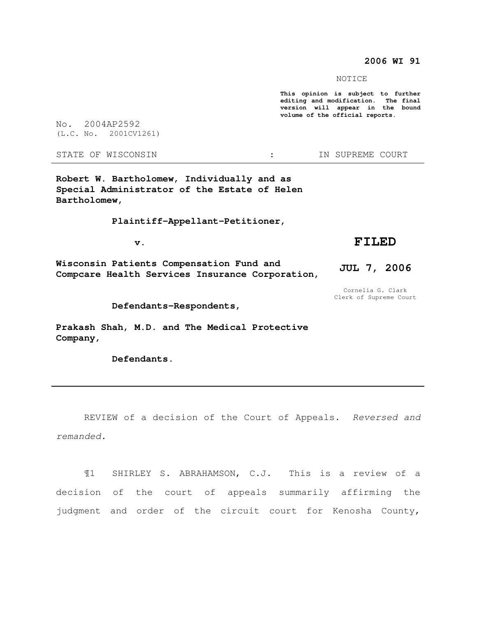# **2006 WI 91**

NOTICE

**This opinion is subject to further editing and modification. The final version will appear in the bound volume of the official reports.** 

No. 2004AP2592 (L.C. No. 2001CV1261)

STATE OF WISCONSIN THE STATE OF WISCONSIN THE STATE OF STATE OF STATE OF STATE OF STATE OF STATE OF STATE OF STATE OF STATE OF STATE OF STATE OF STATE OF STATE OF STATE OF STATE OF STATE OF STATE OF STATE OF STATE OF STATE

**Robert W. Bartholomew, Individually and as Special Administrator of the Estate of Helen Bartholomew,** 

 **Plaintiff-Appellant-Petitioner,** 

 $\mathbf v$ .

**Wisconsin Patients Compensation Fund and Compcare Health Services Insurance Corporation,**  **FILED** 

**JUL 7, 2006** 

Cornelia G. Clark Clerk of Supreme Court

 **Defendants-Respondents,** 

**Prakash Shah, M.D. and The Medical Protective Company,** 

 **Defendants.** 

REVIEW of a decision of the Court of Appeals. Reversed and remanded.

¶1 SHIRLEY S. ABRAHAMSON, C.J. This is a review of a decision of the court of appeals summarily affirming the judgment and order of the circuit court for Kenosha County,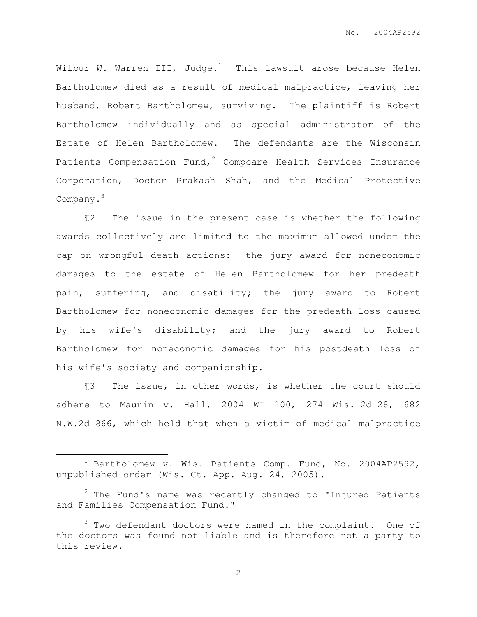Wilbur W. Warren III, Judge.<sup>1</sup> This lawsuit arose because Helen Bartholomew died as a result of medical malpractice, leaving her husband, Robert Bartholomew, surviving. The plaintiff is Robert Bartholomew individually and as special administrator of the Estate of Helen Bartholomew. The defendants are the Wisconsin Patients Compensation Fund,<sup>2</sup> Compcare Health Services Insurance Corporation, Doctor Prakash Shah, and the Medical Protective Company.<sup>3</sup>

¶2 The issue in the present case is whether the following awards collectively are limited to the maximum allowed under the cap on wrongful death actions: the jury award for noneconomic damages to the estate of Helen Bartholomew for her predeath pain, suffering, and disability; the jury award to Robert Bartholomew for noneconomic damages for the predeath loss caused by his wife's disability; and the jury award to Robert Bartholomew for noneconomic damages for his postdeath loss of his wife's society and companionship.

¶3 The issue, in other words, is whether the court should adhere to Maurin v. Hall, 2004 WI 100, 274 Wis. 2d 28, 682 N.W.2d 866, which held that when a victim of medical malpractice

 $\overline{a}$ 

 $1$  Bartholomew v. Wis. Patients Comp. Fund, No. 2004AP2592, unpublished order (Wis. Ct. App. Aug. 24, 2005).

 $2$  The Fund's name was recently changed to "Injured Patients and Families Compensation Fund."

 $3$  Two defendant doctors were named in the complaint. One of the doctors was found not liable and is therefore not a party to this review.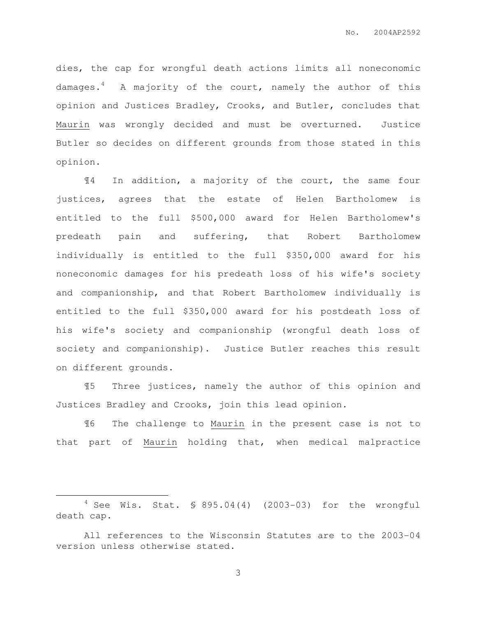dies, the cap for wrongful death actions limits all noneconomic damages.<sup>4</sup> A majority of the court, namely the author of this opinion and Justices Bradley, Crooks, and Butler, concludes that Maurin was wrongly decided and must be overturned. Justice Butler so decides on different grounds from those stated in this opinion.

¶4 In addition, a majority of the court, the same four justices, agrees that the estate of Helen Bartholomew is entitled to the full \$500,000 award for Helen Bartholomew's predeath pain and suffering, that Robert Bartholomew individually is entitled to the full \$350,000 award for his noneconomic damages for his predeath loss of his wife's society and companionship, and that Robert Bartholomew individually is entitled to the full \$350,000 award for his postdeath loss of his wife's society and companionship (wrongful death loss of society and companionship). Justice Butler reaches this result on different grounds.

¶5 Three justices, namely the author of this opinion and Justices Bradley and Crooks, join this lead opinion.

¶6 The challenge to Maurin in the present case is not to that part of Maurin holding that, when medical malpractice

 $\overline{a}$ 

 $4$  See Wis. Stat. § 895.04(4) (2003-03) for the wrongful death cap.

All references to the Wisconsin Statutes are to the 2003-04 version unless otherwise stated.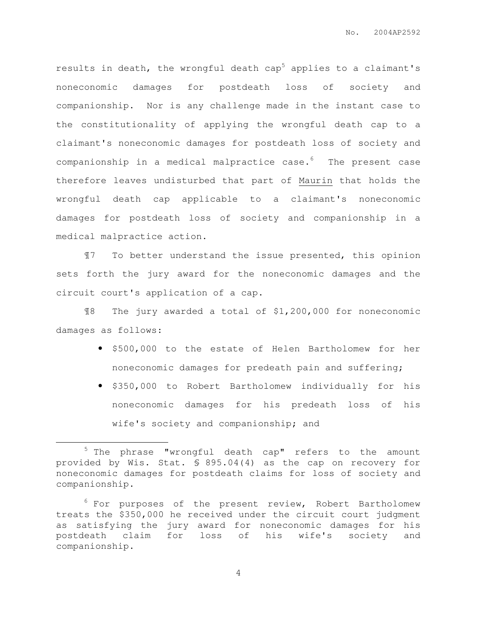results in death, the wrongful death  $cap<sup>5</sup>$  applies to a claimant's noneconomic damages for postdeath loss of society and companionship. Nor is any challenge made in the instant case to the constitutionality of applying the wrongful death cap to a claimant's noneconomic damages for postdeath loss of society and companionship in a medical malpractice case. $6$  The present case therefore leaves undisturbed that part of Maurin that holds the wrongful death cap applicable to a claimant's noneconomic damages for postdeath loss of society and companionship in a medical malpractice action.

¶7 To better understand the issue presented, this opinion sets forth the jury award for the noneconomic damages and the circuit court's application of a cap.

¶8 The jury awarded a total of \$1,200,000 for noneconomic damages as follows:

- \$500,000 to the estate of Helen Bartholomew for her noneconomic damages for predeath pain and suffering;
- \$350,000 to Robert Bartholomew individually for his noneconomic damages for his predeath loss of his wife's society and companionship; and

 $\overline{a}$ 

<sup>5</sup> The phrase "wrongful death cap" refers to the amount provided by Wis. Stat. § 895.04(4) as the cap on recovery for noneconomic damages for postdeath claims for loss of society and companionship.

 $6$  For purposes of the present review, Robert Bartholomew treats the \$350,000 he received under the circuit court judgment as satisfying the jury award for noneconomic damages for his postdeath claim for loss of his wife's society and companionship.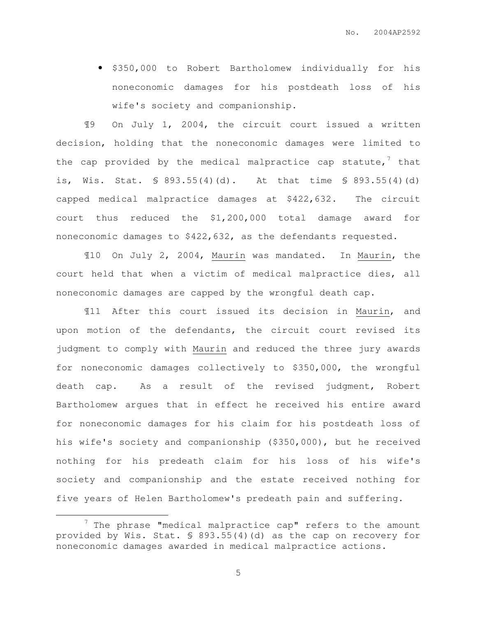• \$350,000 to Robert Bartholomew individually for his noneconomic damages for his postdeath loss of his wife's society and companionship.

¶9 On July 1, 2004, the circuit court issued a written decision, holding that the noneconomic damages were limited to the cap provided by the medical malpractice cap statute, $7$  that is, Wis. Stat. § 893.55(4)(d). At that time § 893.55(4)(d) capped medical malpractice damages at \$422,632. The circuit court thus reduced the \$1,200,000 total damage award for noneconomic damages to \$422,632, as the defendants requested.

¶10 On July 2, 2004, Maurin was mandated. In Maurin, the court held that when a victim of medical malpractice dies, all noneconomic damages are capped by the wrongful death cap.

¶11 After this court issued its decision in Maurin, and upon motion of the defendants, the circuit court revised its judgment to comply with Maurin and reduced the three jury awards for noneconomic damages collectively to \$350,000, the wrongful death cap. As a result of the revised judgment, Robert Bartholomew argues that in effect he received his entire award for noneconomic damages for his claim for his postdeath loss of his wife's society and companionship (\$350,000), but he received nothing for his predeath claim for his loss of his wife's society and companionship and the estate received nothing for five years of Helen Bartholomew's predeath pain and suffering.

 $\overline{a}$ 

 $7$  The phrase "medical malpractice cap" refers to the amount provided by Wis. Stat. § 893.55(4)(d) as the cap on recovery for noneconomic damages awarded in medical malpractice actions.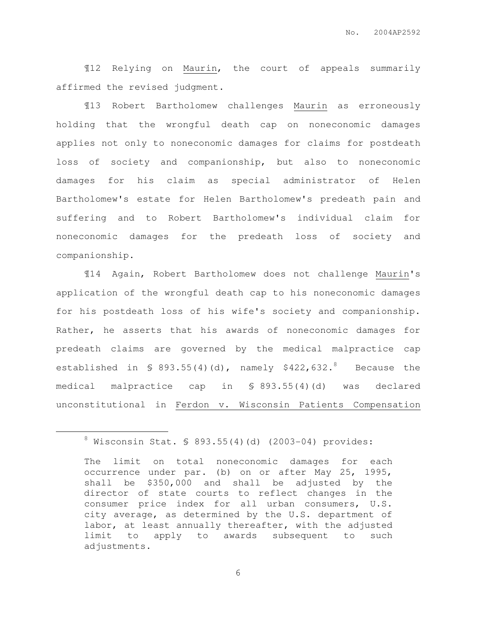¶12 Relying on Maurin, the court of appeals summarily affirmed the revised judgment.

¶13 Robert Bartholomew challenges Maurin as erroneously holding that the wrongful death cap on noneconomic damages applies not only to noneconomic damages for claims for postdeath loss of society and companionship, but also to noneconomic damages for his claim as special administrator of Helen Bartholomew's estate for Helen Bartholomew's predeath pain and suffering and to Robert Bartholomew's individual claim for noneconomic damages for the predeath loss of society and companionship.

¶14 Again, Robert Bartholomew does not challenge Maurin's application of the wrongful death cap to his noneconomic damages for his postdeath loss of his wife's society and companionship. Rather, he asserts that his awards of noneconomic damages for predeath claims are governed by the medical malpractice cap established in  $\$$  893.55(4)(d), namely \$422,632.8 Because the medical malpractice cap in § 893.55(4)(d) was declared unconstitutional in Ferdon v. Wisconsin Patients Compensation

 $\overline{a}$ 

 $8$  Wisconsin Stat. § 893.55(4)(d) (2003-04) provides:

The limit on total noneconomic damages for each occurrence under par. (b) on or after May 25, 1995, shall be \$350,000 and shall be adjusted by the director of state courts to reflect changes in the consumer price index for all urban consumers, U.S. city average, as determined by the U.S. department of labor, at least annually thereafter, with the adjusted limit to apply to awards subsequent to such adjustments.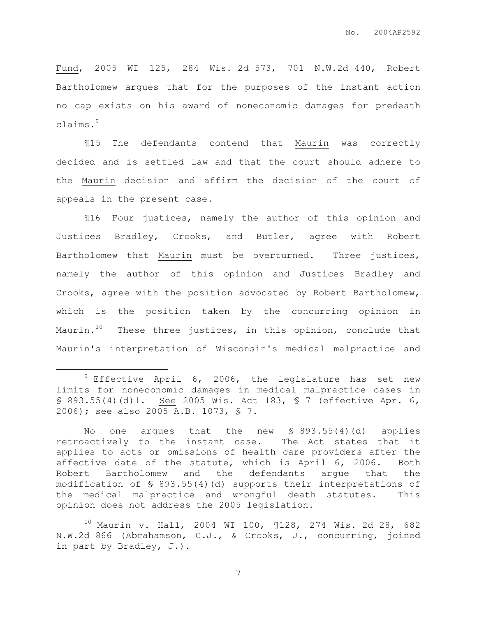Fund, 2005 WI 125, 284 Wis. 2d 573, 701 N.W.2d 440, Robert Bartholomew argues that for the purposes of the instant action no cap exists on his award of noneconomic damages for predeath claims.<sup>9</sup>

¶15 The defendants contend that Maurin was correctly decided and is settled law and that the court should adhere to the Maurin decision and affirm the decision of the court of appeals in the present case.

¶16 Four justices, namely the author of this opinion and Justices Bradley, Crooks, and Butler, agree with Robert Bartholomew that Maurin must be overturned. Three justices, namely the author of this opinion and Justices Bradley and Crooks, agree with the position advocated by Robert Bartholomew, which is the position taken by the concurring opinion in Maurin. $^{\rm 10}$  . These three justices, in this opinion, conclude that Maurin's interpretation of Wisconsin's medical malpractice and

 $\overline{a}$ 

 $9$  Effective April 6, 2006, the legislature has set new limits for noneconomic damages in medical malpractice cases in § 893.55(4)(d)1. See 2005 Wis. Act 183, § 7 (effective Apr. 6, 2006); see also 2005 A.B. 1073, § 7.

No one argues that the new  $\text{\$ } 893.55(4)(d)$  applies retroactively to the instant case. The Act states that it applies to acts or omissions of health care providers after the effective date of the statute, which is April 6, 2006. Both Robert Bartholomew and the defendants argue that the modification of § 893.55(4)(d) supports their interpretations of the medical malpractice and wrongful death statutes. This opinion does not address the 2005 legislation.

<sup>10</sup> Maurin v. Hall, 2004 WI 100, ¶128, 274 Wis. 2d 28, 682 N.W.2d 866 (Abrahamson, C.J., & Crooks, J., concurring, joined in part by Bradley, J.).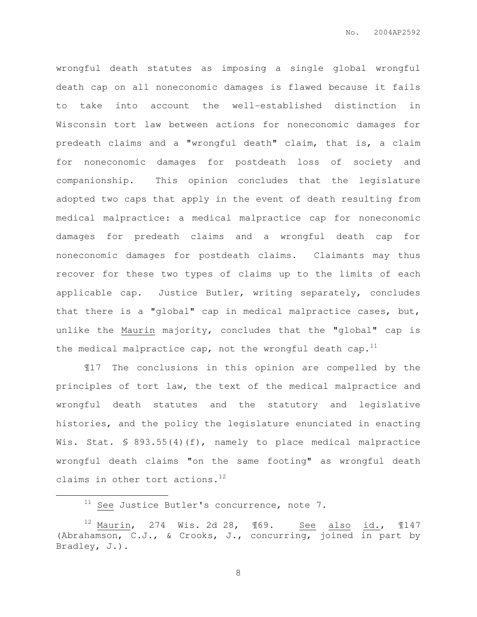wrongful death statutes as imposing a single global wrongful death cap on all noneconomic damages is flawed because it fails to take into account the well-established distinction in Wisconsin tort law between actions for noneconomic damages for predeath claims and a "wrongful death" claim, that is, a claim for noneconomic damages for postdeath loss of society and companionship. This opinion concludes that the legislature adopted two caps that apply in the event of death resulting from medical malpractice: a medical malpractice cap for noneconomic damages for predeath claims and a wrongful death cap for noneconomic damages for postdeath claims. Claimants may thus recover for these two types of claims up to the limits of each applicable cap. Justice Butler, writing separately, concludes that there is a "global" cap in medical malpractice cases, but, unlike the Maurin majority, concludes that the "global" cap is the medical malpractice cap, not the wrongful death cap.<sup>11</sup>

¶17 The conclusions in this opinion are compelled by the principles of tort law, the text of the medical malpractice and wrongful death statutes and the statutory and legislative histories, and the policy the legislature enunciated in enacting Wis. Stat. § 893.55(4)(f), namely to place medical malpractice wrongful death claims "on the same footing" as wrongful death claims in other tort actions. $^{12}$ 

 $\overline{a}$ 

 $11$  See Justice Butler's concurrence, note 7.

 $12$  Maurin, 274 Wis. 2d 28,  $\text{\textsterling}69.$  See also id.,  $\text{\textsterling}147$ (Abrahamson, C.J., & Crooks, J., concurring, joined in part by Bradley, J.).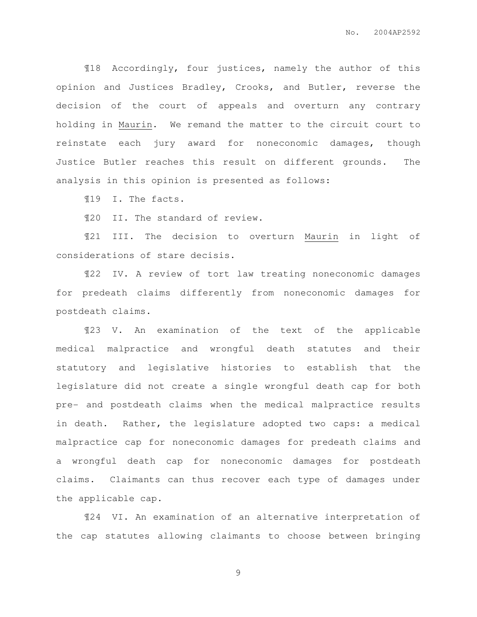¶18 Accordingly, four justices, namely the author of this opinion and Justices Bradley, Crooks, and Butler, reverse the decision of the court of appeals and overturn any contrary holding in Maurin. We remand the matter to the circuit court to reinstate each jury award for noneconomic damages, though Justice Butler reaches this result on different grounds. The analysis in this opinion is presented as follows:

¶19 I. The facts.

¶20 II. The standard of review.

¶21 III. The decision to overturn Maurin in light of considerations of stare decisis.

¶22 IV. A review of tort law treating noneconomic damages for predeath claims differently from noneconomic damages for postdeath claims.

¶23 V. An examination of the text of the applicable medical malpractice and wrongful death statutes and their statutory and legislative histories to establish that the legislature did not create a single wrongful death cap for both pre- and postdeath claims when the medical malpractice results in death. Rather, the legislature adopted two caps: a medical malpractice cap for noneconomic damages for predeath claims and a wrongful death cap for noneconomic damages for postdeath claims. Claimants can thus recover each type of damages under the applicable cap.

¶24 VI. An examination of an alternative interpretation of the cap statutes allowing claimants to choose between bringing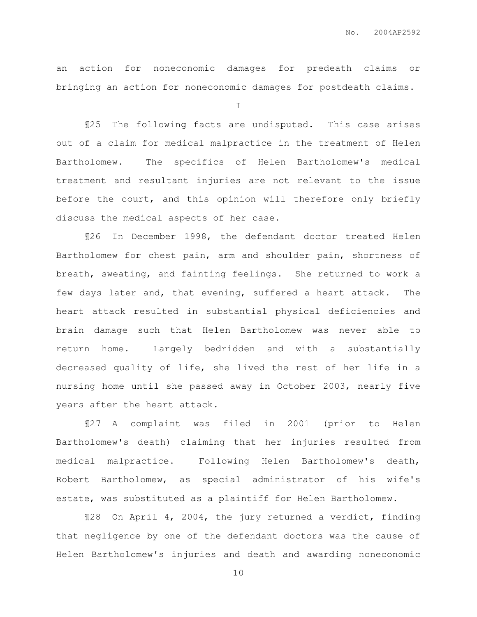an action for noneconomic damages for predeath claims or bringing an action for noneconomic damages for postdeath claims.

I

¶25 The following facts are undisputed. This case arises out of a claim for medical malpractice in the treatment of Helen Bartholomew. The specifics of Helen Bartholomew's medical treatment and resultant injuries are not relevant to the issue before the court, and this opinion will therefore only briefly discuss the medical aspects of her case.

¶26 In December 1998, the defendant doctor treated Helen Bartholomew for chest pain, arm and shoulder pain, shortness of breath, sweating, and fainting feelings. She returned to work a few days later and, that evening, suffered a heart attack. The heart attack resulted in substantial physical deficiencies and brain damage such that Helen Bartholomew was never able to return home. Largely bedridden and with a substantially decreased quality of life, she lived the rest of her life in a nursing home until she passed away in October 2003, nearly five years after the heart attack.

¶27 A complaint was filed in 2001 (prior to Helen Bartholomew's death) claiming that her injuries resulted from medical malpractice. Following Helen Bartholomew's death, Robert Bartholomew, as special administrator of his wife's estate, was substituted as a plaintiff for Helen Bartholomew.

¶28 On April 4, 2004, the jury returned a verdict, finding that negligence by one of the defendant doctors was the cause of Helen Bartholomew's injuries and death and awarding noneconomic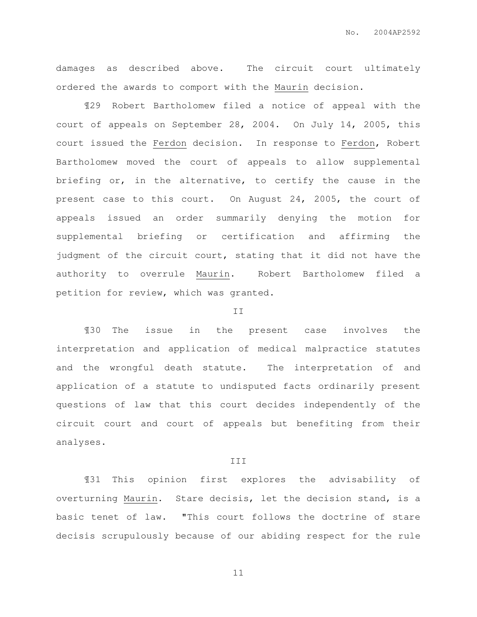damages as described above. The circuit court ultimately ordered the awards to comport with the Maurin decision.

¶29 Robert Bartholomew filed a notice of appeal with the court of appeals on September 28, 2004. On July 14, 2005, this court issued the Ferdon decision. In response to Ferdon, Robert Bartholomew moved the court of appeals to allow supplemental briefing or, in the alternative, to certify the cause in the present case to this court. On August 24, 2005, the court of appeals issued an order summarily denying the motion for supplemental briefing or certification and affirming the judgment of the circuit court, stating that it did not have the authority to overrule Maurin. Robert Bartholomew filed a petition for review, which was granted.

#### II

¶30 The issue in the present case involves the interpretation and application of medical malpractice statutes and the wrongful death statute. The interpretation of and application of a statute to undisputed facts ordinarily present questions of law that this court decides independently of the circuit court and court of appeals but benefiting from their analyses.

### III

¶31 This opinion first explores the advisability of overturning Maurin. Stare decisis, let the decision stand, is a basic tenet of law. "This court follows the doctrine of stare decisis scrupulously because of our abiding respect for the rule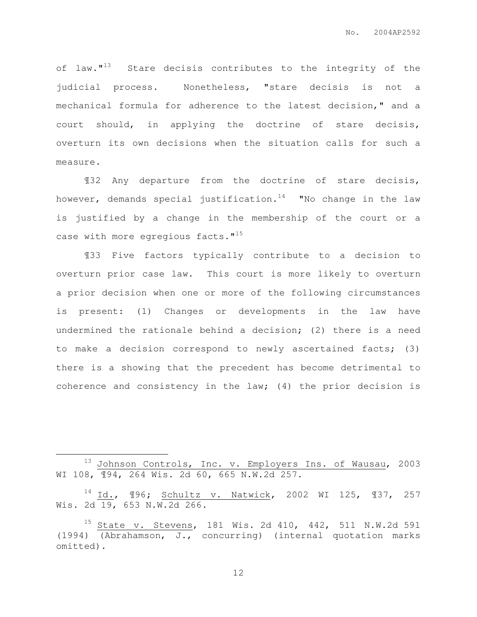of law."<sup>13</sup> Stare decisis contributes to the integrity of the judicial process. Nonetheless, "stare decisis is not a mechanical formula for adherence to the latest decision," and a court should, in applying the doctrine of stare decisis, overturn its own decisions when the situation calls for such a measure.

¶32 Any departure from the doctrine of stare decisis, however, demands special justification.<sup>14</sup> "No change in the law is justified by a change in the membership of the court or a case with more egregious facts."<sup>15</sup>

 ¶33 Five factors typically contribute to a decision to overturn prior case law. This court is more likely to overturn a prior decision when one or more of the following circumstances is present: (1) Changes or developments in the law have undermined the rationale behind a decision; (2) there is a need to make a decision correspond to newly ascertained facts; (3) there is a showing that the precedent has become detrimental to coherence and consistency in the law; (4) the prior decision is

 $\overline{a}$ 

<sup>13</sup> Johnson Controls, Inc. v. Employers Ins. of Wausau, 2003 WI 108, ¶94, 264 Wis. 2d 60, 665 N.W.2d 257.

<sup>14</sup> Id., ¶96; Schultz v. Natwick, 2002 WI 125, ¶37, 257 Wis. 2d 19, 653 N.W.2d 266.

<sup>15</sup> State v. Stevens, 181 Wis. 2d 410, 442, 511 N.W.2d 591 (1994) (Abrahamson, J., concurring) (internal quotation marks omitted).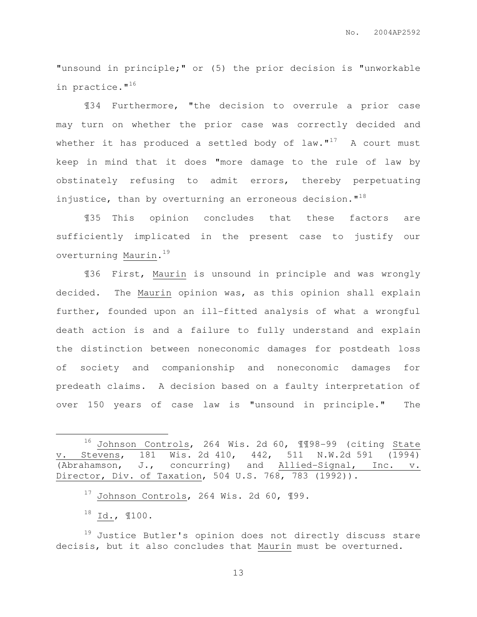"unsound in principle;" or (5) the prior decision is "unworkable in practice."<sup>16</sup>

¶34 Furthermore, "the decision to overrule a prior case may turn on whether the prior case was correctly decided and whether it has produced a settled body of  $law.^{\prime\prime}{}^{17}$  A court must keep in mind that it does "more damage to the rule of law by obstinately refusing to admit errors, thereby perpetuating injustice, than by overturning an erroneous decision. $1^{18}$ 

¶35 This opinion concludes that these factors are sufficiently implicated in the present case to justify our overturning Maurin. <sup>19</sup>

¶36 First, Maurin is unsound in principle and was wrongly decided. The Maurin opinion was, as this opinion shall explain further, founded upon an ill-fitted analysis of what a wrongful death action is and a failure to fully understand and explain the distinction between noneconomic damages for postdeath loss of society and companionship and noneconomic damages for predeath claims. A decision based on a faulty interpretation of over 150 years of case law is "unsound in principle." The

 $\overline{a}$ 

<sup>16</sup> Johnson Controls, 264 Wis. 2d 60, ¶¶98-99 (citing State v. Stevens, 181 Wis. 2d 410, 442, 511 N.W.2d 591 (1994) (Abrahamson, J., concurring) and Allied-Signal, Inc. v. Director, Div. of Taxation, 504 U.S. 768, 783 (1992)).

 $17$  Johnson Controls, 264 Wis. 2d 60, 199.

 $^{18}$  Id.,  $$100.$ 

<sup>&</sup>lt;sup>19</sup> Justice Butler's opinion does not directly discuss stare decisis, but it also concludes that Maurin must be overturned.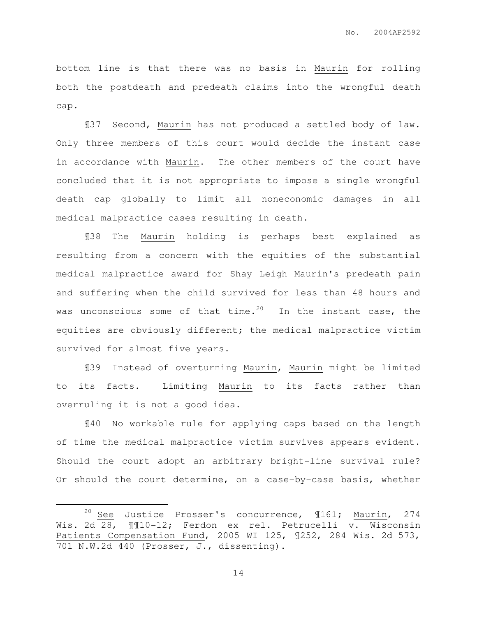bottom line is that there was no basis in Maurin for rolling both the postdeath and predeath claims into the wrongful death cap.

¶37 Second, Maurin has not produced a settled body of law. Only three members of this court would decide the instant case in accordance with Maurin. The other members of the court have concluded that it is not appropriate to impose a single wrongful death cap globally to limit all noneconomic damages in all medical malpractice cases resulting in death.

¶38 The Maurin holding is perhaps best explained as resulting from a concern with the equities of the substantial medical malpractice award for Shay Leigh Maurin's predeath pain and suffering when the child survived for less than 48 hours and was unconscious some of that time.<sup>20</sup> In the instant case, the equities are obviously different; the medical malpractice victim survived for almost five years.

¶39 Instead of overturning Maurin, Maurin might be limited to its facts. Limiting Maurin to its facts rather than overruling it is not a good idea.

¶40 No workable rule for applying caps based on the length of time the medical malpractice victim survives appears evident. Should the court adopt an arbitrary bright-line survival rule? Or should the court determine, on a case-by-case basis, whether

 $\overline{a}$ 

<sup>&</sup>lt;sup>20</sup> See Justice Prosser's concurrence,  $\text{1161;}$  Maurin, 274 Wis. 2d 28, ¶¶10-12; Ferdon ex rel. Petrucelli v. Wisconsin Patients Compensation Fund, 2005 WI 125, ¶252, 284 Wis. 2d 573, 701 N.W.2d 440 (Prosser, J., dissenting).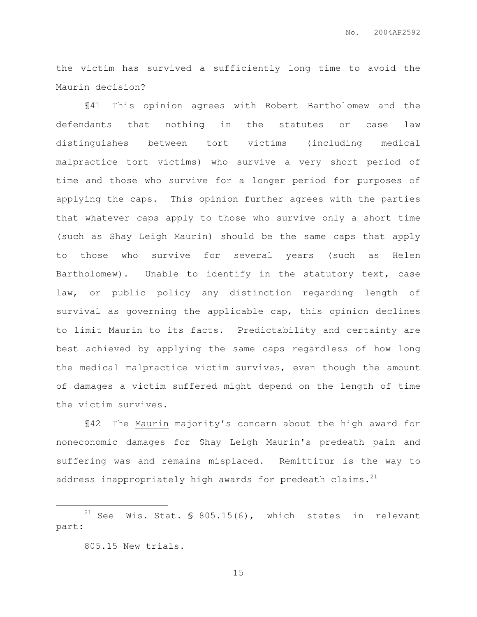the victim has survived a sufficiently long time to avoid the Maurin decision?

¶41 This opinion agrees with Robert Bartholomew and the defendants that nothing in the statutes or case law distinguishes between tort victims (including medical malpractice tort victims) who survive a very short period of time and those who survive for a longer period for purposes of applying the caps. This opinion further agrees with the parties that whatever caps apply to those who survive only a short time (such as Shay Leigh Maurin) should be the same caps that apply to those who survive for several years (such as Helen Bartholomew). Unable to identify in the statutory text, case law, or public policy any distinction regarding length of survival as governing the applicable cap, this opinion declines to limit Maurin to its facts. Predictability and certainty are best achieved by applying the same caps regardless of how long the medical malpractice victim survives, even though the amount of damages a victim suffered might depend on the length of time the victim survives.

¶42 The Maurin majority's concern about the high award for noneconomic damages for Shay Leigh Maurin's predeath pain and suffering was and remains misplaced. Remittitur is the way to address inappropriately high awards for predeath claims. $^{21}$ 

<sup>21</sup> See Wis. Stat. § 805.15(6), which states in relevant part:

 $\overline{a}$ 

<sup>805.15</sup> New trials.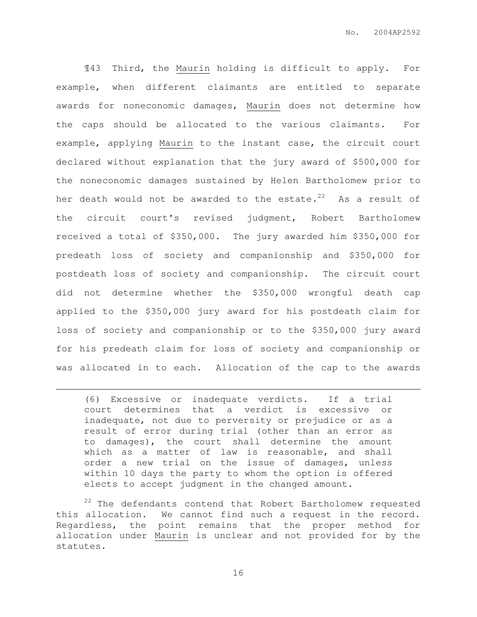¶43 Third, the Maurin holding is difficult to apply. For example, when different claimants are entitled to separate awards for noneconomic damages, Maurin does not determine how the caps should be allocated to the various claimants. For example, applying Maurin to the instant case, the circuit court declared without explanation that the jury award of \$500,000 for the noneconomic damages sustained by Helen Bartholomew prior to her death would not be awarded to the estate. $22$  As a result of the circuit court's revised judgment, Robert Bartholomew received a total of \$350,000. The jury awarded him \$350,000 for predeath loss of society and companionship and \$350,000 for postdeath loss of society and companionship. The circuit court did not determine whether the \$350,000 wrongful death cap applied to the \$350,000 jury award for his postdeath claim for loss of society and companionship or to the \$350,000 jury award for his predeath claim for loss of society and companionship or was allocated in to each. Allocation of the cap to the awards

(6) Excessive or inadequate verdicts. If a trial court determines that a verdict is excessive or inadequate, not due to perversity or prejudice or as a result of error during trial (other than an error as to damages), the court shall determine the amount which as a matter of law is reasonable, and shall order a new trial on the issue of damages, unless within 10 days the party to whom the option is offered elects to accept judgment in the changed amount.

 $\overline{a}$ 

<sup>22</sup> The defendants contend that Robert Bartholomew requested this allocation. We cannot find such a request in the record. Regardless, the point remains that the proper method for allocation under Maurin is unclear and not provided for by the statutes.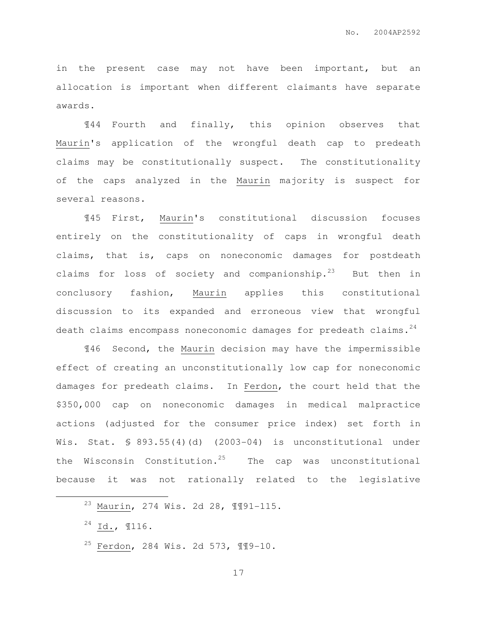in the present case may not have been important, but an allocation is important when different claimants have separate awards.

¶44 Fourth and finally, this opinion observes that Maurin's application of the wrongful death cap to predeath claims may be constitutionally suspect. The constitutionality of the caps analyzed in the Maurin majority is suspect for several reasons.

¶45 First, Maurin's constitutional discussion focuses entirely on the constitutionality of caps in wrongful death claims, that is, caps on noneconomic damages for postdeath claims for loss of society and companionship.<sup>23</sup> But then in conclusory fashion, Maurin applies this constitutional discussion to its expanded and erroneous view that wrongful death claims encompass noneconomic damages for predeath claims. $24$ 

¶46 Second, the Maurin decision may have the impermissible effect of creating an unconstitutionally low cap for noneconomic damages for predeath claims. In Ferdon, the court held that the \$350,000 cap on noneconomic damages in medical malpractice actions (adjusted for the consumer price index) set forth in Wis. Stat.  $$ 893.55(4)(d) (2003-04)$  is unconstitutional under the Wisconsin Constitution.<sup>25</sup> The cap was unconstitutional because it was not rationally related to the legislative

 $\overline{a}$ 

<sup>25</sup> Ferdon, 284 Wis. 2d 573, ¶¶9-10.

<sup>23</sup> Maurin, 274 Wis. 2d 28, ¶¶91-115.

 $24$  Id.,  $116$ .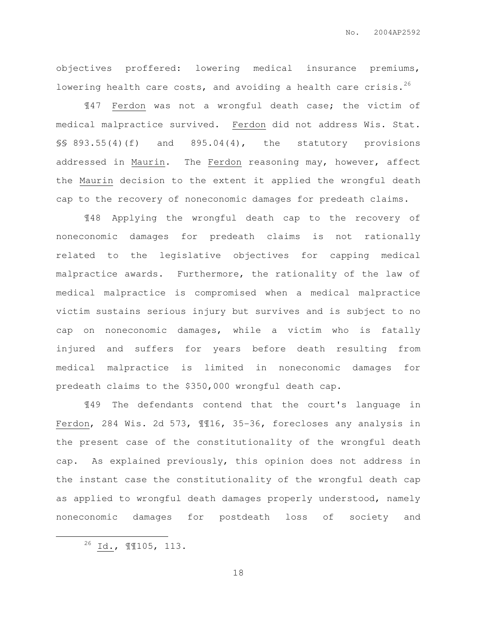objectives proffered: lowering medical insurance premiums, lowering health care costs, and avoiding a health care crisis. $^{26}$ 

¶47 Ferdon was not a wrongful death case; the victim of medical malpractice survived. Ferdon did not address Wis. Stat.  $\S$ § 893.55(4)(f) and 895.04(4), the statutory provisions addressed in Maurin. The Ferdon reasoning may, however, affect the Maurin decision to the extent it applied the wrongful death cap to the recovery of noneconomic damages for predeath claims.

¶48 Applying the wrongful death cap to the recovery of noneconomic damages for predeath claims is not rationally related to the legislative objectives for capping medical malpractice awards. Furthermore, the rationality of the law of medical malpractice is compromised when a medical malpractice victim sustains serious injury but survives and is subject to no cap on noneconomic damages, while a victim who is fatally injured and suffers for years before death resulting from medical malpractice is limited in noneconomic damages for predeath claims to the \$350,000 wrongful death cap.

¶49 The defendants contend that the court's language in Ferdon, 284 Wis. 2d 573, ¶¶16, 35-36, forecloses any analysis in the present case of the constitutionality of the wrongful death cap. As explained previously, this opinion does not address in the instant case the constitutionality of the wrongful death cap as applied to wrongful death damages properly understood, namely noneconomic damages for postdeath loss of society and

 $\overline{a}$ 

 $^{26}$  Id<sub>.</sub>, **1105, 113.**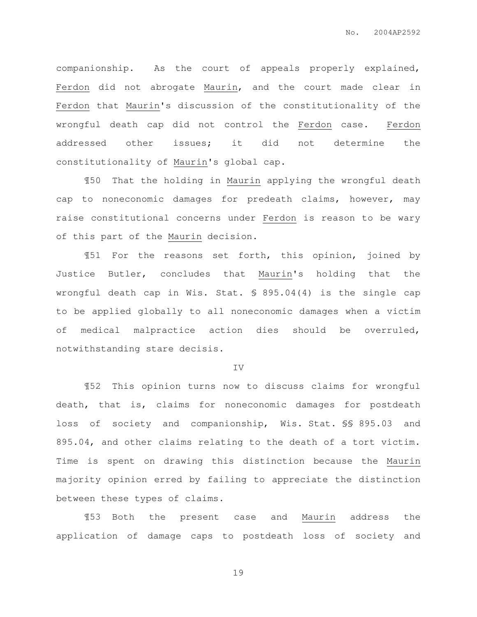companionship. As the court of appeals properly explained, Ferdon did not abrogate Maurin, and the court made clear in Ferdon that Maurin's discussion of the constitutionality of the wrongful death cap did not control the Ferdon case. Ferdon addressed other issues; it did not determine the constitutionality of Maurin's global cap.

¶50 That the holding in Maurin applying the wrongful death cap to noneconomic damages for predeath claims, however, may raise constitutional concerns under Ferdon is reason to be wary of this part of the Maurin decision.

¶51 For the reasons set forth, this opinion, joined by Justice Butler, concludes that Maurin's holding that the wrongful death cap in Wis. Stat. § 895.04(4) is the single cap to be applied globally to all noneconomic damages when a victim of medical malpractice action dies should be overruled, notwithstanding stare decisis.

IV

¶52 This opinion turns now to discuss claims for wrongful death, that is, claims for noneconomic damages for postdeath loss of society and companionship, Wis. Stat. §§ 895.03 and 895.04, and other claims relating to the death of a tort victim. Time is spent on drawing this distinction because the Maurin majority opinion erred by failing to appreciate the distinction between these types of claims.

¶53 Both the present case and Maurin address the application of damage caps to postdeath loss of society and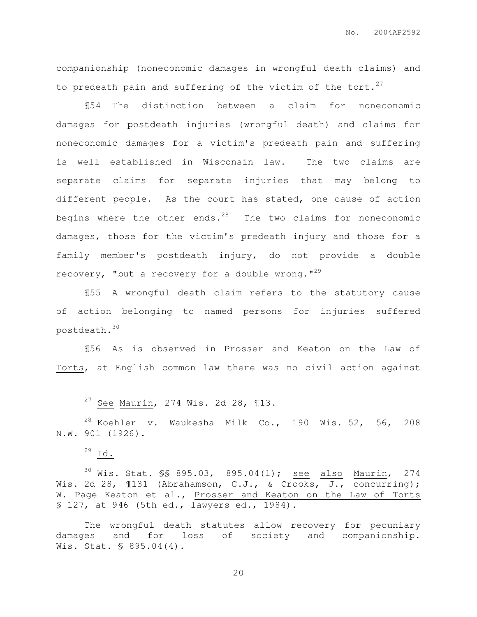companionship (noneconomic damages in wrongful death claims) and to predeath pain and suffering of the victim of the tort.<sup>27</sup>

¶54 The distinction between a claim for noneconomic damages for postdeath injuries (wrongful death) and claims for noneconomic damages for a victim's predeath pain and suffering is well established in Wisconsin law. The two claims are separate claims for separate injuries that may belong to different people. As the court has stated, one cause of action begins where the other ends. $28$  The two claims for noneconomic damages, those for the victim's predeath injury and those for a family member's postdeath injury, do not provide a double recovery, "but a recovery for a double wrong."<sup>29</sup>

¶55 A wrongful death claim refers to the statutory cause of action belonging to named persons for injuries suffered postdeath.<sup>30</sup>

¶56 As is observed in Prosser and Keaton on the Law of Torts, at English common law there was no civil action against

 $27$  See Maurin, 274 Wis. 2d 28, 113.

 $28$  Koehler v. Waukesha Milk Co., 190 Wis. 52, 56, 208 N.W. 901 (1926).

 $29$  Id.

 $\overline{a}$ 

<sup>30</sup> Wis. Stat. \$\$ 895.03, 895.04(1); <u>see also Maurin</u>, 274 Wis. 2d 28,  $\text{131}$  (Abrahamson, C.J., & Crooks, J., concurring); W. Page Keaton et al., Prosser and Keaton on the Law of Torts § 127, at 946 (5th ed., lawyers ed., 1984).

The wrongful death statutes allow recovery for pecuniary damages and for loss of society and companionship. Wis. Stat. § 895.04(4).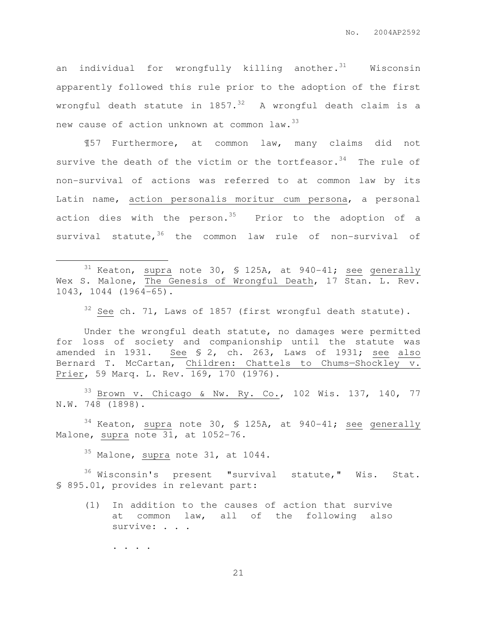an individual for wrongfully killing another. $31$  Wisconsin apparently followed this rule prior to the adoption of the first wrongful death statute in  $1857.^{32}$  A wrongful death claim is a new cause of action unknown at common law.<sup>33</sup>

¶57 Furthermore, at common law, many claims did not survive the death of the victim or the tortfeasor.  $34$  The rule of non-survival of actions was referred to at common law by its Latin name, action personalis moritur cum persona, a personal action dies with the person.<sup>35</sup> Prior to the adoption of a survival statute,  $36$  the common law rule of non-survival of

 $31$  Keaton, supra note 30, § 125A, at 940-41; see generally Wex S. Malone, The Genesis of Wrongful Death, 17 Stan. L. Rev. 1043, 1044 (1964-65).

 $32$  See ch. 71, Laws of 1857 (first wrongful death statute).

Under the wrongful death statute, no damages were permitted for loss of society and companionship until the statute was amended in 1931. See § 2, ch. 263, Laws of 1931; see also Bernard T. McCartan, Children: Chattels to Chums—Shockley v. Prier, 59 Marq. L. Rev. 169, 170 (1976).

<sup>33</sup> Brown v. Chicago & Nw. Ry. Co., 102 Wis. 137, 140, 77 N.W. 748 (1898).

 $34$  Keaton, supra note 30, § 125A, at 940-41; see generally Malone, supra note 31, at 1052-76.

<sup>35</sup> Malone, supra note 31, at 1044.

 $36$  Wisconsin's present "survival statute," Wis. Stat. § 895.01, provides in relevant part:

(1) In addition to the causes of action that survive at common law, all of the following also survive: . . .

. . . .

 $\overline{a}$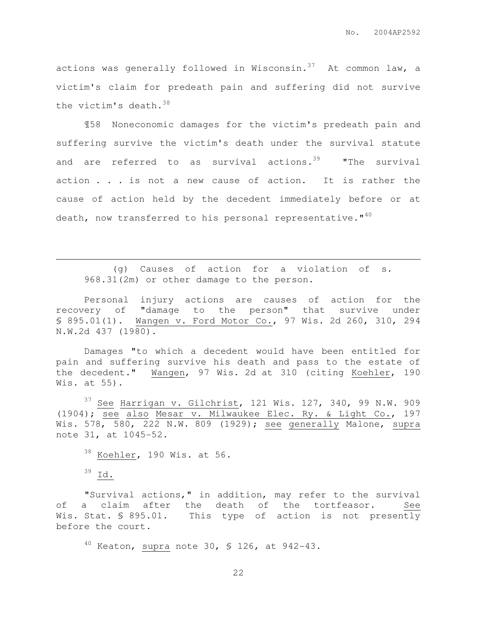actions was generally followed in Wisconsin. $37$  At common law, a victim's claim for predeath pain and suffering did not survive the victim's death.<sup>38</sup>

¶58 Noneconomic damages for the victim's predeath pain and suffering survive the victim's death under the survival statute and are referred to as survival actions.<sup>39</sup> "The survival action . . . is not a new cause of action. It is rather the cause of action held by the decedent immediately before or at death, now transferred to his personal representative. $"$ <sup>40</sup>

(g) Causes of action for a violation of s. 968.31(2m) or other damage to the person.

Personal injury actions are causes of action for the recovery of "damage to the person" that survive under § 895.01(1). Wangen v. Ford Motor Co., 97 Wis. 2d 260, 310, 294 N.W.2d 437 (1980).

Damages "to which a decedent would have been entitled for pain and suffering survive his death and pass to the estate of the decedent." Wangen, 97 Wis. 2d at 310 (citing Koehler, 190 Wis. at 55).

 $37$  See Harrigan v. Gilchrist, 121 Wis. 127, 340, 99 N.W. 909 (1904); see also Mesar v. Milwaukee Elec. Ry. & Light Co., 197 Wis. 578, 580, 222 N.W. 809 (1929); see generally Malone, supra note 31, at 1045-52.

 $38$  Koehler, 190 Wis. at 56.

 $39$  Id.

 $\overline{a}$ 

"Survival actions," in addition, may refer to the survival of a claim after the death of the tortfeasor. See Wis. Stat. § 895.01. This type of action is not presently before the court.

 $40$  Keaton, supra note 30, § 126, at 942-43.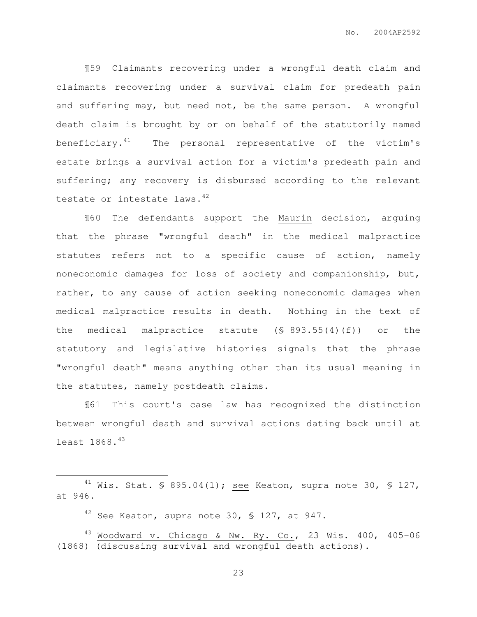¶59 Claimants recovering under a wrongful death claim and claimants recovering under a survival claim for predeath pain and suffering may, but need not, be the same person. A wrongful death claim is brought by or on behalf of the statutorily named beneficiary. $41$  The personal representative of the victim's estate brings a survival action for a victim's predeath pain and suffering; any recovery is disbursed according to the relevant testate or intestate laws.<sup>42</sup>

¶60 The defendants support the Maurin decision, arguing that the phrase "wrongful death" in the medical malpractice statutes refers not to a specific cause of action, namely noneconomic damages for loss of society and companionship, but, rather, to any cause of action seeking noneconomic damages when medical malpractice results in death. Nothing in the text of the medical malpractice statute (§ 893.55(4)(f)) or the statutory and legislative histories signals that the phrase "wrongful death" means anything other than its usual meaning in the statutes, namely postdeath claims.

¶61 This court's case law has recognized the distinction between wrongful death and survival actions dating back until at least 1868.<sup>43</sup>

 $42$  See Keaton, supra note 30, § 127, at 947.

 $\overline{a}$ 

 $^{43}$  Woodward v. Chicago & Nw. Ry. Co., 23 Wis. 400, 405-06 (1868) (discussing survival and wrongful death actions).

 $41$  Wis. Stat. § 895.04(1); see Keaton, supra note 30, § 127, at 946.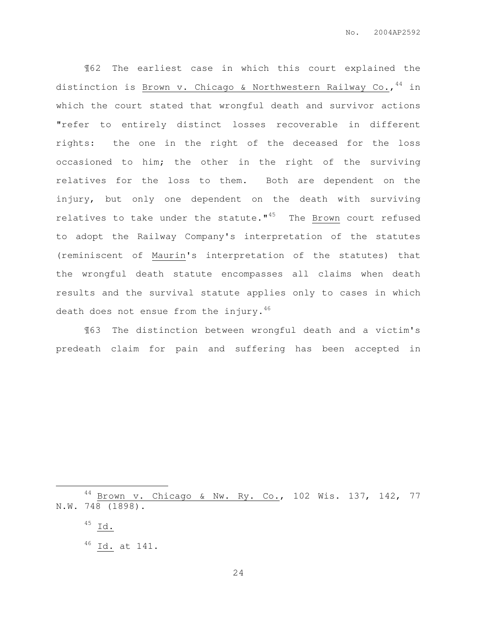¶62 The earliest case in which this court explained the distinction is Brown v. Chicago & Northwestern Railway Co., <sup>44</sup> in which the court stated that wrongful death and survivor actions "refer to entirely distinct losses recoverable in different rights: the one in the right of the deceased for the loss occasioned to him; the other in the right of the surviving relatives for the loss to them. Both are dependent on the injury, but only one dependent on the death with surviving relatives to take under the statute. $145$  The Brown court refused to adopt the Railway Company's interpretation of the statutes (reminiscent of Maurin's interpretation of the statutes) that the wrongful death statute encompasses all claims when death results and the survival statute applies only to cases in which death does not ensue from the injury.<sup>46</sup>

¶63 The distinction between wrongful death and a victim's predeath claim for pain and suffering has been accepted in

 $\overline{a}$ 

<sup>44</sup> Brown v. Chicago & Nw. Ry. Co., 102 Wis. 137, 142, 77 N.W. 748 (1898).

 $^{45}$  Id.

 $^{46}$  Id. at 141.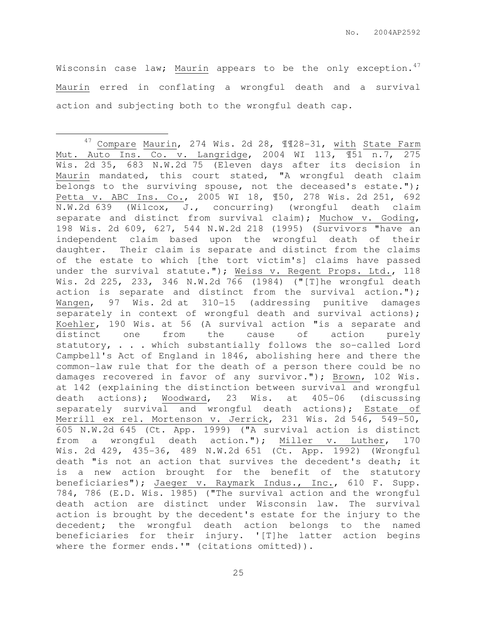Wisconsin case law; Maurin appears to be the only exception. $47$ Maurin erred in conflating a wrongful death and a survival action and subjecting both to the wrongful death cap.

 $\overline{a}$ 

<sup>47</sup> Compare Maurin, 274 Wis. 2d 28, ¶¶28-31, with State Farm Mut. Auto Ins. Co. v. Langridge, 2004 WI 113, ¶51 n.7, 275 Wis. 2d 35, 683 N.W.2d 75 (Eleven days after its decision in Maurin mandated, this court stated, "A wrongful death claim belongs to the surviving spouse, not the deceased's estate."); Petta v. ABC Ins. Co., 2005 WI 18, ¶50, 278 Wis. 2d 251, 692 N.W.2d 639 (Wilcox, J., concurring) (wrongful death claim separate and distinct from survival claim); Muchow v. Goding, 198 Wis. 2d 609, 627, 544 N.W.2d 218 (1995) (Survivors "have an independent claim based upon the wrongful death of their daughter. Their claim is separate and distinct from the claims of the estate to which [the tort victim's] claims have passed under the survival statute."); Weiss v. Regent Props. Ltd., 118 Wis. 2d 225, 233, 346 N.W.2d 766 (1984) ("[T]he wrongful death action is separate and distinct from the survival action."); Wangen, 97 Wis. 2d at 310-15 (addressing punitive damages separately in context of wrongful death and survival actions); Koehler, 190 Wis. at 56 (A survival action "is a separate and distinct one from the cause of action purely statutory, . . . which substantially follows the so-called Lord Campbell's Act of England in 1846, abolishing here and there the common-law rule that for the death of a person there could be no damages recovered in favor of any survivor."); Brown, 102 Wis. at 142 (explaining the distinction between survival and wrongful death actions); Woodward, 23 Wis. at 405-06 (discussing separately survival and wrongful death actions); Estate of Merrill ex rel. Mortenson v. Jerrick, 231 Wis. 2d 546, 549-50, 605 N.W.2d 645 (Ct. App. 1999) ("A survival action is distinct from a wrongful death action."); Miller v. Luther, 170 Wis. 2d 429, 435-36, 489 N.W.2d 651 (Ct. App. 1992) (Wrongful death "is not an action that survives the decedent's death; it is a new action brought for the benefit of the statutory beneficiaries"); Jaeger v. Raymark Indus., Inc., 610 F. Supp. 784, 786 (E.D. Wis. 1985) ("The survival action and the wrongful death action are distinct under Wisconsin law. The survival action is brought by the decedent's estate for the injury to the decedent; the wrongful death action belongs to the named beneficiaries for their injury. '[T]he latter action begins where the former ends.'" (citations omitted)).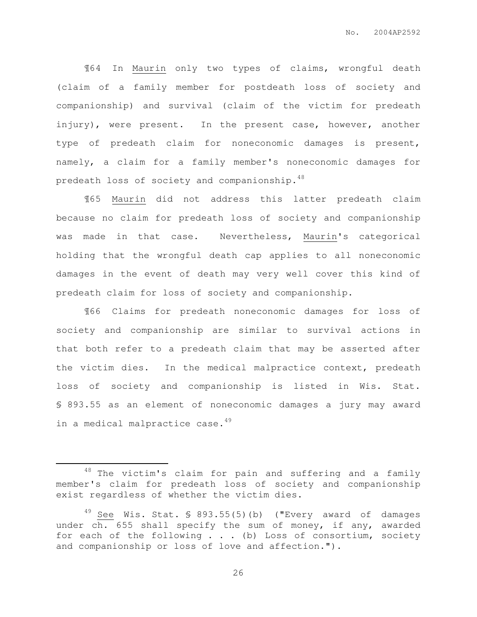¶64 In Maurin only two types of claims, wrongful death (claim of a family member for postdeath loss of society and companionship) and survival (claim of the victim for predeath injury), were present. In the present case, however, another type of predeath claim for noneconomic damages is present, namely, a claim for a family member's noneconomic damages for predeath loss of society and companionship. 48

¶65 Maurin did not address this latter predeath claim because no claim for predeath loss of society and companionship was made in that case. Nevertheless, Maurin's categorical holding that the wrongful death cap applies to all noneconomic damages in the event of death may very well cover this kind of predeath claim for loss of society and companionship.

¶66 Claims for predeath noneconomic damages for loss of society and companionship are similar to survival actions in that both refer to a predeath claim that may be asserted after the victim dies. In the medical malpractice context, predeath loss of society and companionship is listed in Wis. Stat. § 893.55 as an element of noneconomic damages a jury may award in a medical malpractice case.<sup>49</sup>

 $\overline{a}$ 

 $48$  The victim's claim for pain and suffering and a family member's claim for predeath loss of society and companionship exist regardless of whether the victim dies.

 $49$  See Wis. Stat. § 893.55(5)(b) ("Every award of damages under ch. 655 shall specify the sum of money, if any, awarded for each of the following . . . (b) Loss of consortium, society and companionship or loss of love and affection.").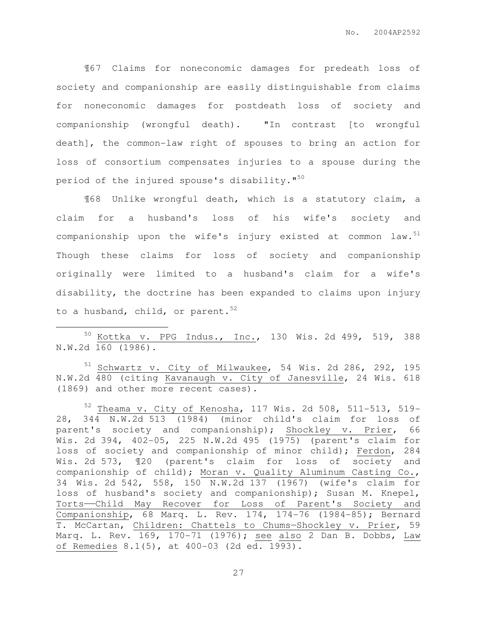¶67 Claims for noneconomic damages for predeath loss of society and companionship are easily distinguishable from claims for noneconomic damages for postdeath loss of society and companionship (wrongful death). "In contrast [to wrongful death], the common-law right of spouses to bring an action for loss of consortium compensates injuries to a spouse during the period of the injured spouse's disability."<sup>50</sup>

¶68 Unlike wrongful death, which is a statutory claim, a claim for a husband's loss of his wife's society and companionship upon the wife's injury existed at common law. $51$ Though these claims for loss of society and companionship originally were limited to a husband's claim for a wife's disability, the doctrine has been expanded to claims upon injury to a husband, child, or parent.  $52$ 

<sup>50</sup> Kottka v. PPG Indus., Inc., 130 Wis. 2d 499, 519, 388 N.W.2d 160 (1986).

 $\overline{a}$ 

<sup>51</sup> Schwartz v. City of Milwaukee, 54 Wis. 2d 286, 292, 195 N.W.2d 480 (citing Kavanaugh v. City of Janesville, 24 Wis. 618 (1869) and other more recent cases).

 $52$  Theama v. City of Kenosha, 117 Wis. 2d 508, 511-513, 519-28, 344 N.W.2d 513 (1984) (minor child's claim for loss of parent's society and companionship); Shockley v. Prier, 66 Wis. 2d 394, 402-05, 225 N.W.2d 495 (1975) (parent's claim for loss of society and companionship of minor child); Ferdon, 284 Wis. 2d 573, ¶20 (parent's claim for loss of society and companionship of child); Moran v. Quality Aluminum Casting Co., 34 Wis. 2d 542, 558, 150 N.W.2d 137 (1967) (wife's claim for loss of husband's society and companionship); Susan M. Knepel, Torts——Child May Recover for Loss of Parent's Society and Companionship, 68 Marq. L. Rev. 174, 174-76 (1984-85); Bernard T. McCartan, Children: Chattels to Chums—Shockley v. Prier, 59 Marq. L. Rev. 169, 170-71 (1976); see also 2 Dan B. Dobbs, Law of Remedies 8.1(5), at 400-03 (2d ed. 1993).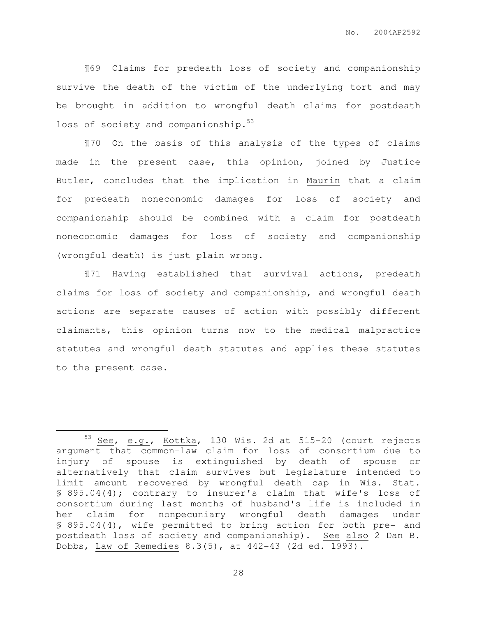¶69 Claims for predeath loss of society and companionship survive the death of the victim of the underlying tort and may be brought in addition to wrongful death claims for postdeath loss of society and companionship.<sup>53</sup>

¶70 On the basis of this analysis of the types of claims made in the present case, this opinion, joined by Justice Butler, concludes that the implication in Maurin that a claim for predeath noneconomic damages for loss of society and companionship should be combined with a claim for postdeath noneconomic damages for loss of society and companionship (wrongful death) is just plain wrong.

¶71 Having established that survival actions, predeath claims for loss of society and companionship, and wrongful death actions are separate causes of action with possibly different claimants, this opinion turns now to the medical malpractice statutes and wrongful death statutes and applies these statutes to the present case.

 $\overline{a}$ 

<sup>53</sup> See, e.g.,  $Kottka$ , 130 Wis. 2d at 515-20 (court rejects argument that common-law claim for loss of consortium due to injury of spouse is extinguished by death of spouse or alternatively that claim survives but legislature intended to limit amount recovered by wrongful death cap in Wis. Stat. § 895.04(4); contrary to insurer's claim that wife's loss of consortium during last months of husband's life is included in her claim for nonpecuniary wrongful death damages under § 895.04(4), wife permitted to bring action for both pre- and postdeath loss of society and companionship). See also 2 Dan B. Dobbs, Law of Remedies 8.3(5), at 442-43 (2d ed. 1993).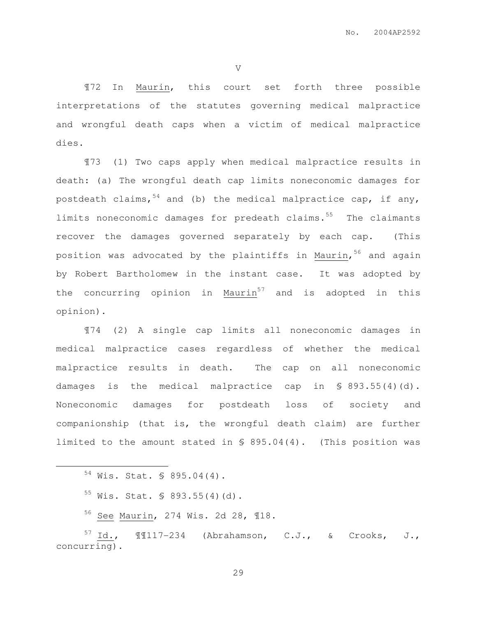V

¶72 In Maurin, this court set forth three possible interpretations of the statutes governing medical malpractice and wrongful death caps when a victim of medical malpractice dies.

¶73 (1) Two caps apply when medical malpractice results in death: (a) The wrongful death cap limits noneconomic damages for postdeath claims,  $54$  and (b) the medical malpractice cap, if any, limits noneconomic damages for predeath claims.<sup>55</sup> The claimants recover the damages governed separately by each cap. (This position was advocated by the plaintiffs in Maurin, <sup>56</sup> and again by Robert Bartholomew in the instant case. It was adopted by the concurring opinion in  $Maurin<sup>57</sup>$  and is adopted in this opinion).

¶74 (2) A single cap limits all noneconomic damages in medical malpractice cases regardless of whether the medical malpractice results in death. The cap on all noneconomic damages is the medical malpractice cap in  $\S$  893.55(4)(d). Noneconomic damages for postdeath loss of society and companionship (that is, the wrongful death claim) are further limited to the amount stated in § 895.04(4). (This position was

<sup>54</sup> Wis. Stat. § 895.04(4).

 $\overline{a}$ 

 $55$  Wis. Stat. § 893.55(4)(d).

<sup>56</sup> See Maurin, 274 Wis. 2d 28, ¶18.

 $57$  Id.,  $\text{M117-234}$  (Abrahamson, C.J., & Crooks, J., concurring).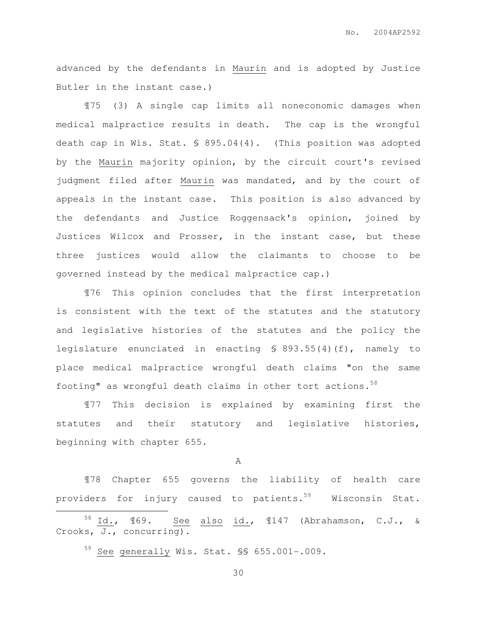advanced by the defendants in Maurin and is adopted by Justice Butler in the instant case.)

¶75 (3) A single cap limits all noneconomic damages when medical malpractice results in death. The cap is the wrongful death cap in Wis. Stat. § 895.04(4). (This position was adopted by the Maurin majority opinion, by the circuit court's revised judgment filed after Maurin was mandated, and by the court of appeals in the instant case. This position is also advanced by the defendants and Justice Roggensack's opinion, joined by Justices Wilcox and Prosser, in the instant case, but these three justices would allow the claimants to choose to be governed instead by the medical malpractice cap.)

¶76 This opinion concludes that the first interpretation is consistent with the text of the statutes and the statutory and legislative histories of the statutes and the policy the legislature enunciated in enacting § 893.55(4)(f), namely to place medical malpractice wrongful death claims "on the same footing" as wrongful death claims in other tort actions. $58$ 

¶77 This decision is explained by examining first the statutes and their statutory and legislative histories, beginning with chapter 655.

A

¶78 Chapter 655 governs the liability of health care providers for injury caused to patients.<sup>59</sup> Wisconsin Stat.  $\overline{a}$ 

<sup>58</sup> Id., ¶69. See also id., ¶147 (Abrahamson, C.J., & Crooks, J., concurring).

<sup>59</sup> See generally Wis. Stat. §§ 655.001-.009.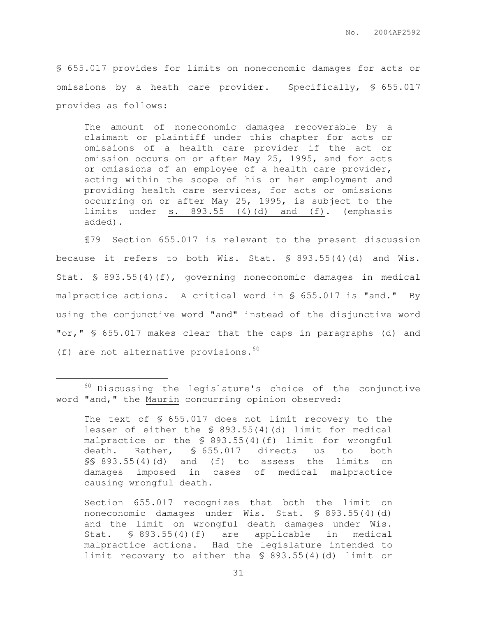§ 655.017 provides for limits on noneconomic damages for acts or omissions by a heath care provider. Specifically, § 655.017 provides as follows:

The amount of noneconomic damages recoverable by a claimant or plaintiff under this chapter for acts or omissions of a health care provider if the act or omission occurs on or after May 25, 1995, and for acts or omissions of an employee of a health care provider, acting within the scope of his or her employment and providing health care services, for acts or omissions occurring on or after May 25, 1995, is subject to the limits under  $s. 893.55 (4)(d)$  and  $(f).$  (emphasis added).

¶79 Section 655.017 is relevant to the present discussion because it refers to both Wis. Stat. § 893.55(4)(d) and Wis. Stat. § 893.55(4)(f), governing noneconomic damages in medical malpractice actions. A critical word in § 655.017 is "and." By using the conjunctive word "and" instead of the disjunctive word "or," § 655.017 makes clear that the caps in paragraphs (d) and (f) are not alternative provisions.  $60$ 

 $\overline{a}$ 

The text of § 655.017 does not limit recovery to the lesser of either the § 893.55(4)(d) limit for medical malpractice or the § 893.55(4)(f) limit for wrongful death. Rather, § 655.017 directs us to both §§ 893.55(4)(d) and (f) to assess the limits on damages imposed in cases of medical malpractice causing wrongful death.

Section 655.017 recognizes that both the limit on noneconomic damages under Wis. Stat. § 893.55(4)(d) and the limit on wrongful death damages under Wis. Stat. § 893.55(4)(f) are applicable in medical malpractice actions. Had the legislature intended to limit recovery to either the § 893.55(4)(d) limit or

 $60$  Discussing the legislature's choice of the conjunctive word "and," the Maurin concurring opinion observed: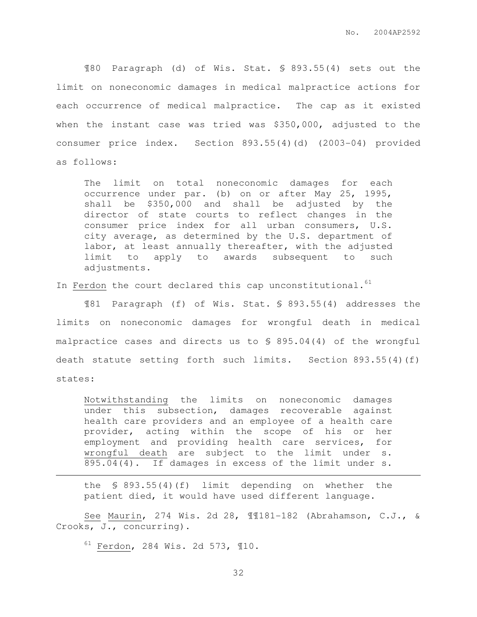¶80 Paragraph (d) of Wis. Stat. § 893.55(4) sets out the limit on noneconomic damages in medical malpractice actions for each occurrence of medical malpractice. The cap as it existed when the instant case was tried was \$350,000, adjusted to the consumer price index. Section 893.55(4)(d) (2003-04) provided as follows:

The limit on total noneconomic damages for each occurrence under par. (b) on or after May 25, 1995, shall be \$350,000 and shall be adjusted by the director of state courts to reflect changes in the consumer price index for all urban consumers, U.S. city average, as determined by the U.S. department of labor, at least annually thereafter, with the adjusted limit to apply to awards subsequent to such adjustments.

In Ferdon the court declared this cap unconstitutional.<sup>61</sup>

¶81 Paragraph (f) of Wis. Stat. § 893.55(4) addresses the limits on noneconomic damages for wrongful death in medical malpractice cases and directs us to § 895.04(4) of the wrongful death statute setting forth such limits. Section 893.55(4)(f) states:

Notwithstanding the limits on noneconomic damages under this subsection, damages recoverable against health care providers and an employee of a health care provider, acting within the scope of his or her employment and providing health care services, for wrongful death are subject to the limit under s. 895.04(4). If damages in excess of the limit under s.

the § 893.55(4)(f) limit depending on whether the patient died, it would have used different language.

See Maurin, 274 Wis. 2d 28, ¶¶181-182 (Abrahamson, C.J., & Crooks, J., concurring).

<sup>61</sup> Ferdon, 284 Wis. 2d 573, ¶10.

 $\overline{a}$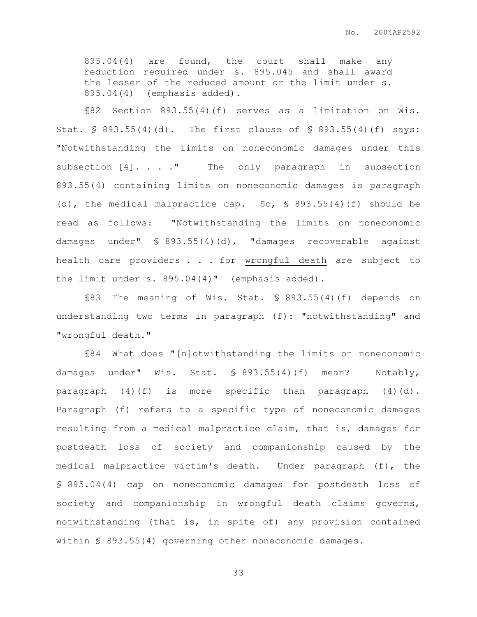895.04(4) are found, the court shall make any reduction required under s. 895.045 and shall award the lesser of the reduced amount or the limit under s. 895.04(4) (emphasis added).

¶82 Section 893.55(4)(f) serves as a limitation on Wis. Stat. § 893.55(4)(d). The first clause of § 893.55(4)(f) says: "Notwithstanding the limits on noneconomic damages under this subsection [4]. . . . " The only paragraph in subsection 893.55(4) containing limits on noneconomic damages is paragraph (d), the medical malpractice cap. So,  $\frac{1}{5}$  893.55(4)(f) should be read as follows: "Notwithstanding the limits on noneconomic damages under" § 893.55(4)(d), "damages recoverable against health care providers . . . for wrongful death are subject to the limit under s. 895.04(4)" (emphasis added).

¶83 The meaning of Wis. Stat. § 893.55(4)(f) depends on understanding two terms in paragraph (f): "notwithstanding" and "wrongful death."

¶84 What does "[n]otwithstanding the limits on noneconomic damages under" Wis. Stat. § 893.55(4)(f) mean? Notably, paragraph  $(4)(f)$  is more specific than paragraph  $(4)(d)$ . Paragraph (f) refers to a specific type of noneconomic damages resulting from a medical malpractice claim, that is, damages for postdeath loss of society and companionship caused by the medical malpractice victim's death. Under paragraph (f), the § 895.04(4) cap on noneconomic damages for postdeath loss of society and companionship in wrongful death claims governs, notwithstanding (that is, in spite of) any provision contained within § 893.55(4) governing other noneconomic damages.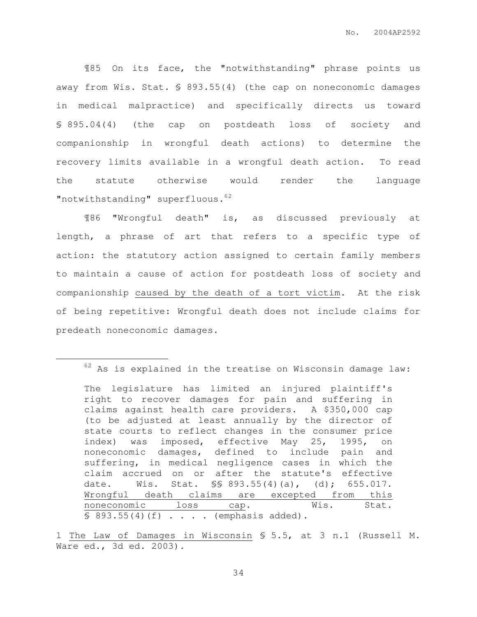¶85 On its face, the "notwithstanding" phrase points us away from Wis. Stat. § 893.55(4) (the cap on noneconomic damages in medical malpractice) and specifically directs us toward § 895.04(4) (the cap on postdeath loss of society and companionship in wrongful death actions) to determine the recovery limits available in a wrongful death action. To read the statute otherwise would render the language "notwithstanding" superfluous.<sup>62</sup>

¶86 "Wrongful death" is, as discussed previously at length, a phrase of art that refers to a specific type of action: the statutory action assigned to certain family members to maintain a cause of action for postdeath loss of society and companionship caused by the death of a tort victim. At the risk of being repetitive: Wrongful death does not include claims for predeath noneconomic damages.

 $\overline{a}$ 

 $62$  As is explained in the treatise on Wisconsin damage law:

The legislature has limited an injured plaintiff's right to recover damages for pain and suffering in claims against health care providers. A \$350,000 cap (to be adjusted at least annually by the director of state courts to reflect changes in the consumer price index) was imposed, effective May 25, 1995, on noneconomic damages, defined to include pain and suffering, in medical negligence cases in which the claim accrued on or after the statute's effective date. Wis. Stat. §§ 893.55(4)(a), (d); 655.017. Wrongful death claims are excepted from this noneconomic loss cap. **Wis.** Stat.  $$893.55(4)(f) . . . . (emphasis added).$ 

<sup>1</sup> The Law of Damages in Wisconsin § 5.5, at 3 n.1 (Russell M. Ware ed., 3d ed. 2003).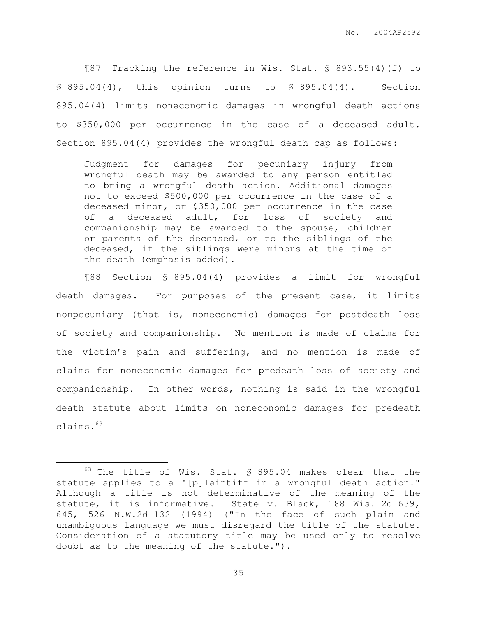¶87 Tracking the reference in Wis. Stat. § 893.55(4)(f) to § 895.04(4), this opinion turns to § 895.04(4). Section 895.04(4) limits noneconomic damages in wrongful death actions to \$350,000 per occurrence in the case of a deceased adult. Section 895.04(4) provides the wrongful death cap as follows:

Judgment for damages for pecuniary injury from wrongful death may be awarded to any person entitled to bring a wrongful death action. Additional damages not to exceed \$500,000 per occurrence in the case of a deceased minor, or \$350,000 per occurrence in the case of a deceased adult, for loss of society and companionship may be awarded to the spouse, children or parents of the deceased, or to the siblings of the deceased, if the siblings were minors at the time of the death (emphasis added).

¶88 Section § 895.04(4) provides a limit for wrongful death damages. For purposes of the present case, it limits nonpecuniary (that is, noneconomic) damages for postdeath loss of society and companionship. No mention is made of claims for the victim's pain and suffering, and no mention is made of claims for noneconomic damages for predeath loss of society and companionship. In other words, nothing is said in the wrongful death statute about limits on noneconomic damages for predeath claims.<sup>63</sup>

 $\overline{a}$ 

<sup>63</sup> The title of Wis. Stat. § 895.04 makes clear that the statute applies to a "[p]laintiff in a wrongful death action." Although a title is not determinative of the meaning of the statute, it is informative. State v. Black, 188 Wis. 2d 639, 645, 526 N.W.2d 132 (1994) ("In the face of such plain and unambiguous language we must disregard the title of the statute. Consideration of a statutory title may be used only to resolve doubt as to the meaning of the statute.").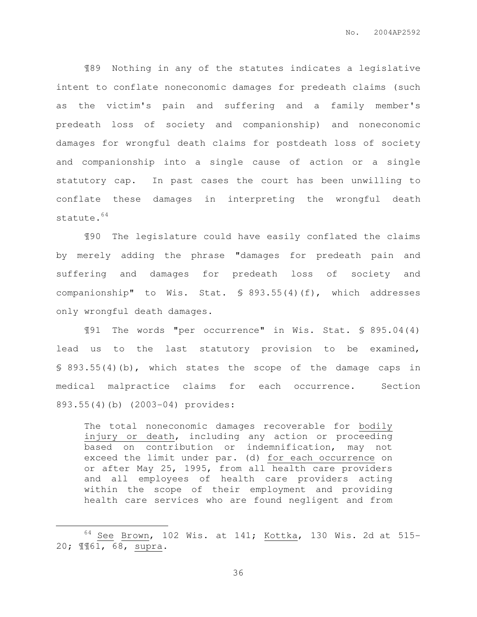¶89 Nothing in any of the statutes indicates a legislative intent to conflate noneconomic damages for predeath claims (such as the victim's pain and suffering and a family member's predeath loss of society and companionship) and noneconomic damages for wrongful death claims for postdeath loss of society and companionship into a single cause of action or a single statutory cap. In past cases the court has been unwilling to conflate these damages in interpreting the wrongful death statute.<sup>64</sup>

¶90 The legislature could have easily conflated the claims by merely adding the phrase "damages for predeath pain and suffering and damages for predeath loss of society and companionship" to Wis. Stat. § 893.55(4)(f), which addresses only wrongful death damages.

¶91 The words "per occurrence" in Wis. Stat. § 895.04(4) lead us to the last statutory provision to be examined, § 893.55(4)(b), which states the scope of the damage caps in medical malpractice claims for each occurrence. Section 893.55(4)(b) (2003-04) provides:

The total noneconomic damages recoverable for bodily injury or death, including any action or proceeding based on contribution or indemnification, may not exceed the limit under par. (d) for each occurrence on or after May 25, 1995, from all health care providers and all employees of health care providers acting within the scope of their employment and providing health care services who are found negligent and from

 $\overline{a}$ 

 $64$  See Brown, 102 Wis. at 141; Kottka, 130 Wis. 2d at 515-20; ¶¶61, 68, supra.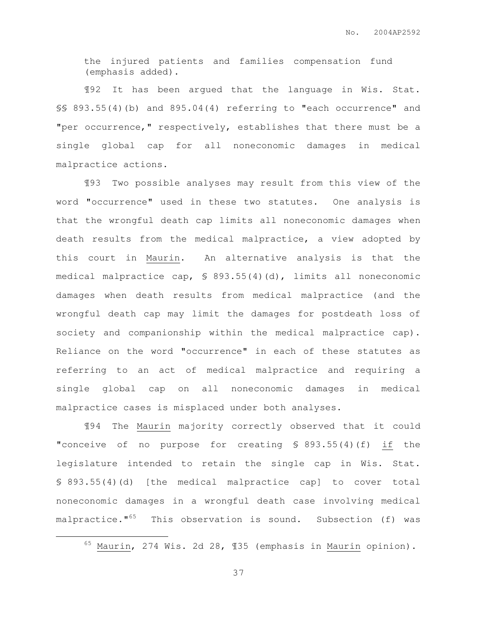the injured patients and families compensation fund (emphasis added).

¶92 It has been argued that the language in Wis. Stat. §§ 893.55(4)(b) and 895.04(4) referring to "each occurrence" and "per occurrence," respectively, establishes that there must be a single global cap for all noneconomic damages in medical malpractice actions.

¶93 Two possible analyses may result from this view of the word "occurrence" used in these two statutes. One analysis is that the wrongful death cap limits all noneconomic damages when death results from the medical malpractice, a view adopted by this court in Maurin. An alternative analysis is that the medical malpractice cap, § 893.55(4)(d), limits all noneconomic damages when death results from medical malpractice (and the wrongful death cap may limit the damages for postdeath loss of society and companionship within the medical malpractice cap). Reliance on the word "occurrence" in each of these statutes as referring to an act of medical malpractice and requiring a single global cap on all noneconomic damages in medical malpractice cases is misplaced under both analyses.

¶94 The Maurin majority correctly observed that it could "conceive of no purpose for creating § 893.55(4)(f) if the legislature intended to retain the single cap in Wis. Stat. § 893.55(4)(d) [the medical malpractice cap] to cover total noneconomic damages in a wrongful death case involving medical malpractice."<sup>65</sup> This observation is sound. Subsection (f) was

37

 $\overline{a}$ 

<sup>&</sup>lt;sup>65</sup> Maurin, 274 Wis. 2d 28, 135 (emphasis in Maurin opinion).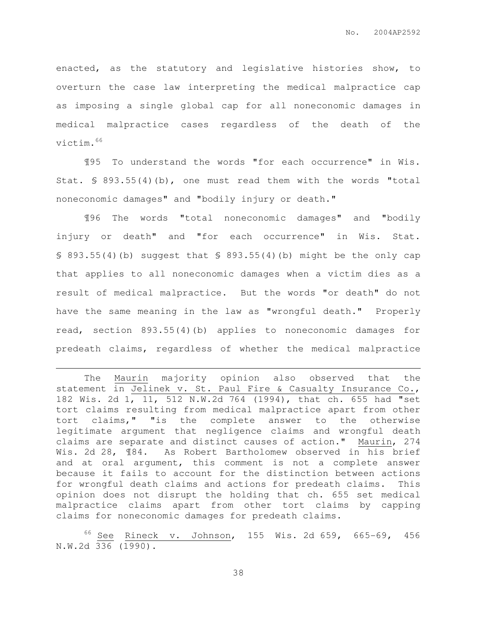enacted, as the statutory and legislative histories show, to overturn the case law interpreting the medical malpractice cap as imposing a single global cap for all noneconomic damages in medical malpractice cases regardless of the death of the victim.<sup>66</sup>

¶95 To understand the words "for each occurrence" in Wis. Stat. § 893.55(4)(b), one must read them with the words "total noneconomic damages" and "bodily injury or death."

¶96 The words "total noneconomic damages" and "bodily injury or death" and "for each occurrence" in Wis. Stat. § 893.55(4)(b) suggest that § 893.55(4)(b) might be the only cap that applies to all noneconomic damages when a victim dies as a result of medical malpractice. But the words "or death" do not have the same meaning in the law as "wrongful death." Properly read, section 893.55(4)(b) applies to noneconomic damages for predeath claims, regardless of whether the medical malpractice

 $\overline{a}$ 

The Maurin majority opinion also observed that the statement in Jelinek v. St. Paul Fire & Casualty Insurance Co., 182 Wis. 2d 1, 11, 512 N.W.2d 764 (1994), that ch. 655 had "set tort claims resulting from medical malpractice apart from other tort claims," "is the complete answer to the otherwise legitimate argument that negligence claims and wrongful death claims are separate and distinct causes of action." Maurin, 274 Wis. 2d 28,  $\$84$ . As Robert Bartholomew observed in his brief and at oral argument, this comment is not a complete answer because it fails to account for the distinction between actions for wrongful death claims and actions for predeath claims. This opinion does not disrupt the holding that ch. 655 set medical malpractice claims apart from other tort claims by capping claims for noneconomic damages for predeath claims.

 $66$  See Rineck v. Johnson, 155 Wis. 2d 659, 665-69, 456 N.W.2d 336 (1990).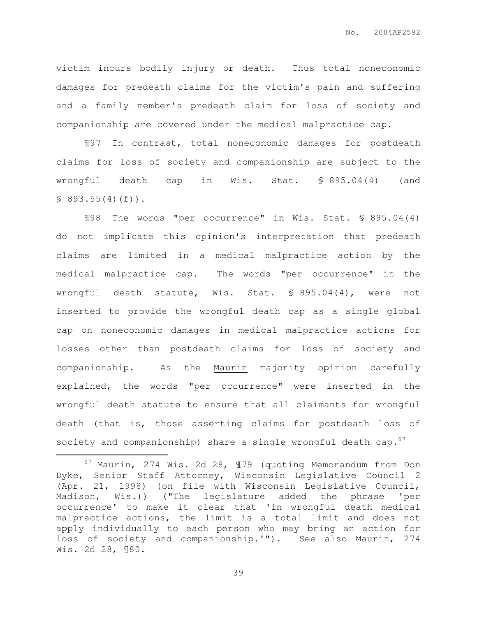victim incurs bodily injury or death. Thus total noneconomic damages for predeath claims for the victim's pain and suffering and a family member's predeath claim for loss of society and companionship are covered under the medical malpractice cap.

¶97 In contrast, total noneconomic damages for postdeath claims for loss of society and companionship are subject to the wrongful death cap in Wis. Stat. § 895.04(4) (and  $$893.55(4)(f)$ .

¶98 The words "per occurrence" in Wis. Stat. § 895.04(4) do not implicate this opinion's interpretation that predeath claims are limited in a medical malpractice action by the medical malpractice cap. The words "per occurrence" in the wrongful death statute, Wis. Stat. § 895.04(4), were not inserted to provide the wrongful death cap as a single global cap on noneconomic damages in medical malpractice actions for losses other than postdeath claims for loss of society and companionship. As the Maurin majority opinion carefully explained, the words "per occurrence" were inserted in the wrongful death statute to ensure that all claimants for wrongful death (that is, those asserting claims for postdeath loss of society and companionship) share a single wrongful death  $cap.^{67}$ 

 $\overline{a}$ 

<sup>67</sup> Maurin, 274 Wis. 2d 28, ¶79 (quoting Memorandum from Don Dyke, Senior Staff Attorney, Wisconsin Legislative Council 2 (Apr. 21, 1998) (on file with Wisconsin Legislative Council, Madison, Wis.)) ("The legislature added the phrase 'per occurrence' to make it clear that 'in wrongful death medical malpractice actions, the limit is a total limit and does not apply individually to each person who may bring an action for loss of society and companionship.'"). See also Maurin, 274 Wis. 2d 28, ¶80.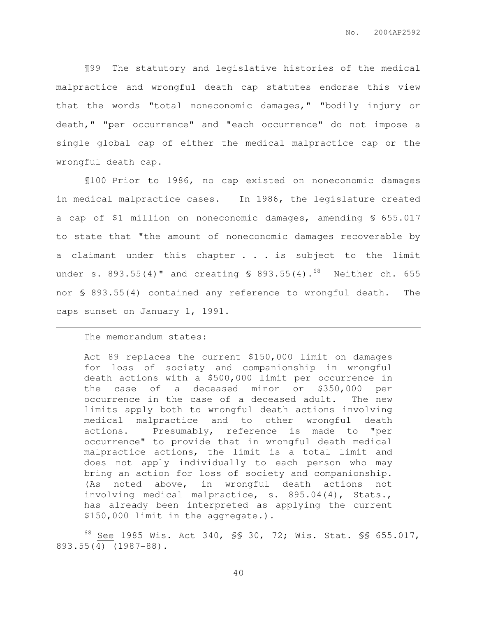¶99 The statutory and legislative histories of the medical malpractice and wrongful death cap statutes endorse this view that the words "total noneconomic damages," "bodily injury or death," "per occurrence" and "each occurrence" do not impose a single global cap of either the medical malpractice cap or the wrongful death cap.

¶100 Prior to 1986, no cap existed on noneconomic damages in medical malpractice cases. In 1986, the legislature created a cap of \$1 million on noneconomic damages, amending § 655.017 to state that "the amount of noneconomic damages recoverable by a claimant under this chapter . . . is subject to the limit under s. 893.55(4)" and creating  $$893.55(4)$ .<sup>68</sup> Neither ch. 655 nor § 893.55(4) contained any reference to wrongful death. The caps sunset on January 1, 1991.

## The memorandum states:

 $\overline{a}$ 

Act 89 replaces the current \$150,000 limit on damages for loss of society and companionship in wrongful death actions with a \$500,000 limit per occurrence in the case of a deceased minor or \$350,000 per occurrence in the case of a deceased adult. The new limits apply both to wrongful death actions involving medical malpractice and to other wrongful death actions. Presumably, reference is made to "per occurrence" to provide that in wrongful death medical malpractice actions, the limit is a total limit and does not apply individually to each person who may bring an action for loss of society and companionship. (As noted above, in wrongful death actions not involving medical malpractice, s. 895.04(4), Stats., has already been interpreted as applying the current \$150,000 limit in the aggregate.).

 $^{68}$  See 1985 Wis. Act 340, SS 30, 72; Wis. Stat. SS 655.017, 893.55(4) (1987-88).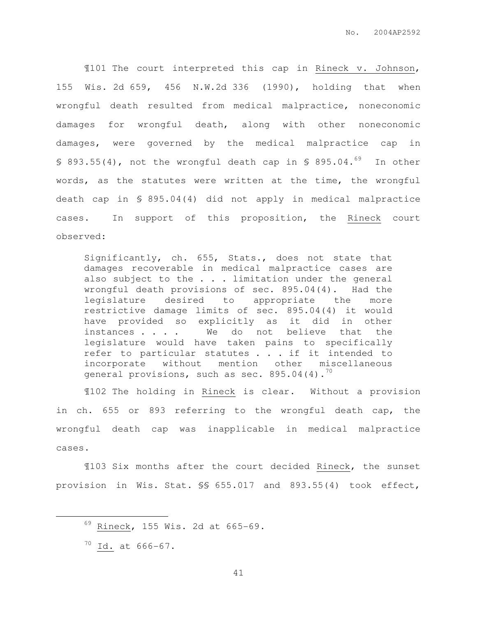¶101 The court interpreted this cap in Rineck v. Johnson, 155 Wis. 2d 659, 456 N.W.2d 336 (1990), holding that when wrongful death resulted from medical malpractice, noneconomic damages for wrongful death, along with other noneconomic damages, were governed by the medical malpractice cap in § 893.55(4), not the wrongful death cap in § 895.04. $^{69}$  In other words, as the statutes were written at the time, the wrongful death cap in § 895.04(4) did not apply in medical malpractice cases. In support of this proposition, the Rineck court observed:

Significantly, ch. 655, Stats., does not state that damages recoverable in medical malpractice cases are also subject to the . . . limitation under the general wrongful death provisions of sec. 895.04(4). Had the legislature desired to appropriate the more restrictive damage limits of sec. 895.04(4) it would have provided so explicitly as it did in other instances . . . We do not believe that the legislature would have taken pains to specifically refer to particular statutes . . . if it intended to incorporate without mention other miscellaneous general provisions, such as sec.  $895.04(4).$ <sup>70</sup>

¶102 The holding in Rineck is clear. Without a provision in ch. 655 or 893 referring to the wrongful death cap, the wrongful death cap was inapplicable in medical malpractice cases.

¶103 Six months after the court decided Rineck, the sunset provision in Wis. Stat. §§ 655.017 and 893.55(4) took effect,

 $\overline{a}$ 

 $69$  Rineck, 155 Wis. 2d at 665-69.

<sup>70</sup> Id. at 666-67.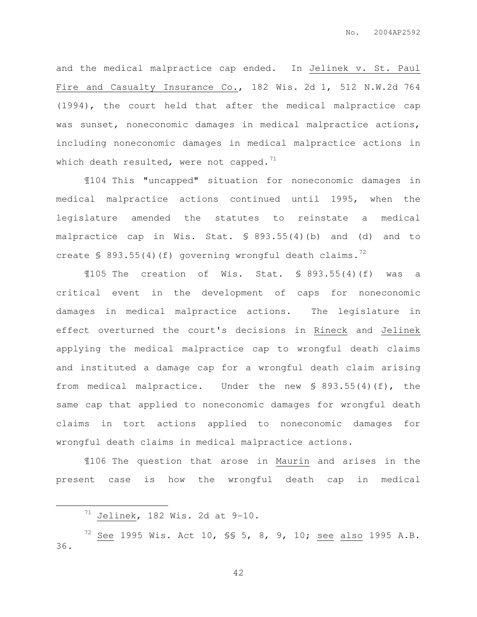and the medical malpractice cap ended. In Jelinek v. St. Paul Fire and Casualty Insurance Co., 182 Wis. 2d 1, 512 N.W.2d 764 (1994), the court held that after the medical malpractice cap was sunset, noneconomic damages in medical malpractice actions, including noneconomic damages in medical malpractice actions in which death resulted, were not capped.<sup>71</sup>

¶104 This "uncapped" situation for noneconomic damages in medical malpractice actions continued until 1995, when the legislature amended the statutes to reinstate a medical malpractice cap in Wis. Stat. § 893.55(4)(b) and (d) and to create  $\sqrt{5}$  893.55(4)(f) governing wrongful death claims.<sup>72</sup>

¶105 The creation of Wis. Stat. § 893.55(4)(f) was a critical event in the development of caps for noneconomic damages in medical malpractice actions. The legislature in effect overturned the court's decisions in Rineck and Jelinek applying the medical malpractice cap to wrongful death claims and instituted a damage cap for a wrongful death claim arising from medical malpractice. Under the new § 893.55(4)(f), the same cap that applied to noneconomic damages for wrongful death claims in tort actions applied to noneconomic damages for wrongful death claims in medical malpractice actions.

¶106 The question that arose in Maurin and arises in the present case is how the wrongful death cap in medical

 $\overline{a}$ 

 $71$  Jelinek, 182 Wis. 2d at 9-10.

 $72$  See 1995 Wis. Act 10, SS 5, 8, 9, 10; see also 1995 A.B. 36.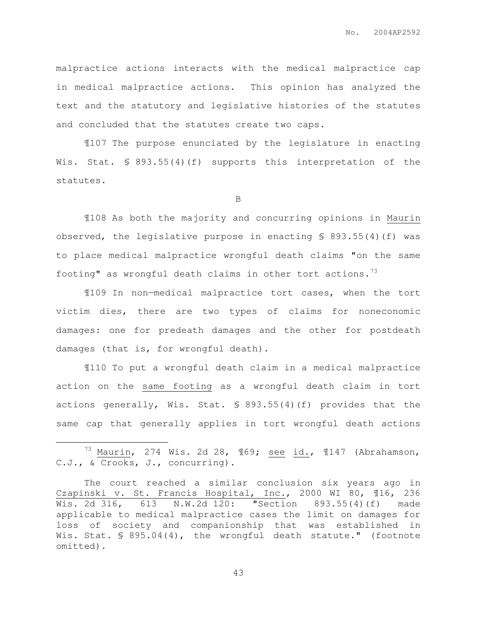malpractice actions interacts with the medical malpractice cap in medical malpractice actions. This opinion has analyzed the text and the statutory and legislative histories of the statutes and concluded that the statutes create two caps.

¶107 The purpose enunciated by the legislature in enacting Wis. Stat. § 893.55(4)(f) supports this interpretation of the statutes.

B

¶108 As both the majority and concurring opinions in Maurin observed, the legislative purpose in enacting § 893.55(4)(f) was to place medical malpractice wrongful death claims "on the same footing" as wrongful death claims in other tort actions. $^{73}$ 

¶109 In non—medical malpractice tort cases, when the tort victim dies, there are two types of claims for noneconomic damages: one for predeath damages and the other for postdeath damages (that is, for wrongful death).

¶110 To put a wrongful death claim in a medical malpractice action on the same footing as a wrongful death claim in tort actions generally, Wis. Stat. § 893.55(4)(f) provides that the same cap that generally applies in tort wrongful death actions

 $\overline{a}$ 

<sup>&</sup>lt;sup>73</sup> Maurin, 274 Wis. 2d 28,  $\overline{169}$ ; <u>see</u> id.,  $\overline{1147}$  (Abrahamson, C.J., & Crooks, J., concurring).

The court reached a similar conclusion six years ago in Czapinski v. St. Francis Hospital, Inc., 2000 WI 80, ¶16, 236 Wis. 2d 316, 613 N.W.2d 120: "Section 893.55(4)(f) made applicable to medical malpractice cases the limit on damages for loss of society and companionship that was established in Wis. Stat. § 895.04(4), the wrongful death statute." (footnote omitted).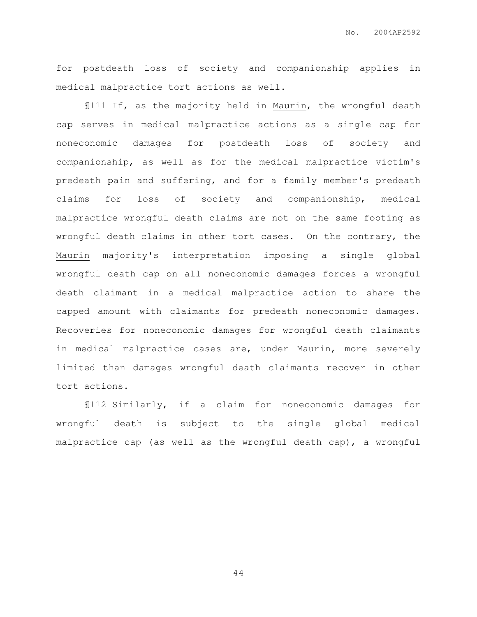No. 2004AP2592

for postdeath loss of society and companionship applies in medical malpractice tort actions as well.

¶111 If, as the majority held in Maurin, the wrongful death cap serves in medical malpractice actions as a single cap for noneconomic damages for postdeath loss of society and companionship, as well as for the medical malpractice victim's predeath pain and suffering, and for a family member's predeath claims for loss of society and companionship, medical malpractice wrongful death claims are not on the same footing as wrongful death claims in other tort cases. On the contrary, the Maurin majority's interpretation imposing a single global wrongful death cap on all noneconomic damages forces a wrongful death claimant in a medical malpractice action to share the capped amount with claimants for predeath noneconomic damages. Recoveries for noneconomic damages for wrongful death claimants in medical malpractice cases are, under Maurin, more severely limited than damages wrongful death claimants recover in other tort actions.

¶112 Similarly, if a claim for noneconomic damages for wrongful death is subject to the single global medical malpractice cap (as well as the wrongful death cap), a wrongful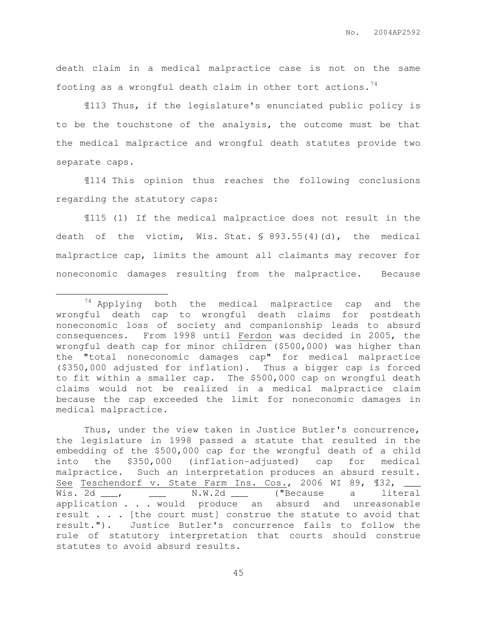death claim in a medical malpractice case is not on the same footing as a wrongful death claim in other tort actions.  $74$ 

¶113 Thus, if the legislature's enunciated public policy is to be the touchstone of the analysis, the outcome must be that the medical malpractice and wrongful death statutes provide two separate caps.

¶114 This opinion thus reaches the following conclusions regarding the statutory caps:

¶115 (1) If the medical malpractice does not result in the death of the victim, Wis. Stat. § 893.55(4)(d), the medical malpractice cap, limits the amount all claimants may recover for noneconomic damages resulting from the malpractice. Because

 $\overline{a}$ 

Thus, under the view taken in Justice Butler's concurrence, the legislature in 1998 passed a statute that resulted in the embedding of the \$500,000 cap for the wrongful death of a child into the \$350,000 (inflation-adjusted) cap for medical malpractice. Such an interpretation produces an absurd result. See Teschendorf v. State Farm Ins. Cos., 2006 WI 89, 132, \_\_ Wis. 2d  $\frac{1}{\sqrt{N}}$  wis. 2d  $\frac{1}{\sqrt{N}}$   $\frac{1}{\sqrt{N}}$   $\frac{1}{\sqrt{N}}$  ("Because a literal application . . . would produce an absurd and unreasonable result . . . [the court must] construe the statute to avoid that result."). Justice Butler's concurrence fails to follow the rule of statutory interpretation that courts should construe statutes to avoid absurd results.

<sup>&</sup>lt;sup>74</sup> Applying both the medical malpractice cap and the wrongful death cap to wrongful death claims for postdeath noneconomic loss of society and companionship leads to absurd consequences. From 1998 until Ferdon was decided in 2005, the wrongful death cap for minor children (\$500,000) was higher than the "total noneconomic damages cap" for medical malpractice (\$350,000 adjusted for inflation). Thus a bigger cap is forced to fit within a smaller cap. The \$500,000 cap on wrongful death claims would not be realized in a medical malpractice claim because the cap exceeded the limit for noneconomic damages in medical malpractice.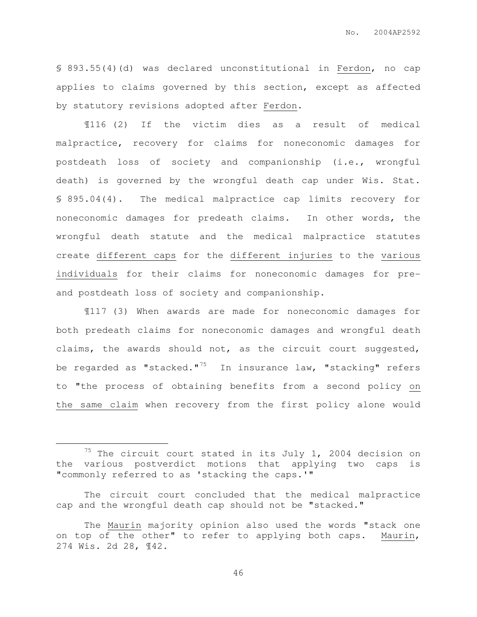§ 893.55(4)(d) was declared unconstitutional in Ferdon, no cap applies to claims governed by this section, except as affected by statutory revisions adopted after Ferdon.

¶116 (2) If the victim dies as a result of medical malpractice, recovery for claims for noneconomic damages for postdeath loss of society and companionship (i.e., wrongful death) is governed by the wrongful death cap under Wis. Stat. § 895.04(4). The medical malpractice cap limits recovery for noneconomic damages for predeath claims. In other words, the wrongful death statute and the medical malpractice statutes create different caps for the different injuries to the various individuals for their claims for noneconomic damages for preand postdeath loss of society and companionship.

¶117 (3) When awards are made for noneconomic damages for both predeath claims for noneconomic damages and wrongful death claims, the awards should not, as the circuit court suggested, be regarded as "stacked." $75$  In insurance law, "stacking" refers to "the process of obtaining benefits from a second policy on the same claim when recovery from the first policy alone would

 $\overline{a}$ 

 $75$  The circuit court stated in its July 1, 2004 decision on the various postverdict motions that applying two caps is "commonly referred to as 'stacking the caps.'"

The circuit court concluded that the medical malpractice cap and the wrongful death cap should not be "stacked."

The Maurin majority opinion also used the words "stack one on top of the other" to refer to applying both caps. Maurin, 274 Wis. 2d 28, ¶42.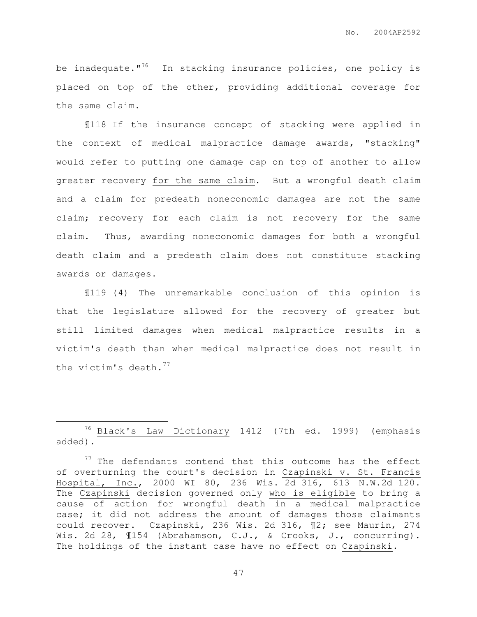be inadequate."<sup>76</sup> In stacking insurance policies, one policy is placed on top of the other, providing additional coverage for the same claim.

¶118 If the insurance concept of stacking were applied in the context of medical malpractice damage awards, "stacking" would refer to putting one damage cap on top of another to allow greater recovery for the same claim. But a wrongful death claim and a claim for predeath noneconomic damages are not the same claim; recovery for each claim is not recovery for the same claim. Thus, awarding noneconomic damages for both a wrongful death claim and a predeath claim does not constitute stacking awards or damages.

¶119 (4) The unremarkable conclusion of this opinion is that the legislature allowed for the recovery of greater but still limited damages when medical malpractice results in a victim's death than when medical malpractice does not result in the victim's death. $77$ 

 $\overline{a}$ 

<sup>76</sup> Black's Law Dictionary 1412 (7th ed. 1999) (emphasis added).

 $77$  The defendants contend that this outcome has the effect of overturning the court's decision in Czapinski v. St. Francis Hospital, Inc., 2000 WI 80, 236 Wis. 2d 316, 613 N.W.2d 120. The Czapinski decision governed only who is eligible to bring a cause of action for wrongful death in a medical malpractice case; it did not address the amount of damages those claimants could recover. Czapinski, 236 Wis. 2d 316, ¶2; see Maurin, 274 Wis. 2d 28,  $\text{\texttt{I154}}$  (Abrahamson, C.J., & Crooks, J., concurring). The holdings of the instant case have no effect on Czapinski.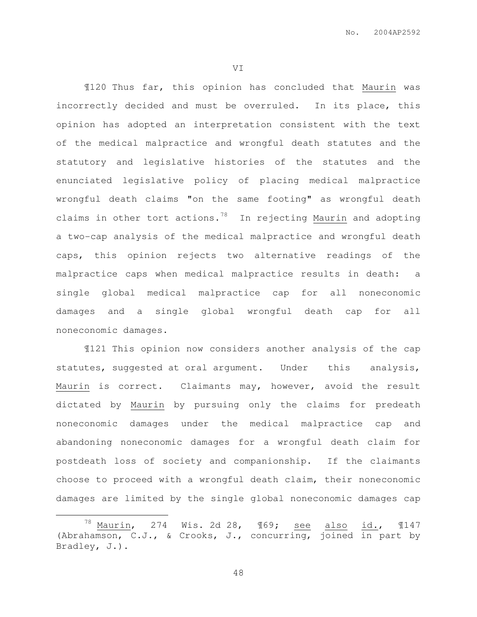VI

 ¶120 Thus far, this opinion has concluded that Maurin was incorrectly decided and must be overruled. In its place, this opinion has adopted an interpretation consistent with the text of the medical malpractice and wrongful death statutes and the statutory and legislative histories of the statutes and the enunciated legislative policy of placing medical malpractice wrongful death claims "on the same footing" as wrongful death claims in other tort actions. $78$  In rejecting Maurin and adopting a two-cap analysis of the medical malpractice and wrongful death caps, this opinion rejects two alternative readings of the malpractice caps when medical malpractice results in death: a single global medical malpractice cap for all noneconomic damages and a single global wrongful death cap for all noneconomic damages.

¶121 This opinion now considers another analysis of the cap statutes, suggested at oral argument. Under this analysis, Maurin is correct. Claimants may, however, avoid the result dictated by Maurin by pursuing only the claims for predeath noneconomic damages under the medical malpractice cap and abandoning noneconomic damages for a wrongful death claim for postdeath loss of society and companionship. If the claimants choose to proceed with a wrongful death claim, their noneconomic damages are limited by the single global noneconomic damages cap

 $\overline{a}$ 

 $^{78}$  Maurin, 274 Wis. 2d 28,  $\text{\textsterling}69$ ; see also id.,  $\text{\textsterling}147$ (Abrahamson, C.J., & Crooks, J., concurring, joined in part by Bradley, J.).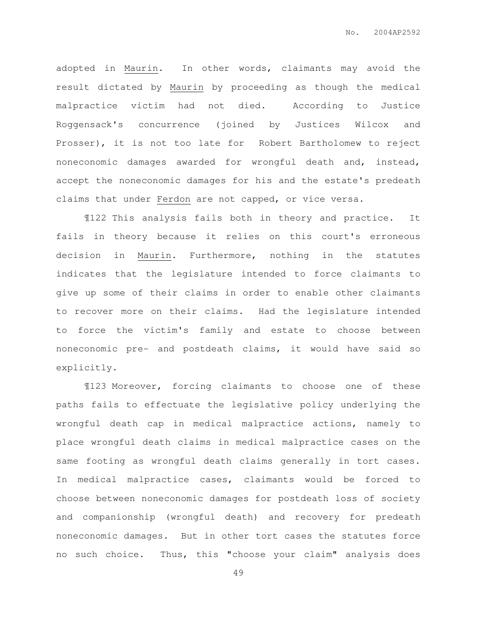adopted in Maurin. In other words, claimants may avoid the result dictated by Maurin by proceeding as though the medical malpractice victim had not died. According to Justice Roggensack's concurrence (joined by Justices Wilcox and Prosser), it is not too late for Robert Bartholomew to reject noneconomic damages awarded for wrongful death and, instead, accept the noneconomic damages for his and the estate's predeath claims that under Ferdon are not capped, or vice versa.

¶122 This analysis fails both in theory and practice. It fails in theory because it relies on this court's erroneous decision in Maurin. Furthermore, nothing in the statutes indicates that the legislature intended to force claimants to give up some of their claims in order to enable other claimants to recover more on their claims. Had the legislature intended to force the victim's family and estate to choose between noneconomic pre- and postdeath claims, it would have said so explicitly.

¶123 Moreover, forcing claimants to choose one of these paths fails to effectuate the legislative policy underlying the wrongful death cap in medical malpractice actions, namely to place wrongful death claims in medical malpractice cases on the same footing as wrongful death claims generally in tort cases. In medical malpractice cases, claimants would be forced to choose between noneconomic damages for postdeath loss of society and companionship (wrongful death) and recovery for predeath noneconomic damages. But in other tort cases the statutes force no such choice. Thus, this "choose your claim" analysis does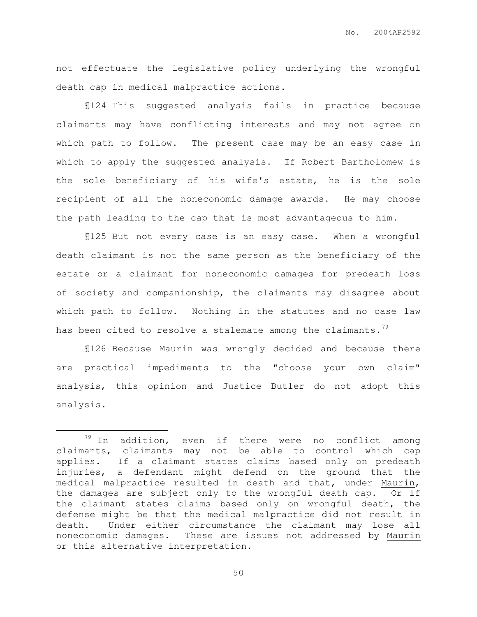not effectuate the legislative policy underlying the wrongful death cap in medical malpractice actions.

¶124 This suggested analysis fails in practice because claimants may have conflicting interests and may not agree on which path to follow. The present case may be an easy case in which to apply the suggested analysis. If Robert Bartholomew is the sole beneficiary of his wife's estate, he is the sole recipient of all the noneconomic damage awards. He may choose the path leading to the cap that is most advantageous to him.

¶125 But not every case is an easy case. When a wrongful death claimant is not the same person as the beneficiary of the estate or a claimant for noneconomic damages for predeath loss of society and companionship, the claimants may disagree about which path to follow. Nothing in the statutes and no case law has been cited to resolve a stalemate among the claimants.<sup>79</sup>

¶126 Because Maurin was wrongly decided and because there are practical impediments to the "choose your own claim" analysis, this opinion and Justice Butler do not adopt this analysis.

 $\overline{a}$ 

 $79$  In addition, even if there were no conflict among claimants, claimants may not be able to control which cap applies. If a claimant states claims based only on predeath injuries, a defendant might defend on the ground that the medical malpractice resulted in death and that, under Maurin, the damages are subject only to the wrongful death cap. Or if the claimant states claims based only on wrongful death, the defense might be that the medical malpractice did not result in death. Under either circumstance the claimant may lose all noneconomic damages. These are issues not addressed by Maurin or this alternative interpretation.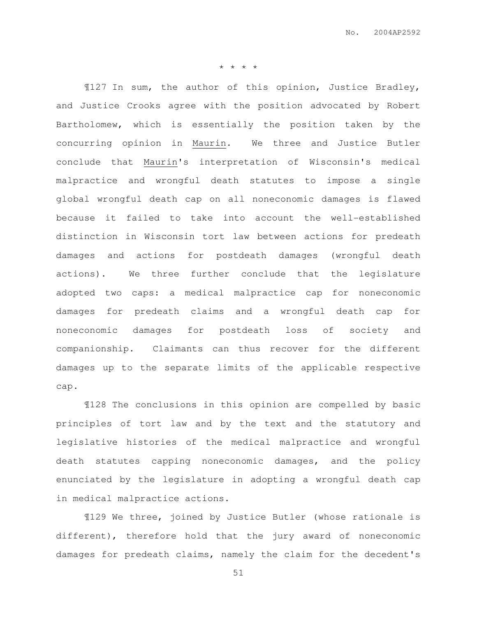\* \* \* \*

¶127 In sum, the author of this opinion, Justice Bradley, and Justice Crooks agree with the position advocated by Robert Bartholomew, which is essentially the position taken by the concurring opinion in Maurin. We three and Justice Butler conclude that Maurin's interpretation of Wisconsin's medical malpractice and wrongful death statutes to impose a single global wrongful death cap on all noneconomic damages is flawed because it failed to take into account the well-established distinction in Wisconsin tort law between actions for predeath damages and actions for postdeath damages (wrongful death actions). We three further conclude that the legislature adopted two caps: a medical malpractice cap for noneconomic damages for predeath claims and a wrongful death cap for noneconomic damages for postdeath loss of society and companionship. Claimants can thus recover for the different damages up to the separate limits of the applicable respective cap.

¶128 The conclusions in this opinion are compelled by basic principles of tort law and by the text and the statutory and legislative histories of the medical malpractice and wrongful death statutes capping noneconomic damages, and the policy enunciated by the legislature in adopting a wrongful death cap in medical malpractice actions.

¶129 We three, joined by Justice Butler (whose rationale is different), therefore hold that the jury award of noneconomic damages for predeath claims, namely the claim for the decedent's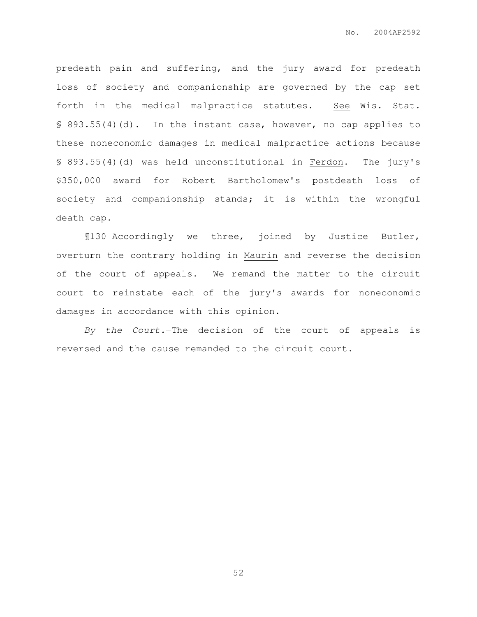predeath pain and suffering, and the jury award for predeath loss of society and companionship are governed by the cap set forth in the medical malpractice statutes. See Wis. Stat. § 893.55(4)(d). In the instant case, however, no cap applies to these noneconomic damages in medical malpractice actions because § 893.55(4)(d) was held unconstitutional in Ferdon. The jury's \$350,000 award for Robert Bartholomew's postdeath loss of society and companionship stands; it is within the wrongful death cap.

¶130 Accordingly we three, joined by Justice Butler, overturn the contrary holding in Maurin and reverse the decision of the court of appeals. We remand the matter to the circuit court to reinstate each of the jury's awards for noneconomic damages in accordance with this opinion.

By the Court.—The decision of the court of appeals is reversed and the cause remanded to the circuit court.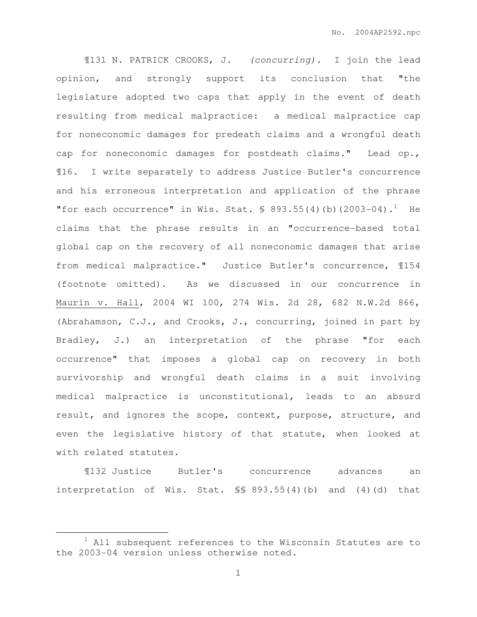¶131 N. PATRICK CROOKS, J. (concurring). I join the lead opinion, and strongly support its conclusion that "the legislature adopted two caps that apply in the event of death resulting from medical malpractice: a medical malpractice cap for noneconomic damages for predeath claims and a wrongful death cap for noneconomic damages for postdeath claims." Lead op., ¶16. I write separately to address Justice Butler's concurrence and his erroneous interpretation and application of the phrase "for each occurrence" in Wis. Stat.  $\frac{1}{5}$  893.55(4)(b)(2003-04).<sup>1</sup> He claims that the phrase results in an "occurrence-based total global cap on the recovery of all noneconomic damages that arise from medical malpractice." Justice Butler's concurrence, ¶154 (footnote omitted). As we discussed in our concurrence in Maurin v. Hall, 2004 WI 100, 274 Wis. 2d 28, 682 N.W.2d 866, (Abrahamson, C.J., and Crooks, J., concurring, joined in part by Bradley, J.) an interpretation of the phrase "for each occurrence" that imposes a global cap on recovery in both survivorship and wrongful death claims in a suit involving medical malpractice is unconstitutional, leads to an absurd result, and ignores the scope, context, purpose, structure, and even the legislative history of that statute, when looked at with related statutes.

¶132 Justice Butler's concurrence advances an interpretation of Wis. Stat. §§ 893.55(4)(b) and (4)(d) that

 $\overline{a}$ 

 $1$  All subsequent references to the Wisconsin Statutes are to the 2003-04 version unless otherwise noted.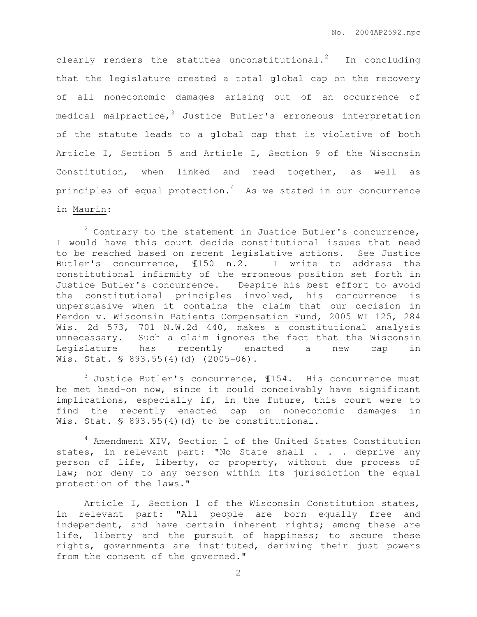clearly renders the statutes unconstitutional.<sup>2</sup> In concluding that the legislature created a total global cap on the recovery of all noneconomic damages arising out of an occurrence of medical malpractice,  $3$  Justice Butler's erroneous interpretation of the statute leads to a global cap that is violative of both Article I, Section 5 and Article I, Section 9 of the Wisconsin Constitution, when linked and read together, as well as principles of equal protection. $4$  As we stated in our concurrence in Maurin:

 $\overline{a}$ 

 $3$  Justice Butler's concurrence,  $154$ . His concurrence must be met head-on now, since it could conceivably have significant implications, especially if, in the future, this court were to find the recently enacted cap on noneconomic damages in Wis. Stat. § 893.55(4)(d) to be constitutional.

<sup>4</sup> Amendment XIV, Section 1 of the United States Constitution states, in relevant part: "No State shall . . . deprive any person of life, liberty, or property, without due process of law; nor deny to any person within its jurisdiction the equal protection of the laws."

Article I, Section 1 of the Wisconsin Constitution states, in relevant part: "All people are born equally free and independent, and have certain inherent rights; among these are life, liberty and the pursuit of happiness; to secure these rights, governments are instituted, deriving their just powers from the consent of the governed."

 $2$  Contrary to the statement in Justice Butler's concurrence, I would have this court decide constitutional issues that need to be reached based on recent legislative actions. See Justice Butler's concurrence, ¶150 n.2. I write to address the constitutional infirmity of the erroneous position set forth in Justice Butler's concurrence. Despite his best effort to avoid the constitutional principles involved, his concurrence is unpersuasive when it contains the claim that our decision in Ferdon v. Wisconsin Patients Compensation Fund, 2005 WI 125, 284 Wis. 2d 573, 701 N.W.2d 440, makes a constitutional analysis unnecessary. Such a claim ignores the fact that the Wisconsin Legislature has recently enacted a new cap in Wis. Stat. § 893.55(4)(d) (2005-06).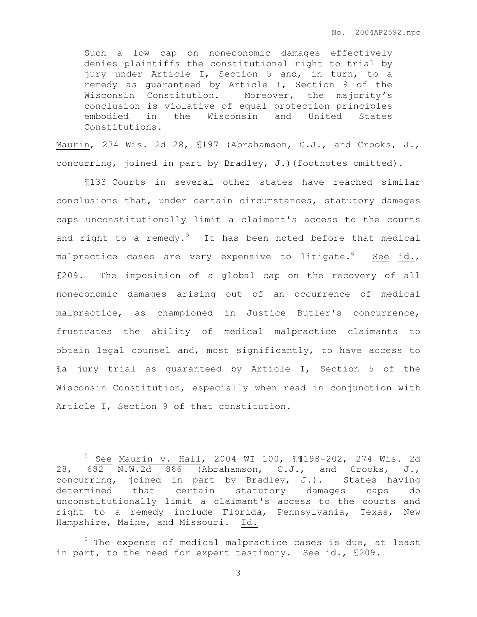Such a low cap on noneconomic damages effectively denies plaintiffs the constitutional right to trial by jury under Article I, Section 5 and, in turn, to a remedy as guaranteed by Article I, Section 9 of the Wisconsin Constitution. Moreover, the majority's conclusion is violative of equal protection principles embodied in the Wisconsin and United States Constitutions.

Maurin, 274 Wis. 2d 28, ¶197 (Abrahamson, C.J., and Crooks, J., concurring, joined in part by Bradley, J.)(footnotes omitted).

¶133 Courts in several other states have reached similar conclusions that, under certain circumstances, statutory damages caps unconstitutionally limit a claimant's access to the courts and right to a remedy.<sup>5</sup> It has been noted before that medical malpractice cases are very expensive to litigate.<sup>6</sup> See id., ¶209. The imposition of a global cap on the recovery of all noneconomic damages arising out of an occurrence of medical malpractice, as championed in Justice Butler's concurrence, frustrates the ability of medical malpractice claimants to obtain legal counsel and, most significantly, to have access to ¶a jury trial as guaranteed by Article I, Section 5 of the Wisconsin Constitution, especially when read in conjunction with Article I, Section 9 of that constitution.

 $\overline{a}$ 

<sup>5</sup> See Maurin v. Hall, 2004 WI 100, ¶¶198-202, 274 Wis. 2d 28, 682 N.W.2d 866 (Abrahamson, C.J., and Crooks, J., concurring, joined in part by Bradley, J.). States having determined that certain statutory damages caps do unconstitutionally limit a claimant's access to the courts and right to a remedy include Florida, Pennsylvania, Texas, New Hampshire, Maine, and Missouri. Id.

 $6$  The expense of medical malpractice cases is due, at least in part, to the need for expert testimony. See id., 1209.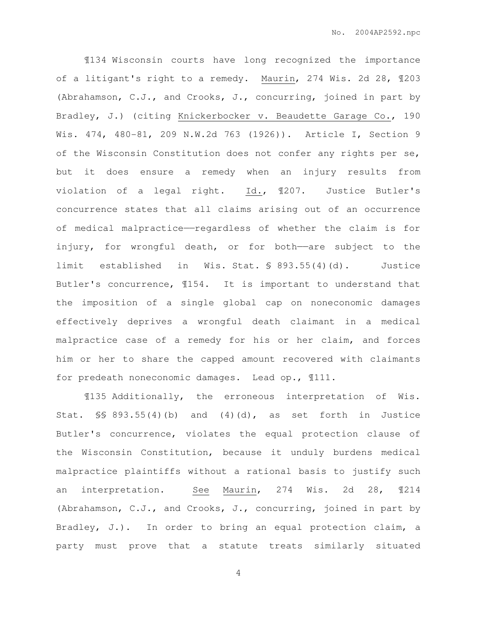¶134 Wisconsin courts have long recognized the importance of a litigant's right to a remedy. Maurin, 274 Wis. 2d 28, ¶203 (Abrahamson, C.J., and Crooks, J., concurring, joined in part by Bradley, J.) (citing Knickerbocker v. Beaudette Garage Co., 190 Wis. 474, 480-81, 209 N.W.2d 763 (1926)). Article I, Section 9 of the Wisconsin Constitution does not confer any rights per se, but it does ensure a remedy when an injury results from violation of a legal right. Id., ¶207. Justice Butler's concurrence states that all claims arising out of an occurrence of medical malpractice——regardless of whether the claim is for injury, for wrongful death, or for both-are subject to the limit established in Wis. Stat. § 893.55(4)(d). Justice Butler's concurrence, ¶154. It is important to understand that the imposition of a single global cap on noneconomic damages effectively deprives a wrongful death claimant in a medical malpractice case of a remedy for his or her claim, and forces him or her to share the capped amount recovered with claimants for predeath noneconomic damages. Lead op., ¶111.

¶135 Additionally, the erroneous interpretation of Wis. Stat.  $\frac{1}{5}$  893.55(4)(b) and (4)(d), as set forth in Justice Butler's concurrence, violates the equal protection clause of the Wisconsin Constitution, because it unduly burdens medical malpractice plaintiffs without a rational basis to justify such an interpretation. See Maurin, 274 Wis. 2d 28, ¶214 (Abrahamson, C.J., and Crooks, J., concurring, joined in part by Bradley, J.). In order to bring an equal protection claim, a party must prove that a statute treats similarly situated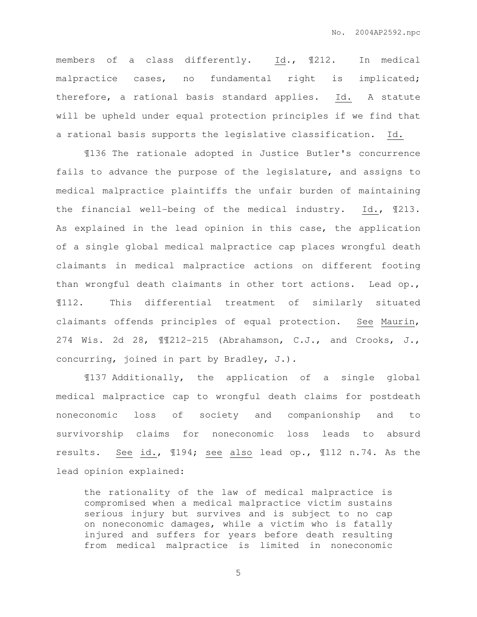members of a class differently. Id., ¶212. In medical malpractice cases, no fundamental right is implicated; therefore, a rational basis standard applies. Id. A statute will be upheld under equal protection principles if we find that a rational basis supports the legislative classification. Id.

¶136 The rationale adopted in Justice Butler's concurrence fails to advance the purpose of the legislature, and assigns to medical malpractice plaintiffs the unfair burden of maintaining the financial well-being of the medical industry. Id., ¶213. As explained in the lead opinion in this case, the application of a single global medical malpractice cap places wrongful death claimants in medical malpractice actions on different footing than wrongful death claimants in other tort actions. Lead op., ¶112. This differential treatment of similarly situated claimants offends principles of equal protection. See Maurin, 274 Wis. 2d 28, ¶¶212-215 (Abrahamson, C.J., and Crooks, J., concurring, joined in part by Bradley, J.).

¶137 Additionally, the application of a single global medical malpractice cap to wrongful death claims for postdeath noneconomic loss of society and companionship and to survivorship claims for noneconomic loss leads to absurd results. See id., ¶194; see also lead op., ¶112 n.74. As the lead opinion explained:

the rationality of the law of medical malpractice is compromised when a medical malpractice victim sustains serious injury but survives and is subject to no cap on noneconomic damages, while a victim who is fatally injured and suffers for years before death resulting from medical malpractice is limited in noneconomic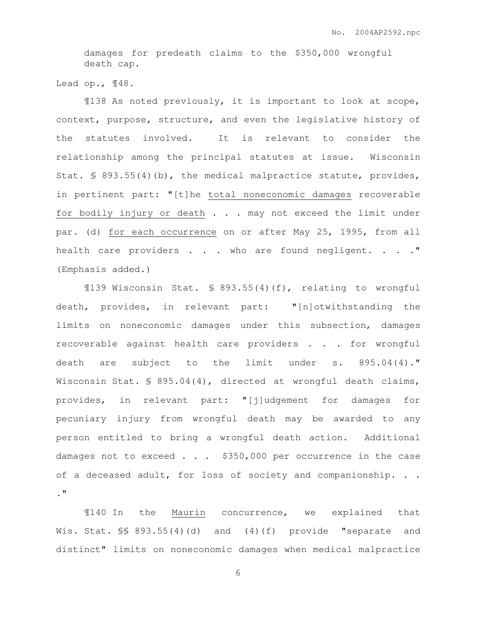damages for predeath claims to the \$350,000 wrongful death cap.

Lead op., ¶48.

¶138 As noted previously, it is important to look at scope, context, purpose, structure, and even the legislative history of the statutes involved. It is relevant to consider the relationship among the principal statutes at issue. Wisconsin Stat. § 893.55(4)(b), the medical malpractice statute, provides, in pertinent part: "[t]he total noneconomic damages recoverable for bodily injury or death . . . may not exceed the limit under par. (d) for each occurrence on or after May 25, 1995, from all health care providers . . . who are found negligent. . . . " (Emphasis added.)

¶139 Wisconsin Stat. § 893.55(4)(f), relating to wrongful death, provides, in relevant part: "[n]otwithstanding the limits on noneconomic damages under this subsection, damages recoverable against health care providers . . . for wrongful death are subject to the limit under s. 895.04(4)." Wisconsin Stat. § 895.04(4), directed at wrongful death claims, provides, in relevant part: "[j]udgement for damages for pecuniary injury from wrongful death may be awarded to any person entitled to bring a wrongful death action. Additional damages not to exceed  $\ldots$  \$350,000 per occurrence in the case of a deceased adult, for loss of society and companionship. . . ."

¶140 In the Maurin concurrence, we explained that Wis. Stat. §§ 893.55(4)(d) and (4)(f) provide "separate and distinct" limits on noneconomic damages when medical malpractice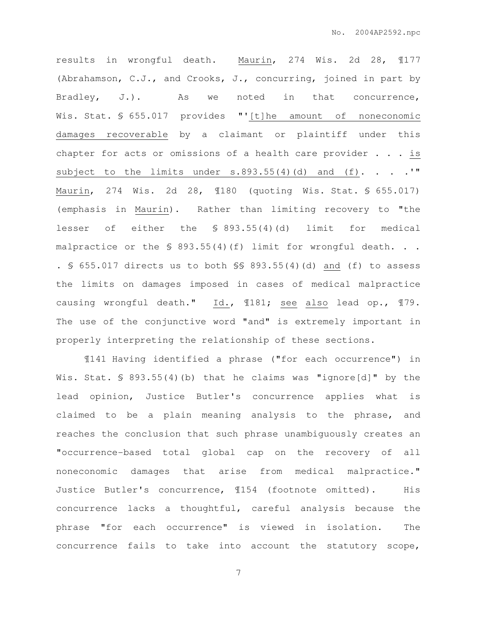results in wrongful death. Maurin, 274 Wis. 2d 28, ¶177 (Abrahamson, C.J., and Crooks, J., concurring, joined in part by Bradley, J.). As we noted in that concurrence, Wis. Stat. § 655.017 provides "'[t]he amount of noneconomic damages recoverable by a claimant or plaintiff under this chapter for acts or omissions of a health care provider  $\ldots$  is subject to the limits under  $s.893.55(4)(d)$  and  $(f)$ . . . . " Maurin, 274 Wis. 2d 28, ¶180 (quoting Wis. Stat. § 655.017) (emphasis in Maurin). Rather than limiting recovery to "the lesser of either the § 893.55(4)(d) limit for medical malpractice or the  $\frac{1}{5}$  893.55(4)(f) limit for wrongful death. . . . § 655.017 directs us to both §§ 893.55(4)(d) and (f) to assess the limits on damages imposed in cases of medical malpractice causing wrongful death." Id., ¶181; see also lead op., ¶79. The use of the conjunctive word "and" is extremely important in properly interpreting the relationship of these sections.

¶141 Having identified a phrase ("for each occurrence") in Wis. Stat. § 893.55(4)(b) that he claims was "ignore[d]" by the lead opinion, Justice Butler's concurrence applies what is claimed to be a plain meaning analysis to the phrase, and reaches the conclusion that such phrase unambiguously creates an "occurrence-based total global cap on the recovery of all noneconomic damages that arise from medical malpractice." Justice Butler's concurrence, ¶154 (footnote omitted). His concurrence lacks a thoughtful, careful analysis because the phrase "for each occurrence" is viewed in isolation. The concurrence fails to take into account the statutory scope,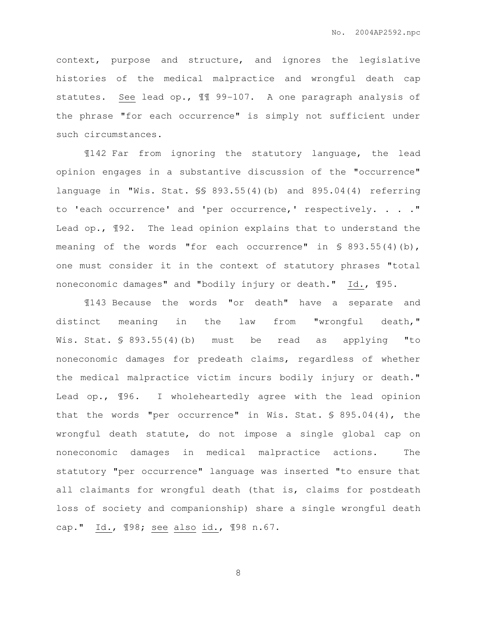context, purpose and structure, and ignores the legislative histories of the medical malpractice and wrongful death cap statutes. See lead op., ¶¶ 99-107. A one paragraph analysis of the phrase "for each occurrence" is simply not sufficient under such circumstances.

¶142 Far from ignoring the statutory language, the lead opinion engages in a substantive discussion of the "occurrence" language in "Wis. Stat. §§ 893.55(4)(b) and 895.04(4) referring to 'each occurrence' and 'per occurrence,' respectively. . . ." Lead op., ¶92. The lead opinion explains that to understand the meaning of the words "for each occurrence" in § 893.55(4)(b), one must consider it in the context of statutory phrases "total noneconomic damages" and "bodily injury or death." Id., ¶95.

¶143 Because the words "or death" have a separate and distinct meaning in the law from "wrongful death," Wis. Stat. § 893.55(4)(b) must be read as applying "to noneconomic damages for predeath claims, regardless of whether the medical malpractice victim incurs bodily injury or death." Lead op., ¶96. I wholeheartedly agree with the lead opinion that the words "per occurrence" in Wis. Stat. § 895.04(4), the wrongful death statute, do not impose a single global cap on noneconomic damages in medical malpractice actions. The statutory "per occurrence" language was inserted "to ensure that all claimants for wrongful death (that is, claims for postdeath loss of society and companionship) share a single wrongful death cap." Id., ¶98; see also id., ¶98 n.67.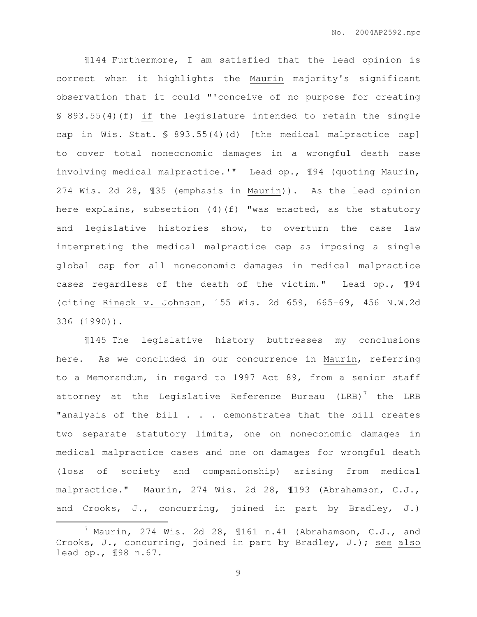¶144 Furthermore, I am satisfied that the lead opinion is correct when it highlights the Maurin majority's significant observation that it could "'conceive of no purpose for creating § 893.55(4)(f) if the legislature intended to retain the single cap in Wis. Stat. § 893.55(4)(d) [the medical malpractice cap] to cover total noneconomic damages in a wrongful death case involving medical malpractice.'" Lead op., ¶94 (quoting Maurin, 274 Wis. 2d 28, ¶35 (emphasis in Maurin)). As the lead opinion here explains, subsection (4)(f) "was enacted, as the statutory and legislative histories show, to overturn the case law interpreting the medical malpractice cap as imposing a single global cap for all noneconomic damages in medical malpractice cases regardless of the death of the victim." Lead op., ¶94 (citing Rineck v. Johnson, 155 Wis. 2d 659, 665-69, 456 N.W.2d 336 (1990)).

¶145 The legislative history buttresses my conclusions here. As we concluded in our concurrence in Maurin, referring to a Memorandum, in regard to 1997 Act 89, from a senior staff attorney at the Legislative Reference Bureau (LRB)<sup>7</sup> the LRB "analysis of the bill . . . demonstrates that the bill creates two separate statutory limits, one on noneconomic damages in medical malpractice cases and one on damages for wrongful death (loss of society and companionship) arising from medical malpractice." Maurin, 274 Wis. 2d 28, ¶193 (Abrahamson, C.J., and Crooks, J., concurring, joined in part by Bradley, J.)

 $\overline{a}$ 

 $^7$  Maurin, 274 Wis. 2d 28,  $\P$ 161 n.41 (Abrahamson, C.J., and Crooks, J., concurring, joined in part by Bradley, J.); see also lead op., ¶98 n.67.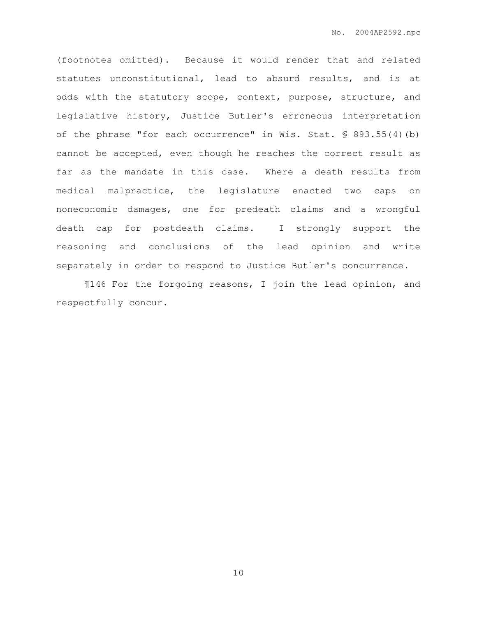(footnotes omitted). Because it would render that and related statutes unconstitutional, lead to absurd results, and is at odds with the statutory scope, context, purpose, structure, and legislative history, Justice Butler's erroneous interpretation of the phrase "for each occurrence" in Wis. Stat. § 893.55(4)(b) cannot be accepted, even though he reaches the correct result as far as the mandate in this case. Where a death results from medical malpractice, the legislature enacted two caps on noneconomic damages, one for predeath claims and a wrongful death cap for postdeath claims. I strongly support the reasoning and conclusions of the lead opinion and write separately in order to respond to Justice Butler's concurrence.

¶146 For the forgoing reasons, I join the lead opinion, and respectfully concur.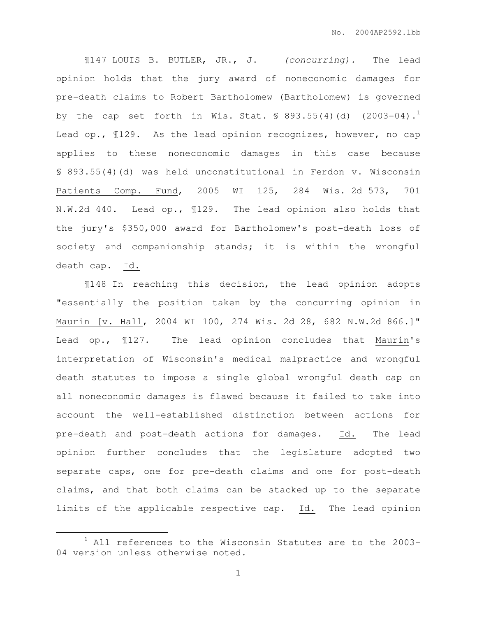¶147 LOUIS B. BUTLER, JR., J. (concurring). The lead opinion holds that the jury award of noneconomic damages for pre-death claims to Robert Bartholomew (Bartholomew) is governed by the cap set forth in Wis. Stat.  $$893.55(4)(d)$  (2003-04).<sup>1</sup> Lead op., ¶129. As the lead opinion recognizes, however, no cap applies to these noneconomic damages in this case because § 893.55(4)(d) was held unconstitutional in Ferdon v. Wisconsin Patients Comp. Fund, 2005 WI 125, 284 Wis. 2d 573, 701 N.W.2d 440. Lead op., ¶129. The lead opinion also holds that the jury's \$350,000 award for Bartholomew's post-death loss of society and companionship stands; it is within the wrongful death cap. Id.

¶148 In reaching this decision, the lead opinion adopts "essentially the position taken by the concurring opinion in Maurin [v. Hall, 2004 WI 100, 274 Wis. 2d 28, 682 N.W.2d 866.]" Lead op., ¶127. The lead opinion concludes that Maurin's interpretation of Wisconsin's medical malpractice and wrongful death statutes to impose a single global wrongful death cap on all noneconomic damages is flawed because it failed to take into account the well-established distinction between actions for pre-death and post-death actions for damages. Id. The lead opinion further concludes that the legislature adopted two separate caps, one for pre-death claims and one for post-death claims, and that both claims can be stacked up to the separate limits of the applicable respective cap. Id. The lead opinion

 $\overline{a}$ 

 $1$  All references to the Wisconsin Statutes are to the 2003-04 version unless otherwise noted.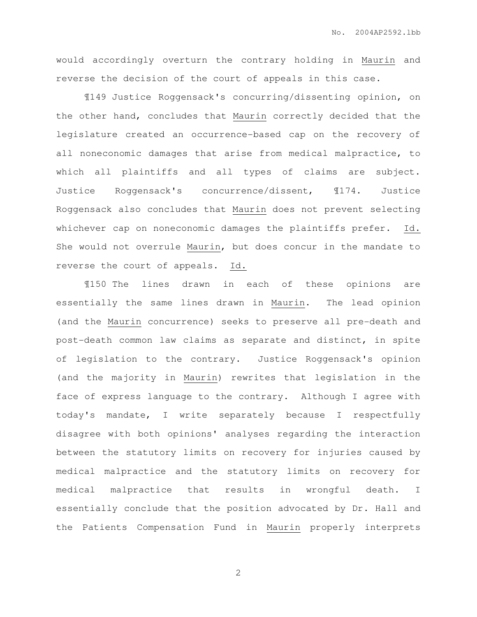would accordingly overturn the contrary holding in Maurin and reverse the decision of the court of appeals in this case.

¶149 Justice Roggensack's concurring/dissenting opinion, on the other hand, concludes that Maurin correctly decided that the legislature created an occurrence-based cap on the recovery of all noneconomic damages that arise from medical malpractice, to which all plaintiffs and all types of claims are subject. Justice Roggensack's concurrence/dissent, ¶174. Justice Roggensack also concludes that Maurin does not prevent selecting whichever cap on noneconomic damages the plaintiffs prefer. Id. She would not overrule Maurin, but does concur in the mandate to reverse the court of appeals. Id.

¶150 The lines drawn in each of these opinions are essentially the same lines drawn in Maurin. The lead opinion (and the Maurin concurrence) seeks to preserve all pre-death and post-death common law claims as separate and distinct, in spite of legislation to the contrary. Justice Roggensack's opinion (and the majority in Maurin) rewrites that legislation in the face of express language to the contrary. Although I agree with today's mandate, I write separately because I respectfully disagree with both opinions' analyses regarding the interaction between the statutory limits on recovery for injuries caused by medical malpractice and the statutory limits on recovery for medical malpractice that results in wrongful death. I essentially conclude that the position advocated by Dr. Hall and the Patients Compensation Fund in Maurin properly interprets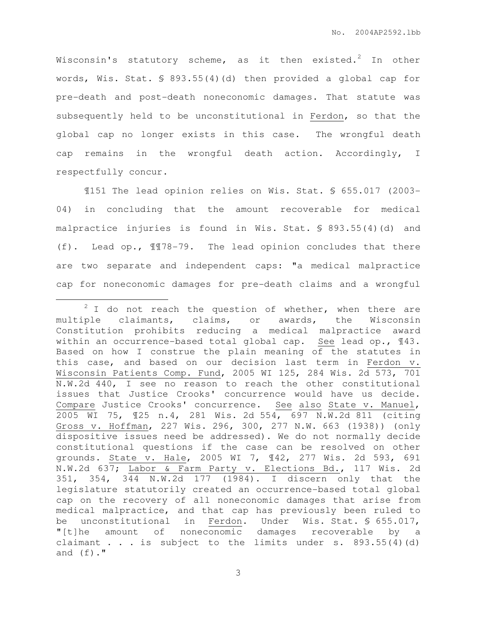Wisconsin's statutory scheme, as it then existed.<sup>2</sup> In other words, Wis. Stat. § 893.55(4)(d) then provided a global cap for pre-death and post-death noneconomic damages. That statute was subsequently held to be unconstitutional in Ferdon, so that the global cap no longer exists in this case. The wrongful death cap remains in the wrongful death action. Accordingly, I respectfully concur.

¶151 The lead opinion relies on Wis. Stat. § 655.017 (2003- 04) in concluding that the amount recoverable for medical malpractice injuries is found in Wis. Stat. § 893.55(4)(d) and (f). Lead op., ¶¶78-79. The lead opinion concludes that there are two separate and independent caps: "a medical malpractice cap for noneconomic damages for pre-death claims and a wrongful

 $\overline{a}$ 

 $2$  I do not reach the question of whether, when there are multiple claimants, claims, or awards, the Wisconsin Constitution prohibits reducing a medical malpractice award within an occurrence-based total global cap. See lead op., ¶43. Based on how I construe the plain meaning of the statutes in this case, and based on our decision last term in Ferdon v. Wisconsin Patients Comp. Fund, 2005 WI 125, 284 Wis. 2d 573, 701 N.W.2d 440, I see no reason to reach the other constitutional issues that Justice Crooks' concurrence would have us decide. Compare Justice Crooks' concurrence. See also State v. Manuel, 2005 WI 75, ¶25 n.4, 281 Wis. 2d 554, 697 N.W.2d 811 (citing Gross v. Hoffman, 227 Wis. 296, 300, 277 N.W. 663 (1938)) (only dispositive issues need be addressed). We do not normally decide constitutional questions if the case can be resolved on other grounds. State v. Hale, 2005 WI 7, ¶42, 277 Wis. 2d 593, 691 N.W.2d 637; Labor & Farm Party v. Elections Bd., 117 Wis. 2d 351, 354, 344 N.W.2d 177 (1984). I discern only that the legislature statutorily created an occurrence-based total global cap on the recovery of all noneconomic damages that arise from medical malpractice, and that cap has previously been ruled to be unconstitutional in Ferdon. Under Wis. Stat. § 655.017, "[t]he amount of noneconomic damages recoverable by a claimant . . . is subject to the limits under s. 893.55(4)(d) and  $(f)$ ."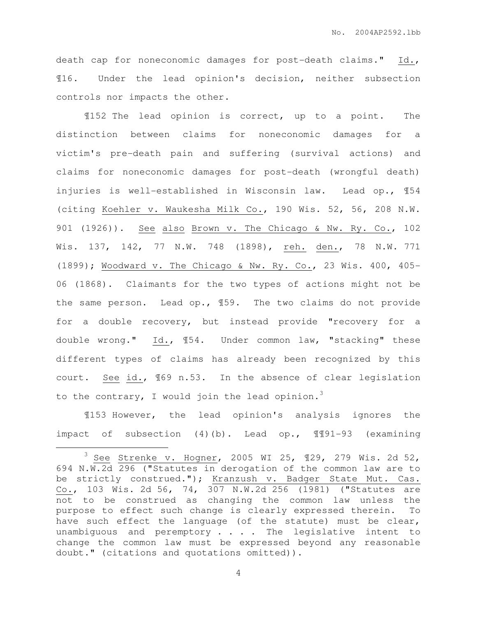death cap for noneconomic damages for post-death claims." Id., ¶16. Under the lead opinion's decision, neither subsection controls nor impacts the other.

¶152 The lead opinion is correct, up to a point. The distinction between claims for noneconomic damages for a victim's pre-death pain and suffering (survival actions) and claims for noneconomic damages for post-death (wrongful death) injuries is well-established in Wisconsin law. Lead op., ¶54 (citing Koehler v. Waukesha Milk Co., 190 Wis. 52, 56, 208 N.W. 901 (1926)). See also Brown v. The Chicago & Nw. Ry. Co., 102 Wis. 137, 142, 77 N.W. 748 (1898), reh. den., 78 N.W. 771 (1899); Woodward v. The Chicago & Nw. Ry. Co., 23 Wis. 400, 405- 06 (1868). Claimants for the two types of actions might not be the same person. Lead op., ¶59. The two claims do not provide for a double recovery, but instead provide "recovery for a double wrong." Id., ¶54. Under common law, "stacking" these different types of claims has already been recognized by this court. See id., ¶69 n.53. In the absence of clear legislation to the contrary, I would join the lead opinion.<sup>3</sup>

¶153 However, the lead opinion's analysis ignores the impact of subsection (4)(b). Lead op., ¶¶91-93 (examining

 $\overline{a}$ 

 $3$  See Strenke v. Hogner, 2005 WI 25, 129, 279 Wis. 2d 52, 694 N.W.2d 296 ("Statutes in derogation of the common law are to be strictly construed."); Kranzush v. Badger State Mut. Cas. Co., 103 Wis. 2d 56, 74, 307 N.W.2d 256 (1981) ("Statutes are not to be construed as changing the common law unless the purpose to effect such change is clearly expressed therein. To have such effect the language (of the statute) must be clear, unambiguous and peremptory  $\ldots$  . The legislative intent to change the common law must be expressed beyond any reasonable doubt." (citations and quotations omitted)).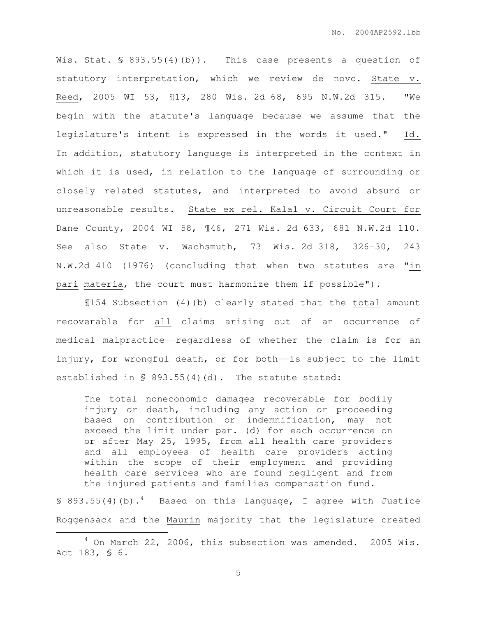Wis. Stat. § 893.55(4)(b)). This case presents a question of statutory interpretation, which we review de novo. State v. Reed, 2005 WI 53, ¶13, 280 Wis. 2d 68, 695 N.W.2d 315. "We begin with the statute's language because we assume that the legislature's intent is expressed in the words it used." Id. In addition, statutory language is interpreted in the context in which it is used, in relation to the language of surrounding or closely related statutes, and interpreted to avoid absurd or unreasonable results. State ex rel. Kalal v. Circuit Court for Dane County, 2004 WI 58, ¶46, 271 Wis. 2d 633, 681 N.W.2d 110. See also State v. Wachsmuth, 73 Wis. 2d 318, 326-30, 243 N.W.2d 410 (1976) (concluding that when two statutes are "in pari materia, the court must harmonize them if possible").

¶154 Subsection (4)(b) clearly stated that the total amount recoverable for all claims arising out of an occurrence of medical malpractice——regardless of whether the claim is for an injury, for wrongful death, or for both—is subject to the limit established in § 893.55(4)(d). The statute stated:

The total noneconomic damages recoverable for bodily injury or death, including any action or proceeding based on contribution or indemnification, may not exceed the limit under par. (d) for each occurrence on or after May 25, 1995, from all health care providers and all employees of health care providers acting within the scope of their employment and providing health care services who are found negligent and from the injured patients and families compensation fund.

§ 893.55(4)(b).<sup>4</sup> Based on this language, I agree with Justice Roggensack and the Maurin majority that the legislature created

 $\overline{a}$ 

 $4$  On March 22, 2006, this subsection was amended. 2005 Wis. Act 183, § 6.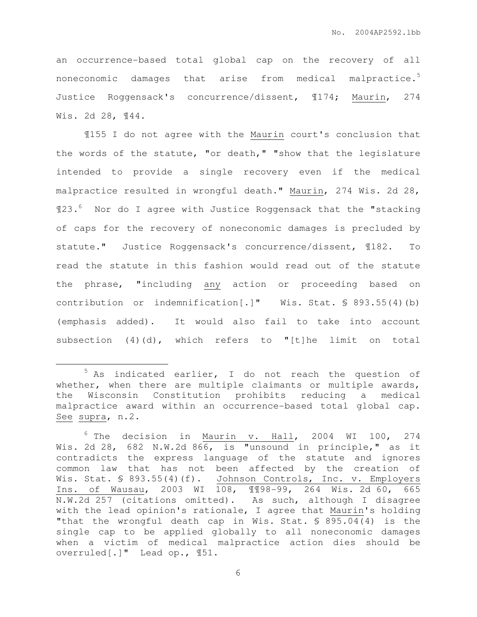an occurrence-based total global cap on the recovery of all noneconomic damages that arise from medical malpractice.<sup>5</sup> Justice Roggensack's concurrence/dissent, ¶174; Maurin, 274 Wis. 2d 28, ¶44.

¶155 I do not agree with the Maurin court's conclusion that the words of the statute, "or death," "show that the legislature intended to provide a single recovery even if the medical malpractice resulted in wrongful death." Maurin, 274 Wis. 2d 28, ¶23.<sup>6</sup> Nor do I agree with Justice Roggensack that the "stacking of caps for the recovery of noneconomic damages is precluded by statute." Justice Roggensack's concurrence/dissent, ¶182. To read the statute in this fashion would read out of the statute the phrase, "including any action or proceeding based on contribution or indemnification[.]" Wis. Stat. § 893.55(4)(b) (emphasis added). It would also fail to take into account subsection (4)(d), which refers to "[t]he limit on total

 $\overline{a}$ 

 $5$  As indicated earlier, I do not reach the question of whether, when there are multiple claimants or multiple awards, the Wisconsin Constitution prohibits reducing a medical malpractice award within an occurrence-based total global cap. See supra, n.2.

 $6$  The decision in Maurin v. Hall, 2004 WI 100, 274 Wis. 2d 28, 682 N.W.2d 866, is "unsound in principle," as it contradicts the express language of the statute and ignores common law that has not been affected by the creation of Wis. Stat. § 893.55(4)(f). Johnson Controls, Inc. v. Employers Ins. of Wausau, 2003 WI 108, ¶¶98-99, 264 Wis. 2d 60, 665 N.W.2d 257 (citations omitted). As such, although I disagree with the lead opinion's rationale, I agree that Maurin's holding "that the wrongful death cap in Wis. Stat. § 895.04(4) is the single cap to be applied globally to all noneconomic damages when a victim of medical malpractice action dies should be overruled[.]" Lead op., ¶51.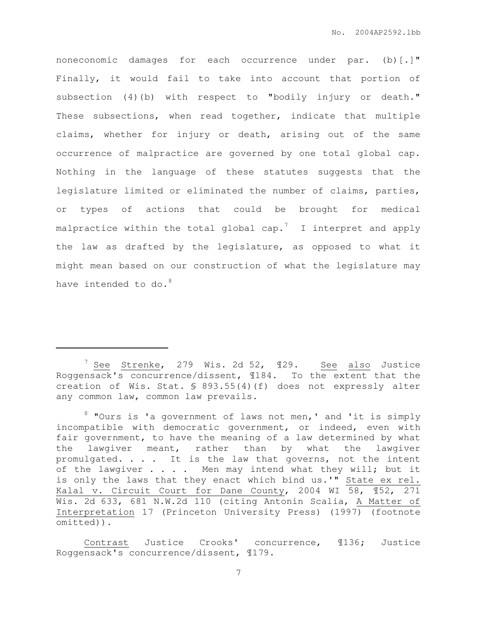noneconomic damages for each occurrence under par. (b)[.]" Finally, it would fail to take into account that portion of subsection (4)(b) with respect to "bodily injury or death." These subsections, when read together, indicate that multiple claims, whether for injury or death, arising out of the same occurrence of malpractice are governed by one total global cap. Nothing in the language of these statutes suggests that the legislature limited or eliminated the number of claims, parties, or types of actions that could be brought for medical malpractice within the total global cap.<sup>7</sup> I interpret and apply the law as drafted by the legislature, as opposed to what it might mean based on our construction of what the legislature may have intended to do. $8$ 

 $\overline{a}$ 

 $^7$  See Strenke, 279 Wis. 2d 52,  $\text{I}29$ . See also Justice Roggensack's concurrence/dissent, ¶184. To the extent that the creation of Wis. Stat. § 893.55(4)(f) does not expressly alter any common law, common law prevails.

 $8$  "Ours is 'a government of laws not men,' and 'it is simply incompatible with democratic government, or indeed, even with fair government, to have the meaning of a law determined by what the lawgiver meant, rather than by what the lawgiver promulgated. . . . It is the law that governs, not the intent of the lawgiver . . . Men may intend what they will; but it is only the laws that they enact which bind us.'" State ex rel. Kalal v. Circuit Court for Dane County, 2004 WI 58, ¶52, 271 Wis. 2d 633, 681 N.W.2d 110 (citing Antonin Scalia, A Matter of Interpretation 17 (Princeton University Press) (1997) (footnote omitted)).

Contrast Justice Crooks' concurrence, ¶136; Justice Roggensack's concurrence/dissent, ¶179.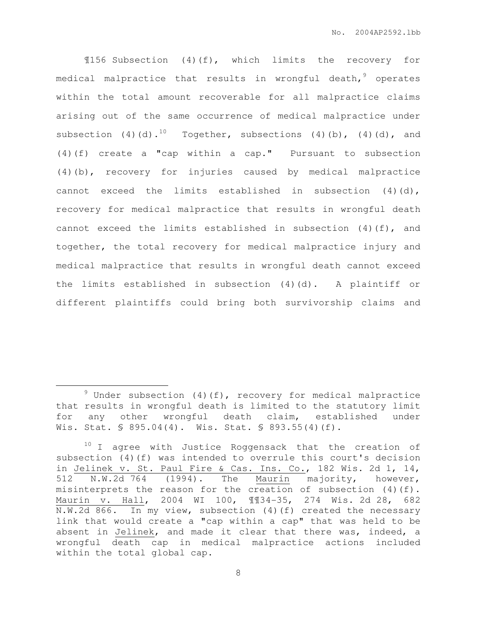¶156 Subsection (4)(f), which limits the recovery for medical malpractice that results in wrongful death,  $9$  operates within the total amount recoverable for all malpractice claims arising out of the same occurrence of medical malpractice under subsection (4)(d).<sup>10</sup> Together, subsections (4)(b), (4)(d), and (4)(f) create a "cap within a cap." Pursuant to subsection (4)(b), recovery for injuries caused by medical malpractice cannot exceed the limits established in subsection  $(4)(d)$ , recovery for medical malpractice that results in wrongful death cannot exceed the limits established in subsection  $(4)(f)$ , and together, the total recovery for medical malpractice injury and medical malpractice that results in wrongful death cannot exceed the limits established in subsection (4)(d). A plaintiff or different plaintiffs could bring both survivorship claims and

 $\overline{a}$ 

 $9$  Under subsection (4)(f), recovery for medical malpractice that results in wrongful death is limited to the statutory limit for any other wrongful death claim, established under Wis. Stat. § 895.04(4). Wis. Stat. § 893.55(4)(f).

 $10$  I agree with Justice Roggensack that the creation of subsection (4)(f) was intended to overrule this court's decision in Jelinek v. St. Paul Fire & Cas. Ins. Co., 182 Wis. 2d 1, 14, 512 N.W.2d 764 (1994). The Maurin majority, however, misinterprets the reason for the creation of subsection (4)(f). Maurin v. Hall, 2004 WI 100, ¶¶34-35, 274 Wis. 2d 28, 682 N.W.2d 866. In my view, subsection (4)(f) created the necessary link that would create a "cap within a cap" that was held to be absent in Jelinek, and made it clear that there was, indeed, a wrongful death cap in medical malpractice actions included within the total global cap.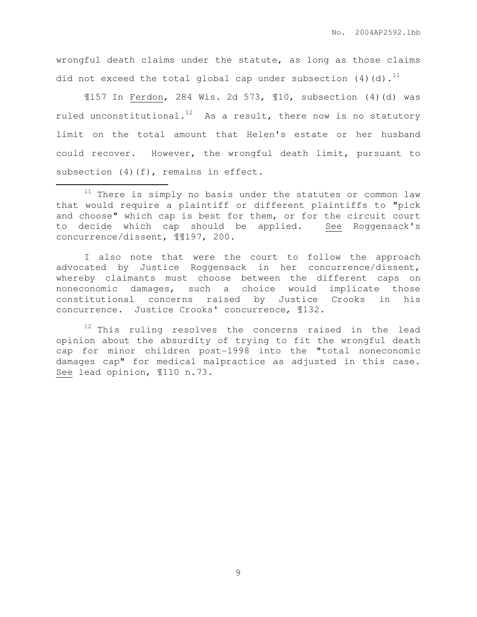wrongful death claims under the statute, as long as those claims did not exceed the total global cap under subsection  $(4)(d)$ .<sup>11</sup>

¶157 In Ferdon, 284 Wis. 2d 573, ¶10, subsection (4)(d) was ruled unconstitutional.<sup>12</sup> As a result, there now is no statutory limit on the total amount that Helen's estate or her husband could recover. However, the wrongful death limit, pursuant to subsection (4)(f), remains in effect.

 $\overline{a}$ 

I also note that were the court to follow the approach advocated by Justice Roggensack in her concurrence/dissent, whereby claimants must choose between the different caps on noneconomic damages, such a choice would implicate those constitutional concerns raised by Justice Crooks in his concurrence. Justice Crooks' concurrence, ¶132.

 $12$  This ruling resolves the concerns raised in the lead opinion about the absurdity of trying to fit the wrongful death cap for minor children post-1998 into the "total noneconomic damages cap" for medical malpractice as adjusted in this case. See lead opinion, ¶110 n.73.

 $11$  There is simply no basis under the statutes or common law that would require a plaintiff or different plaintiffs to "pick and choose" which cap is best for them, or for the circuit court to decide which cap should be applied. See Roggensack's concurrence/dissent, ¶¶197, 200.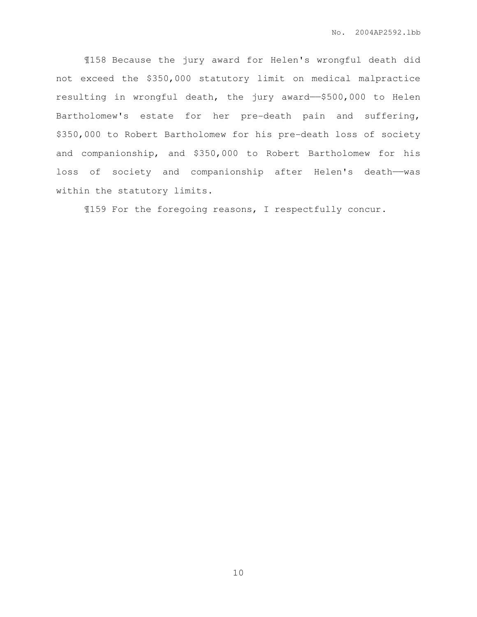¶158 Because the jury award for Helen's wrongful death did not exceed the \$350,000 statutory limit on medical malpractice resulting in wrongful death, the jury award——\$500,000 to Helen Bartholomew's estate for her pre-death pain and suffering, \$350,000 to Robert Bartholomew for his pre-death loss of society and companionship, and \$350,000 to Robert Bartholomew for his loss of society and companionship after Helen's death--was within the statutory limits.

¶159 For the foregoing reasons, I respectfully concur.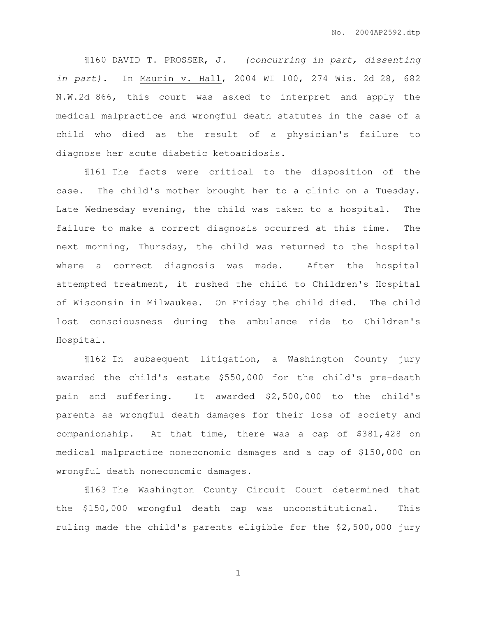¶160 DAVID T. PROSSER, J. (concurring in part, dissenting in part). In Maurin v. Hall, 2004 WI 100, 274 Wis. 2d 28, 682 N.W.2d 866, this court was asked to interpret and apply the medical malpractice and wrongful death statutes in the case of a child who died as the result of a physician's failure to diagnose her acute diabetic ketoacidosis.

¶161 The facts were critical to the disposition of the case. The child's mother brought her to a clinic on a Tuesday. Late Wednesday evening, the child was taken to a hospital. The failure to make a correct diagnosis occurred at this time. The next morning, Thursday, the child was returned to the hospital where a correct diagnosis was made. After the hospital attempted treatment, it rushed the child to Children's Hospital of Wisconsin in Milwaukee. On Friday the child died. The child lost consciousness during the ambulance ride to Children's Hospital.

¶162 In subsequent litigation, a Washington County jury awarded the child's estate \$550,000 for the child's pre-death pain and suffering. It awarded \$2,500,000 to the child's parents as wrongful death damages for their loss of society and companionship. At that time, there was a cap of \$381,428 on medical malpractice noneconomic damages and a cap of \$150,000 on wrongful death noneconomic damages.

¶163 The Washington County Circuit Court determined that the \$150,000 wrongful death cap was unconstitutional. This ruling made the child's parents eligible for the \$2,500,000 jury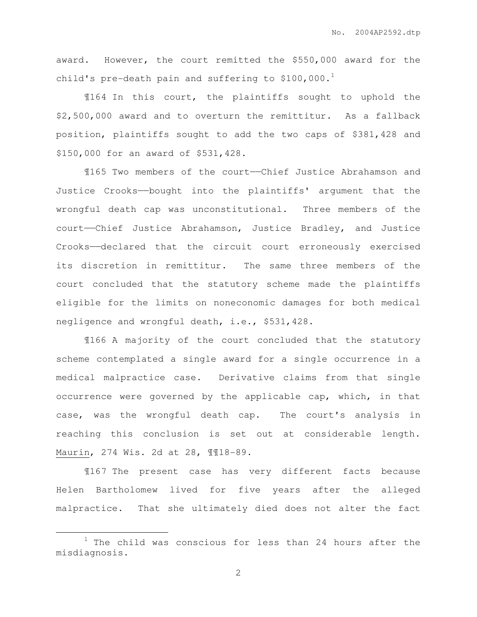award. However, the court remitted the \$550,000 award for the child's pre-death pain and suffering to  $$100,000.^1$ 

¶164 In this court, the plaintiffs sought to uphold the \$2,500,000 award and to overturn the remittitur. As a fallback position, plaintiffs sought to add the two caps of \$381,428 and \$150,000 for an award of \$531,428.

¶165 Two members of the court——Chief Justice Abrahamson and Justice Crooks——bought into the plaintiffs' argument that the wrongful death cap was unconstitutional. Three members of the court——Chief Justice Abrahamson, Justice Bradley, and Justice Crooks——declared that the circuit court erroneously exercised its discretion in remittitur. The same three members of the court concluded that the statutory scheme made the plaintiffs eligible for the limits on noneconomic damages for both medical negligence and wrongful death, i.e., \$531,428.

¶166 A majority of the court concluded that the statutory scheme contemplated a single award for a single occurrence in a medical malpractice case. Derivative claims from that single occurrence were governed by the applicable cap, which, in that case, was the wrongful death cap. The court's analysis in reaching this conclusion is set out at considerable length. Maurin, 274 Wis. 2d at 28, ¶¶18-89.

¶167 The present case has very different facts because Helen Bartholomew lived for five years after the alleged malpractice. That she ultimately died does not alter the fact

 $\overline{a}$ 

 $1$  The child was conscious for less than 24 hours after the misdiagnosis.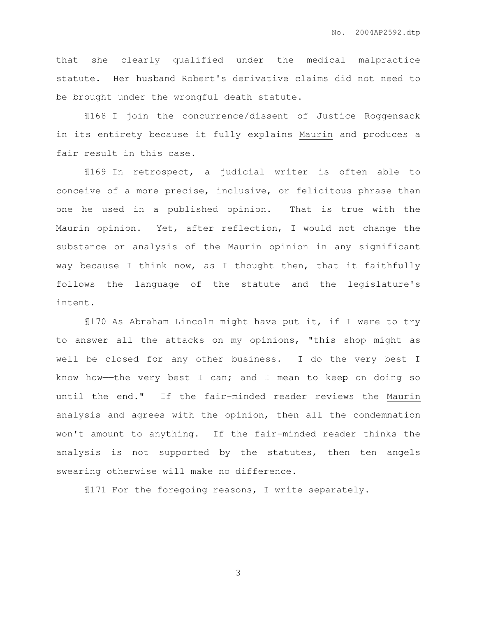that she clearly qualified under the medical malpractice statute. Her husband Robert's derivative claims did not need to be brought under the wrongful death statute.

¶168 I join the concurrence/dissent of Justice Roggensack in its entirety because it fully explains Maurin and produces a fair result in this case.

¶169 In retrospect, a judicial writer is often able to conceive of a more precise, inclusive, or felicitous phrase than one he used in a published opinion. That is true with the Maurin opinion. Yet, after reflection, I would not change the substance or analysis of the Maurin opinion in any significant way because I think now, as I thought then, that it faithfully follows the language of the statute and the legislature's intent.

¶170 As Abraham Lincoln might have put it, if I were to try to answer all the attacks on my opinions, "this shop might as well be closed for any other business. I do the very best I know how—the very best I can; and I mean to keep on doing so until the end." If the fair-minded reader reviews the Maurin analysis and agrees with the opinion, then all the condemnation won't amount to anything. If the fair-minded reader thinks the analysis is not supported by the statutes, then ten angels swearing otherwise will make no difference.

¶171 For the foregoing reasons, I write separately.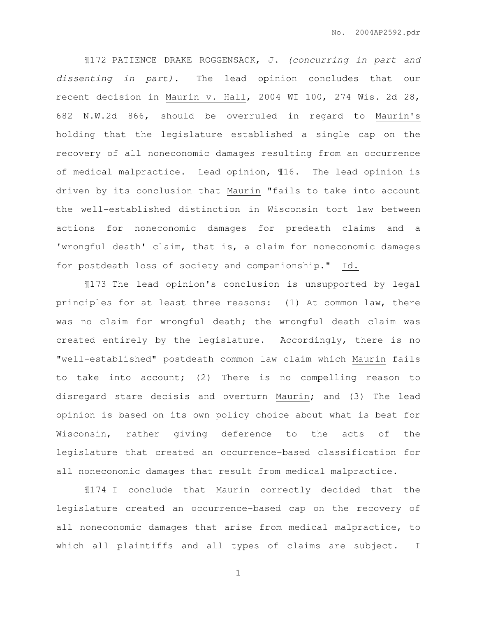¶172 PATIENCE DRAKE ROGGENSACK, J. (concurring in part and dissenting in part). The lead opinion concludes that our recent decision in Maurin v. Hall, 2004 WI 100, 274 Wis. 2d 28, 682 N.W.2d 866, should be overruled in regard to Maurin's holding that the legislature established a single cap on the recovery of all noneconomic damages resulting from an occurrence of medical malpractice. Lead opinion, ¶16. The lead opinion is driven by its conclusion that Maurin "fails to take into account the well-established distinction in Wisconsin tort law between actions for noneconomic damages for predeath claims and a 'wrongful death' claim, that is, a claim for noneconomic damages for postdeath loss of society and companionship." Id.

¶173 The lead opinion's conclusion is unsupported by legal principles for at least three reasons: (1) At common law, there was no claim for wrongful death; the wrongful death claim was created entirely by the legislature. Accordingly, there is no "well-established" postdeath common law claim which Maurin fails to take into account; (2) There is no compelling reason to disregard stare decisis and overturn Maurin; and (3) The lead opinion is based on its own policy choice about what is best for Wisconsin, rather giving deference to the acts of the legislature that created an occurrence-based classification for all noneconomic damages that result from medical malpractice.

¶174 I conclude that Maurin correctly decided that the legislature created an occurrence-based cap on the recovery of all noneconomic damages that arise from medical malpractice, to which all plaintiffs and all types of claims are subject. I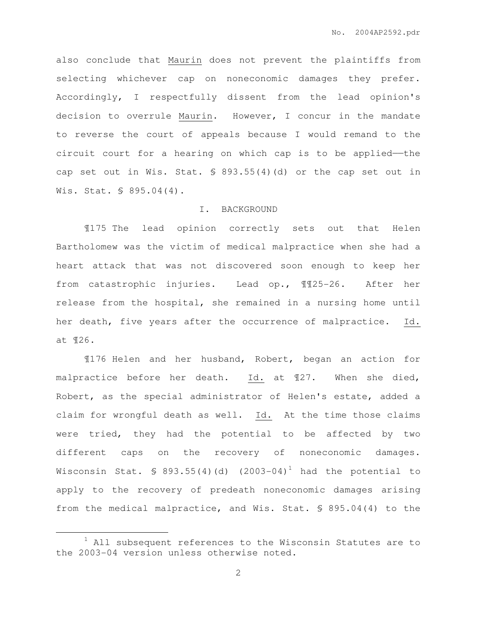also conclude that Maurin does not prevent the plaintiffs from selecting whichever cap on noneconomic damages they prefer. Accordingly, I respectfully dissent from the lead opinion's decision to overrule Maurin. However, I concur in the mandate to reverse the court of appeals because I would remand to the circuit court for a hearing on which cap is to be applied——the cap set out in Wis. Stat. § 893.55(4)(d) or the cap set out in Wis. Stat. § 895.04(4).

### I. BACKGROUND

¶175 The lead opinion correctly sets out that Helen Bartholomew was the victim of medical malpractice when she had a heart attack that was not discovered soon enough to keep her from catastrophic injuries. Lead op., ¶¶25-26. After her release from the hospital, she remained in a nursing home until her death, five years after the occurrence of malpractice. Id. at ¶26.

¶176 Helen and her husband, Robert, began an action for malpractice before her death. Id. at ¶27. When she died, Robert, as the special administrator of Helen's estate, added a claim for wrongful death as well. Id. At the time those claims were tried, they had the potential to be affected by two different caps on the recovery of noneconomic damages. Wisconsin Stat. § 893.55(4)(d)  $(2003-04)^1$  had the potential to apply to the recovery of predeath noneconomic damages arising from the medical malpractice, and Wis. Stat. § 895.04(4) to the

 $\overline{a}$ 

 $1$  All subsequent references to the Wisconsin Statutes are to the 2003-04 version unless otherwise noted.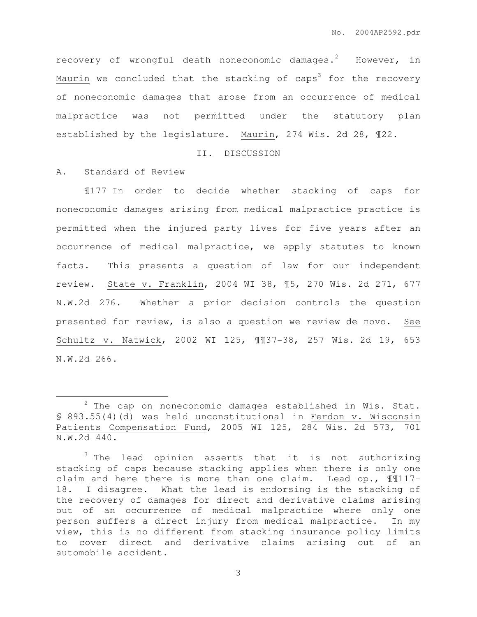recovery of wrongful death noneconomic damages.<sup>2</sup> However, in Maurin we concluded that the stacking of caps<sup>3</sup> for the recovery of noneconomic damages that arose from an occurrence of medical malpractice was not permitted under the statutory plan established by the legislature. Maurin, 274 Wis. 2d 28, ¶22.

## II. DISCUSSION

A. Standard of Review

 $\overline{a}$ 

¶177 In order to decide whether stacking of caps for noneconomic damages arising from medical malpractice practice is permitted when the injured party lives for five years after an occurrence of medical malpractice, we apply statutes to known facts. This presents a question of law for our independent review. State v. Franklin, 2004 WI 38, ¶5, 270 Wis. 2d 271, 677 N.W.2d 276. Whether a prior decision controls the question presented for review, is also a question we review de novo. See Schultz v. Natwick, 2002 WI 125, ¶¶37-38, 257 Wis. 2d 19, 653 N.W.2d 266.

 $2$  The cap on noneconomic damages established in Wis. Stat. § 893.55(4)(d) was held unconstitutional in Ferdon v. Wisconsin Patients Compensation Fund, 2005 WI 125, 284 Wis. 2d 573, 701 N.W.2d 440.

<sup>&</sup>lt;sup>3</sup> The lead opinion asserts that it is not authorizing stacking of caps because stacking applies when there is only one claim and here there is more than one claim. Lead op., ¶¶117- 18. I disagree. What the lead is endorsing is the stacking of the recovery of damages for direct and derivative claims arising out of an occurrence of medical malpractice where only one person suffers a direct injury from medical malpractice. In my view, this is no different from stacking insurance policy limits to cover direct and derivative claims arising out of an automobile accident.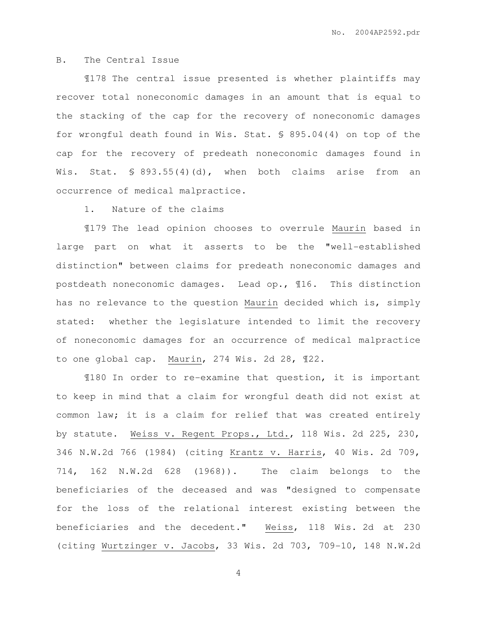# B. The Central Issue

¶178 The central issue presented is whether plaintiffs may recover total noneconomic damages in an amount that is equal to the stacking of the cap for the recovery of noneconomic damages for wrongful death found in Wis. Stat. § 895.04(4) on top of the cap for the recovery of predeath noneconomic damages found in Wis. Stat. § 893.55(4)(d), when both claims arise from an occurrence of medical malpractice.

## 1. Nature of the claims

¶179 The lead opinion chooses to overrule Maurin based in large part on what it asserts to be the "well-established distinction" between claims for predeath noneconomic damages and postdeath noneconomic damages. Lead op., ¶16. This distinction has no relevance to the question Maurin decided which is, simply stated: whether the legislature intended to limit the recovery of noneconomic damages for an occurrence of medical malpractice to one global cap. Maurin, 274 Wis. 2d 28, ¶22.

¶180 In order to re-examine that question, it is important to keep in mind that a claim for wrongful death did not exist at common law; it is a claim for relief that was created entirely by statute. Weiss v. Regent Props., Ltd., 118 Wis. 2d 225, 230, 346 N.W.2d 766 (1984) (citing Krantz v. Harris, 40 Wis. 2d 709, 714, 162 N.W.2d 628 (1968)). The claim belongs to the beneficiaries of the deceased and was "designed to compensate for the loss of the relational interest existing between the beneficiaries and the decedent." Weiss, 118 Wis. 2d at 230 (citing Wurtzinger v. Jacobs, 33 Wis. 2d 703, 709-10, 148 N.W.2d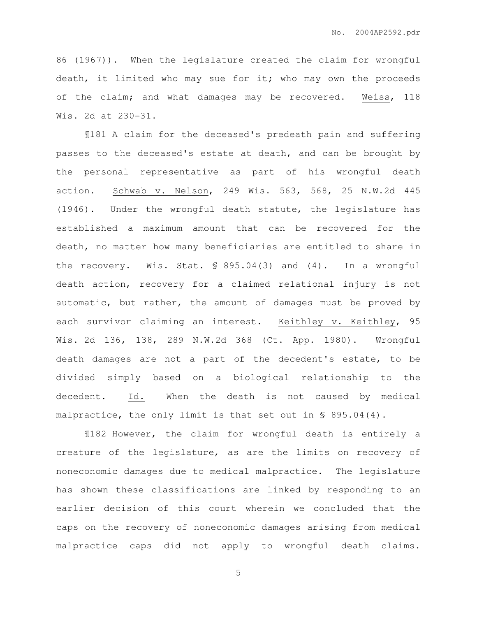86 (1967)). When the legislature created the claim for wrongful death, it limited who may sue for it; who may own the proceeds of the claim; and what damages may be recovered. Weiss, 118 Wis. 2d at 230-31.

¶181 A claim for the deceased's predeath pain and suffering passes to the deceased's estate at death, and can be brought by the personal representative as part of his wrongful death action. Schwab v. Nelson, 249 Wis. 563, 568, 25 N.W.2d 445 (1946). Under the wrongful death statute, the legislature has established a maximum amount that can be recovered for the death, no matter how many beneficiaries are entitled to share in the recovery. Wis. Stat. § 895.04(3) and (4). In a wrongful death action, recovery for a claimed relational injury is not automatic, but rather, the amount of damages must be proved by each survivor claiming an interest. Keithley v. Keithley, 95 Wis. 2d 136, 138, 289 N.W.2d 368 (Ct. App. 1980). Wrongful death damages are not a part of the decedent's estate, to be divided simply based on a biological relationship to the decedent. Id. When the death is not caused by medical malpractice, the only limit is that set out in  $\$$  895.04(4).

¶182 However, the claim for wrongful death is entirely a creature of the legislature, as are the limits on recovery of noneconomic damages due to medical malpractice. The legislature has shown these classifications are linked by responding to an earlier decision of this court wherein we concluded that the caps on the recovery of noneconomic damages arising from medical malpractice caps did not apply to wrongful death claims.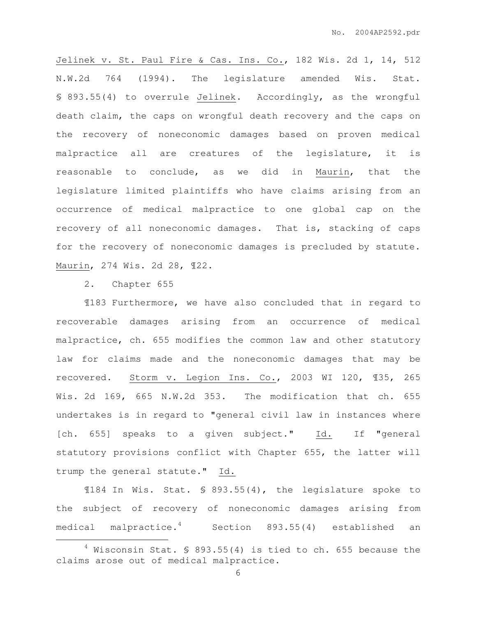Jelinek v. St. Paul Fire & Cas. Ins. Co., 182 Wis. 2d 1, 14, 512 N.W.2d 764 (1994). The legislature amended Wis. Stat. § 893.55(4) to overrule Jelinek. Accordingly, as the wrongful death claim, the caps on wrongful death recovery and the caps on the recovery of noneconomic damages based on proven medical malpractice all are creatures of the legislature, it is reasonable to conclude, as we did in Maurin, that the legislature limited plaintiffs who have claims arising from an occurrence of medical malpractice to one global cap on the recovery of all noneconomic damages. That is, stacking of caps for the recovery of noneconomic damages is precluded by statute. Maurin, 274 Wis. 2d 28, ¶22.

2. Chapter 655

 $\overline{a}$ 

¶183 Furthermore, we have also concluded that in regard to recoverable damages arising from an occurrence of medical malpractice, ch. 655 modifies the common law and other statutory law for claims made and the noneconomic damages that may be recovered. Storm v. Legion Ins. Co., 2003 WI 120, ¶35, 265 Wis. 2d 169, 665 N.W.2d 353. The modification that ch. 655 undertakes is in regard to "general civil law in instances where [ch. 655] speaks to a given subject." Id. If "general statutory provisions conflict with Chapter 655, the latter will trump the general statute." Id.

¶184 In Wis. Stat. § 893.55(4), the legislature spoke to the subject of recovery of noneconomic damages arising from medical malpractice.<sup>4</sup> Section 893.55(4) established an

 $4$  Wisconsin Stat. § 893.55(4) is tied to ch. 655 because the claims arose out of medical malpractice.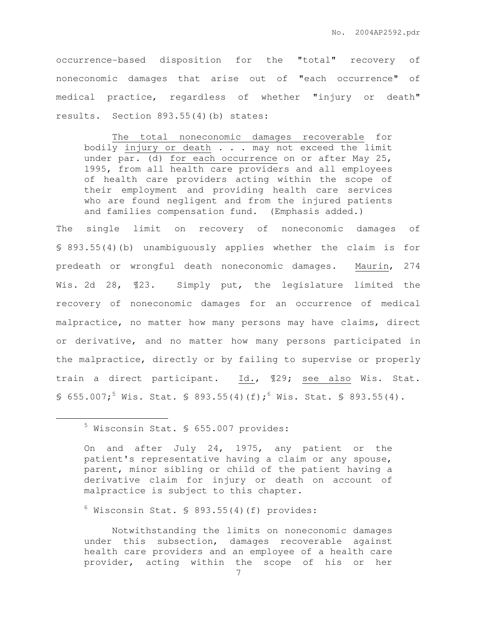occurrence-based disposition for the "total" recovery of noneconomic damages that arise out of "each occurrence" of medical practice, regardless of whether "injury or death" results. Section 893.55(4)(b) states:

The total noneconomic damages recoverable for bodily injury or death . . . may not exceed the limit under par. (d) for each occurrence on or after May 25, 1995, from all health care providers and all employees of health care providers acting within the scope of their employment and providing health care services who are found negligent and from the injured patients and families compensation fund. (Emphasis added.)

The single limit on recovery of noneconomic damages of § 893.55(4)(b) unambiguously applies whether the claim is for predeath or wrongful death noneconomic damages. Maurin, 274 Wis. 2d 28, 123. Simply put, the legislature limited the recovery of noneconomic damages for an occurrence of medical malpractice, no matter how many persons may have claims, direct or derivative, and no matter how many persons participated in the malpractice, directly or by failing to supervise or properly train a direct participant. Id., ¶29; see also Wis. Stat. § 655.007;<sup>5</sup> Wis. Stat. § 893.55(4)(f);<sup>6</sup> Wis. Stat. § 893.55(4).

 $\overline{a}$ 

 $6$  Wisconsin Stat. § 893.55(4)(f) provides:

Notwithstanding the limits on noneconomic damages under this subsection, damages recoverable against health care providers and an employee of a health care provider, acting within the scope of his or her

<sup>5</sup> Wisconsin Stat. § 655.007 provides:

On and after July 24, 1975, any patient or the patient's representative having a claim or any spouse, parent, minor sibling or child of the patient having a derivative claim for injury or death on account of malpractice is subject to this chapter.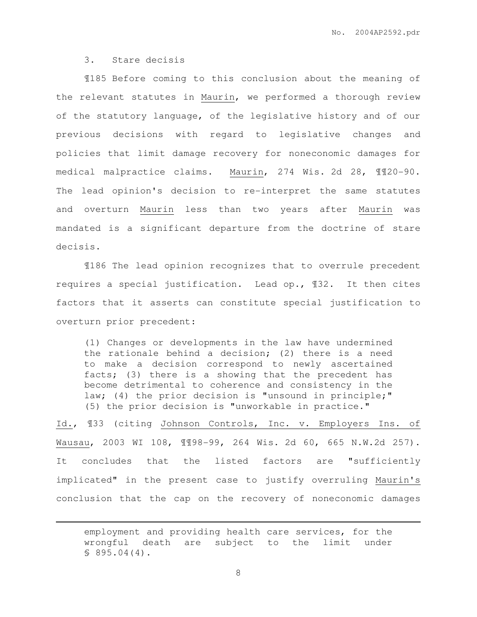## 3. Stare decisis

 $\overline{a}$ 

¶185 Before coming to this conclusion about the meaning of the relevant statutes in Maurin, we performed a thorough review of the statutory language, of the legislative history and of our previous decisions with regard to legislative changes and policies that limit damage recovery for noneconomic damages for medical malpractice claims. Maurin, 274 Wis. 2d 28, ¶¶20-90. The lead opinion's decision to re-interpret the same statutes and overturn Maurin less than two years after Maurin was mandated is a significant departure from the doctrine of stare decisis.

¶186 The lead opinion recognizes that to overrule precedent requires a special justification. Lead op., ¶32. It then cites factors that it asserts can constitute special justification to overturn prior precedent:

(1) Changes or developments in the law have undermined the rationale behind a decision; (2) there is a need to make a decision correspond to newly ascertained facts; (3) there is a showing that the precedent has become detrimental to coherence and consistency in the law; (4) the prior decision is "unsound in principle;" (5) the prior decision is "unworkable in practice."

Id., ¶33 (citing Johnson Controls, Inc. v. Employers Ins. of Wausau, 2003 WI 108, ¶¶98-99, 264 Wis. 2d 60, 665 N.W.2d 257). It concludes that the listed factors are "sufficiently implicated" in the present case to justify overruling Maurin's conclusion that the cap on the recovery of noneconomic damages

employment and providing health care services, for the wrongful death are subject to the limit under § 895.04(4).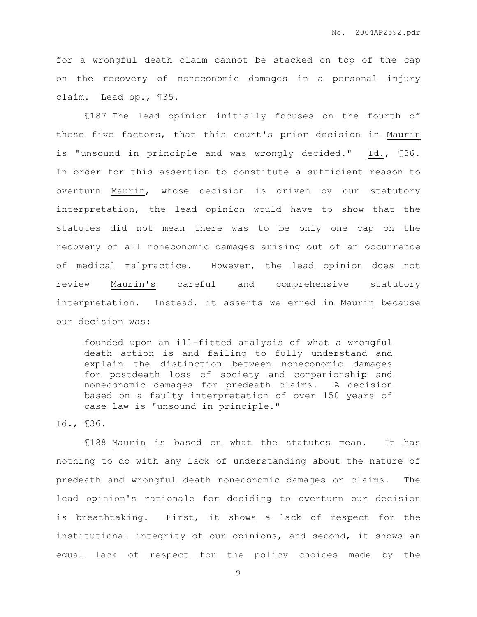for a wrongful death claim cannot be stacked on top of the cap on the recovery of noneconomic damages in a personal injury claim. Lead op., ¶35.

¶187 The lead opinion initially focuses on the fourth of these five factors, that this court's prior decision in Maurin is "unsound in principle and was wrongly decided." Id., ¶36. In order for this assertion to constitute a sufficient reason to overturn Maurin, whose decision is driven by our statutory interpretation, the lead opinion would have to show that the statutes did not mean there was to be only one cap on the recovery of all noneconomic damages arising out of an occurrence of medical malpractice. However, the lead opinion does not review Maurin's careful and comprehensive statutory interpretation. Instead, it asserts we erred in Maurin because our decision was:

founded upon an ill-fitted analysis of what a wrongful death action is and failing to fully understand and explain the distinction between noneconomic damages for postdeath loss of society and companionship and noneconomic damages for predeath claims. A decision based on a faulty interpretation of over 150 years of case law is "unsound in principle."

# Id., ¶36.

¶188 Maurin is based on what the statutes mean. It has nothing to do with any lack of understanding about the nature of predeath and wrongful death noneconomic damages or claims. The lead opinion's rationale for deciding to overturn our decision is breathtaking. First, it shows a lack of respect for the institutional integrity of our opinions, and second, it shows an equal lack of respect for the policy choices made by the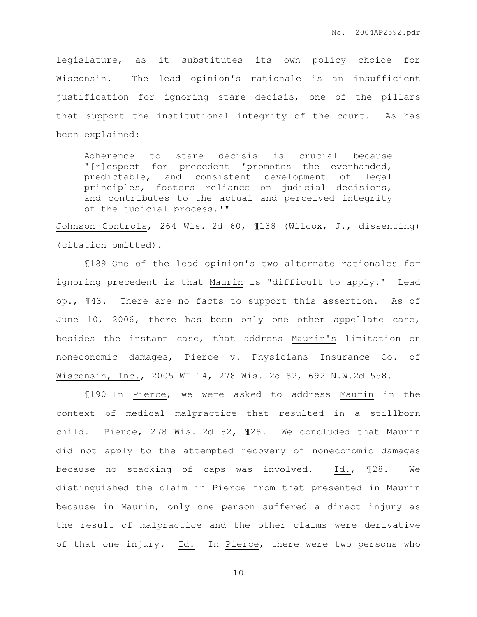legislature, as it substitutes its own policy choice for Wisconsin. The lead opinion's rationale is an insufficient justification for ignoring stare decisis, one of the pillars that support the institutional integrity of the court. As has been explained:

Adherence to stare decisis is crucial because "[r]espect for precedent 'promotes the evenhanded, predictable, and consistent development of legal principles, fosters reliance on judicial decisions, and contributes to the actual and perceived integrity of the judicial process.'"

Johnson Controls, 264 Wis. 2d 60, ¶138 (Wilcox, J., dissenting) (citation omitted).

¶189 One of the lead opinion's two alternate rationales for ignoring precedent is that Maurin is "difficult to apply." Lead op., ¶43. There are no facts to support this assertion. As of June 10, 2006, there has been only one other appellate case, besides the instant case, that address Maurin's limitation on noneconomic damages, Pierce v. Physicians Insurance Co. of Wisconsin, Inc., 2005 WI 14, 278 Wis. 2d 82, 692 N.W.2d 558.

¶190 In Pierce, we were asked to address Maurin in the context of medical malpractice that resulted in a stillborn child. Pierce, 278 Wis. 2d 82, ¶28. We concluded that Maurin did not apply to the attempted recovery of noneconomic damages because no stacking of caps was involved. Id., ¶28. We distinguished the claim in Pierce from that presented in Maurin because in Maurin, only one person suffered a direct injury as the result of malpractice and the other claims were derivative of that one injury. Id. In Pierce, there were two persons who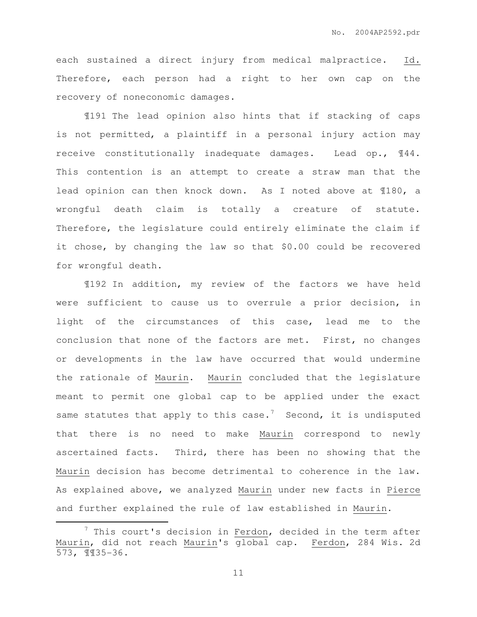each sustained a direct injury from medical malpractice. Id. Therefore, each person had a right to her own cap on the recovery of noneconomic damages.

¶191 The lead opinion also hints that if stacking of caps is not permitted, a plaintiff in a personal injury action may receive constitutionally inadequate damages. Lead op., ¶44. This contention is an attempt to create a straw man that the lead opinion can then knock down. As I noted above at ¶180, a wrongful death claim is totally a creature of statute. Therefore, the legislature could entirely eliminate the claim if it chose, by changing the law so that \$0.00 could be recovered for wrongful death.

¶192 In addition, my review of the factors we have held were sufficient to cause us to overrule a prior decision, in light of the circumstances of this case, lead me to the conclusion that none of the factors are met. First, no changes or developments in the law have occurred that would undermine the rationale of Maurin. Maurin concluded that the legislature meant to permit one global cap to be applied under the exact same statutes that apply to this case.<sup>7</sup> Second, it is undisputed that there is no need to make Maurin correspond to newly ascertained facts. Third, there has been no showing that the Maurin decision has become detrimental to coherence in the law. As explained above, we analyzed Maurin under new facts in Pierce and further explained the rule of law established in Maurin.

 $\overline{a}$ 

 $7$  This court's decision in Ferdon, decided in the term after Maurin, did not reach Maurin's global cap. Ferdon, 284 Wis. 2d 573, ¶¶35-36.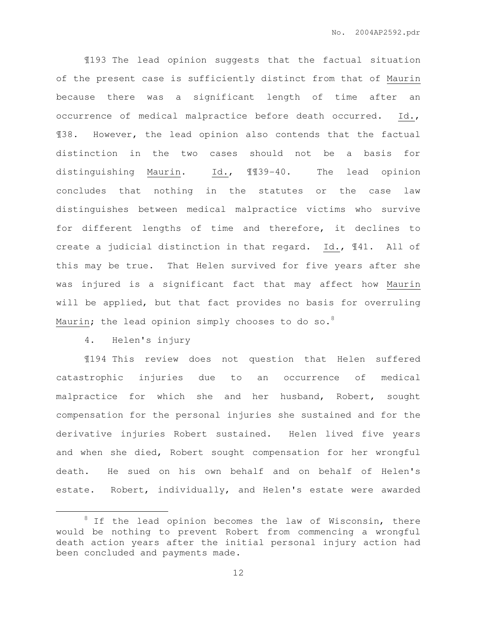¶193 The lead opinion suggests that the factual situation of the present case is sufficiently distinct from that of Maurin because there was a significant length of time after an occurrence of medical malpractice before death occurred. Id., ¶38. However, the lead opinion also contends that the factual distinction in the two cases should not be a basis for distinguishing Maurin. Id., ¶¶39-40. The lead opinion concludes that nothing in the statutes or the case law distinguishes between medical malpractice victims who survive for different lengths of time and therefore, it declines to create a judicial distinction in that regard. Id., ¶41. All of this may be true. That Helen survived for five years after she was injured is a significant fact that may affect how Maurin will be applied, but that fact provides no basis for overruling Maurin; the lead opinion simply chooses to do so.<sup>8</sup>

4. Helen's injury

 $\overline{a}$ 

¶194 This review does not question that Helen suffered catastrophic injuries due to an occurrence of medical malpractice for which she and her husband, Robert, sought compensation for the personal injuries she sustained and for the derivative injuries Robert sustained. Helen lived five years and when she died, Robert sought compensation for her wrongful death. He sued on his own behalf and on behalf of Helen's estate. Robert, individually, and Helen's estate were awarded

 $8$  If the lead opinion becomes the law of Wisconsin, there would be nothing to prevent Robert from commencing a wrongful death action years after the initial personal injury action had been concluded and payments made.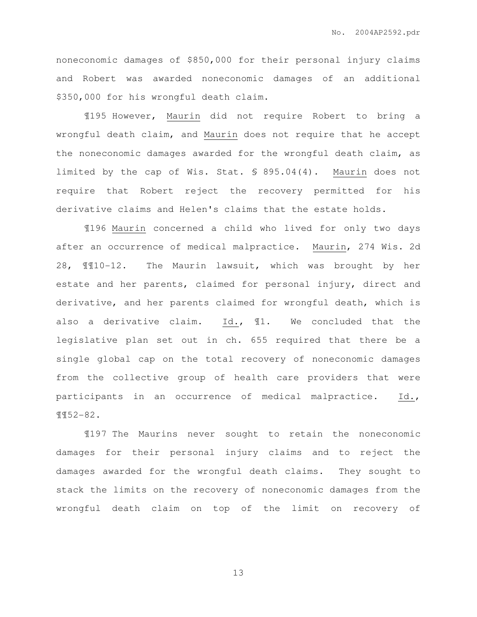noneconomic damages of \$850,000 for their personal injury claims and Robert was awarded noneconomic damages of an additional \$350,000 for his wrongful death claim.

¶195 However, Maurin did not require Robert to bring a wrongful death claim, and Maurin does not require that he accept the noneconomic damages awarded for the wrongful death claim, as limited by the cap of Wis. Stat. § 895.04(4). Maurin does not require that Robert reject the recovery permitted for his derivative claims and Helen's claims that the estate holds.

¶196 Maurin concerned a child who lived for only two days after an occurrence of medical malpractice. Maurin, 274 Wis. 2d 28, ¶¶10-12. The Maurin lawsuit, which was brought by her estate and her parents, claimed for personal injury, direct and derivative, and her parents claimed for wrongful death, which is also a derivative claim. Id., ¶1. We concluded that the legislative plan set out in ch. 655 required that there be a single global cap on the total recovery of noneconomic damages from the collective group of health care providers that were participants in an occurrence of medical malpractice. Id., ¶¶52-82.

¶197 The Maurins never sought to retain the noneconomic damages for their personal injury claims and to reject the damages awarded for the wrongful death claims. They sought to stack the limits on the recovery of noneconomic damages from the wrongful death claim on top of the limit on recovery of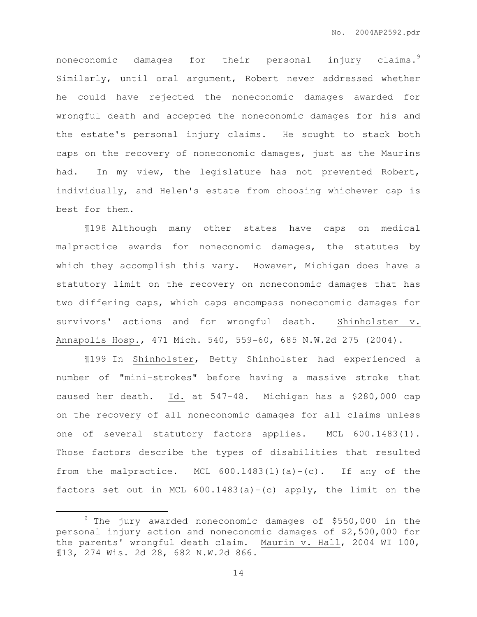noneconomic damages for their personal injury claims.<sup>9</sup> Similarly, until oral argument, Robert never addressed whether he could have rejected the noneconomic damages awarded for wrongful death and accepted the noneconomic damages for his and the estate's personal injury claims. He sought to stack both caps on the recovery of noneconomic damages, just as the Maurins had. In my view, the legislature has not prevented Robert, individually, and Helen's estate from choosing whichever cap is best for them.

¶198 Although many other states have caps on medical malpractice awards for noneconomic damages, the statutes by which they accomplish this vary. However, Michigan does have a statutory limit on the recovery on noneconomic damages that has two differing caps, which caps encompass noneconomic damages for survivors' actions and for wrongful death. Shinholster v. Annapolis Hosp., 471 Mich. 540, 559-60, 685 N.W.2d 275 (2004).

¶199 In Shinholster, Betty Shinholster had experienced a number of "mini-strokes" before having a massive stroke that caused her death. Id. at 547-48. Michigan has a \$280,000 cap on the recovery of all noneconomic damages for all claims unless one of several statutory factors applies. MCL 600.1483(1). Those factors describe the types of disabilities that resulted from the malpractice. MCL 600.1483(1)(a)-(c). If any of the factors set out in MCL  $600.1483(a) - (c)$  apply, the limit on the

 $\overline{a}$ 

 $9$  The jury awarded noneconomic damages of \$550,000 in the personal injury action and noneconomic damages of \$2,500,000 for the parents' wrongful death claim. Maurin v. Hall, 2004 WI 100, ¶13, 274 Wis. 2d 28, 682 N.W.2d 866.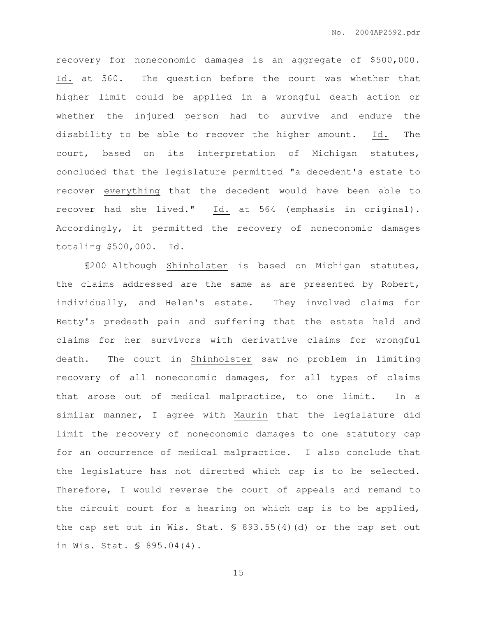recovery for noneconomic damages is an aggregate of \$500,000. Id. at 560. The question before the court was whether that higher limit could be applied in a wrongful death action or whether the injured person had to survive and endure the disability to be able to recover the higher amount. Id. The court, based on its interpretation of Michigan statutes, concluded that the legislature permitted "a decedent's estate to recover everything that the decedent would have been able to recover had she lived." Id. at 564 (emphasis in original). Accordingly, it permitted the recovery of noneconomic damages totaling \$500,000. Id.

¶200 Although Shinholster is based on Michigan statutes, the claims addressed are the same as are presented by Robert, individually, and Helen's estate. They involved claims for Betty's predeath pain and suffering that the estate held and claims for her survivors with derivative claims for wrongful death. The court in Shinholster saw no problem in limiting recovery of all noneconomic damages, for all types of claims that arose out of medical malpractice, to one limit. In a similar manner, I agree with Maurin that the legislature did limit the recovery of noneconomic damages to one statutory cap for an occurrence of medical malpractice. I also conclude that the legislature has not directed which cap is to be selected. Therefore, I would reverse the court of appeals and remand to the circuit court for a hearing on which cap is to be applied, the cap set out in Wis. Stat. § 893.55(4)(d) or the cap set out in Wis. Stat. § 895.04(4).